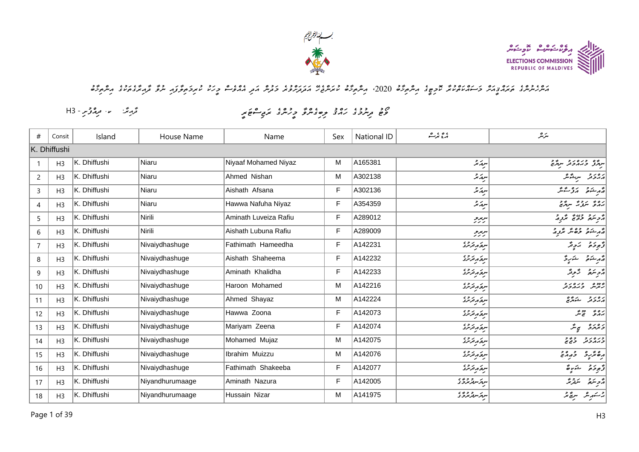



## *q9nOoAw7o<sCq;mAsCn8o<n@n=q7o<m?nBoAm>o8q;q;m5p>wEs=w<s<o@m<w7q@m>s8q=w6m@m@m<t5sKw7m8q;q9nOoAw7o<22020q9nOoAw7o<sCpHo>u;n8q;wAm;w<mEm>w6m<pYw<m8mAsCw7q7s5w7m<*

H3 - *iSufcaid .k n8o<n@ p8mHwEoKm8sCw7q5p>n=w7sCo9oBqYw<m5sCq>q7o@qHv=*

| #              | Consit         | Island       | House Name      | Name                  | Sex | National ID | بره برگ                         | ىئرىتر                                            |
|----------------|----------------|--------------|-----------------|-----------------------|-----|-------------|---------------------------------|---------------------------------------------------|
|                | K. Dhiffushi   |              |                 |                       |     |             |                                 |                                                   |
|                | H <sub>3</sub> | K. Dhiffushi | Niaru           | Niyaaf Mohamed Niyaz  | М   | A165381     | سدنر                            | سرگرو درورد سرگرم                                 |
| $\overline{2}$ | H <sub>3</sub> | K. Dhiffushi | Niaru           | Ahmed Nishan          | М   | A302138     | سدند                            | رەرد سرگەش                                        |
| 3              | H <sub>3</sub> | K. Dhiffushi | Niaru           | Aishath Afsana        | F   | A302136     | سدند                            | ە ئەر ئىكەن ئەر ئەسىر                             |
| 4              | H <sub>3</sub> | K. Dhiffushi | Niaru           | Hawwa Nafuha Niyaz    | F.  | A354359     | سديمه                           | بروی سروی سروی                                    |
| 5              | H <sub>3</sub> | K. Dhiffushi | Nirili          | Aminath Luveiza Rafiu | F.  | A289012     | سربر و<br>تر تر تر              | و دو دي و عرو د                                   |
| 6              | H <sub>3</sub> | K. Dhiffushi | Nirili          | Aishath Lubuna Rafiu  | F.  | A289009     | سربر و<br>ر                     | و در ده وه و و د و د                              |
| 7              | H <sub>3</sub> | K. Dhiffushi | Nivaiydhashuge  | Fathimath Hameedha    | F.  | A142231     | لىرغە بەر تەر                   | دَّەدِ دَە ئەر ئىگە                               |
| 8              | H <sub>3</sub> | K. Dhiffushi | Nivaiydhashuge  | Aishath Shaheema      | F.  | A142232     | سرە ئەر تەرى                    | ستذرق<br>  پژېر مشوځ                              |
| 9              | H <sub>3</sub> | K. Dhiffushi | Nivaiydhashuge  | Aminath Khalidha      | F   | A142233     | سرە مەترىرى                     | رُگ وقر<br>ومحر يئرو                              |
| 10             | H <sub>3</sub> | K. Dhiffushi | Nivaiydhashuge  | Haroon Mohamed        | Μ   | A142216     | سرە مەر تەرى                    | مهوه وره رو<br>رنگرس وبرورونر                     |
| 11             | H <sub>3</sub> | K. Dhiffushi | Nivaiydhashuge  | Ahmed Shayaz          | м   | A142224     | سرعه مرتزر                      | بروزقر<br>شەھرىم                                  |
| 12             | H <sub>3</sub> | K. Dhiffushi | Nivaiydhashuge  | Hawwa Zoona           | F   | A142073     | سرعه وترترته                    | رە ئەتر                                           |
| 13             | H <sub>3</sub> | K. Dhiffushi | Nivaiydhashuge  | Mariyam Zeena         | F.  | A142074     | سرە مەر تەرى                    | د ۱٫۵ په پر                                       |
| 14             | H <sub>3</sub> | K. Dhiffushi | Nivaiydhashuge  | Mohamed Mujaz         | м   | A142075     | سرە مەترىرى                     | و ره ر د<br><i>د ب</i> رگرفر<br>و ده د<br>تر ده م |
| 15             | H <sub>3</sub> | K. Dhiffushi | Nivaiydhashuge  | Ibrahim Muizzu        | М   | A142076     | سرە مەر تەرى                    | ە ھەترىر <sup>ە</sup><br>30 ב<br>הממץ             |
| 16             | H <sub>3</sub> | K. Dhiffushi | Nivaiydhashuge  | Fathimath Shakeeba    | F.  | A142077     | اس <i>رە مرکزى</i><br>مرغرىزى   | وحموحهم<br>شەرەت                                  |
| 17             | H <sub>3</sub> | K. Dhiffushi | Niyandhurumaage | Aminath Nazura        | F   | A142005     | سرپر سرچر ژبر د                 | رژح بئرة<br>ر د ه<br>سرفد مگ                      |
| 18             | H <sub>3</sub> | K. Dhiffushi | Niyandhurumaage | Hussain Nizar         | М   | A141975     | سرکر سرچر دی.<br>سرکر سرچر تر د | برسكرماش البريج بمر                               |
|                |                |              |                 |                       |     |             |                                 |                                                   |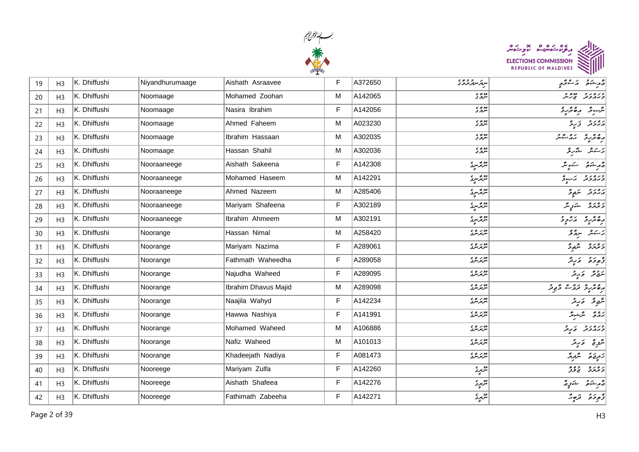



| 19 | H <sub>3</sub> | K. Dhiffushi | Niyandhurumaage | Aishath Asraavee     | F  | A372650 | سرکر سرچر جو دی     | وأمر يسكونج والكاسكرمي                      |
|----|----------------|--------------|-----------------|----------------------|----|---------|---------------------|---------------------------------------------|
| 20 | H <sub>3</sub> | K. Dhiffushi | Noomaage        | Mohamed Zoohan       | м  | A142065 | وو پر ي<br>سرچ ي    | כנסנכ ממכ<br>כ <i>ג</i> ונכני <u>א</u> ליינ |
| 21 | H <sub>3</sub> | K. Dhiffushi | Noomaage        | Nasira Ibrahim       | F  | A142056 | وو پر ي<br>سرچ ي    | ترجوند وكالذرد                              |
| 22 | H <sub>3</sub> | K. Dhiffushi | Noomaage        | Ahmed Faheem         | М  | A023230 | وو پر ي<br>سرچ ي    | ړ پروتر کې د                                |
| 23 | H <sub>3</sub> | K. Dhiffushi | Noomaage        | Ibrahim Hassaan      | м  | A302035 | دد د د ،<br>سرچ ی   | رە ئرىر ئەر ئىر                             |
| 24 | H <sub>3</sub> | K. Dhiffushi | Noomaage        | Hassan Shahil        | М  | A302036 | دوره بر<br>سرچ ی    | ىزىكەش ئىشرىۋ                               |
| 25 | H <sub>3</sub> | K. Dhiffushi | Nooraaneege     | Aishath Sakeena      | F  | A142308 | مر پڑ ہر ،          | ۇرمىشقى سىمبىر                              |
| 26 | H <sub>3</sub> | K. Dhiffushi | Nooraaneege     | Mohamed Haseem       | М  | A142291 | تر پڑ ہر کا         | ورەرو پەيدۇ                                 |
| 27 | H <sub>3</sub> | K. Dhiffushi | Nooraaneege     | Ahmed Nazeem         | м  | A285406 | دور<br>سربر سربر    | ړ د کرو سکنږ و                              |
| 28 | H <sub>3</sub> | K. Dhiffushi | Nooraaneege     | Mariyam Shafeena     | F. | A302189 | دو پرې<br>سرچرسرچ   | دەرە شەرىگە                                 |
| 29 | H <sub>3</sub> | K. Dhiffushi | Nooraaneege     | Ibrahim Ahmeem       | М  | A302191 | ترپژمېږي            | ە ھەترىر 2<br>رەھىرىر<br>تروح               |
| 30 | H <sub>3</sub> | K. Dhiffushi | Noorange        | Hassan Nimal         | м  | A258420 | دد بر ه ،<br>سرپرسر | ىزىكىش ئىرقەقر                              |
| 31 | H <sub>3</sub> | K. Dhiffushi | Noorange        | Mariyam Nazima       | F  | A289061 | دد بر ه ،<br>سرپرسر | ر ه ر ه<br><del>د</del> بربرد<br>متَرەْجە   |
| 32 | H <sub>3</sub> | K. Dhiffushi | Noorange        | Fathmath Waheedha    | F  | A289058 | دد بر ه ،<br>سرپرسر | وٌمودَهُ وَرِمَّرُ                          |
| 33 | H <sub>3</sub> | K. Dhiffushi | Noorange        | Najudha Waheed       | F  | A289095 | دد بر ه ،<br>سرپرسر | يترة محددتمر                                |
| 34 | H <sub>3</sub> | K. Dhiffushi | Noorange        | Ibrahim Dhavus Majid | М  | A289098 | دد بر ه ،<br>سرپرسر | ړەنگرېرى ترور ئىم ئى                        |
| 35 | H <sub>3</sub> | K. Dhiffushi | Noorange        | Naajila Wahyd        | F  | A142234 | دد بر ه ،<br>سرپرسر |                                             |
| 36 | H <sub>3</sub> | K. Dhiffushi | Noorange        | Hawwa Nashiya        | F  | A141991 | دد بر ه ،<br>سرپرسر | رەپە س <i>رىيە</i> ر                        |
| 37 | H <sub>3</sub> | K. Dhiffushi | Noorange        | Mohamed Waheed       | м  | A106886 | دد بر ه ،<br>سرپرسر | ورەرو كەيتر                                 |
| 38 | H <sub>3</sub> | K. Dhiffushi | Noorange        | Nafiz Waheed         | М  | A101013 | دد بر ه ،<br>سرپرسر | سٌمَعِ حَمَدٍ مِنْ                          |
| 39 | H <sub>3</sub> | K. Dhiffushi | Noorange        | Khadeejath Nadiya    | F  | A081473 | دد بر ه ،<br>سرپرسر | كەرىئە ئىگىرىگە                             |
| 40 | H <sub>3</sub> | K. Dhiffushi | Nooreege        | Mariyam Zulfa        | F  | A142260 | دد<br>مترسر پر      | رەرە دەپر                                   |
| 41 | H <sub>3</sub> | K. Dhiffushi | Nooreege        | Aishath Shafeea      | F  | A142276 | دد<br>مترسمي د      | ۇ مەنبەدە<br>مەم<br>شَدَوٍ مَرَّ            |
| 42 | H <sub>3</sub> | K. Dhiffushi | Nooreege        | Fathimath Zabeeha    | F  | A142271 | دد<br>مترسری        | وٌمودَهُ نَرَمٍ رُّ                         |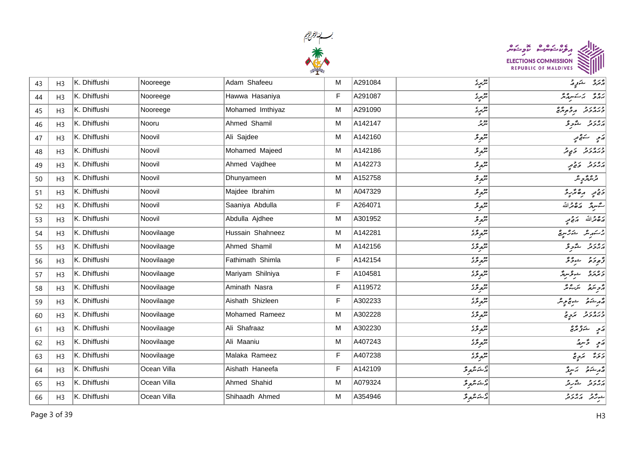



| 43 | H <sub>3</sub> | K. Dhiffushi | Nooreege    | Adam Shafeeu     | M           | A291084 | دو<br>مترسر پر                       | پر پر و<br>  پر پر پر مشتر پر پر            |
|----|----------------|--------------|-------------|------------------|-------------|---------|--------------------------------------|---------------------------------------------|
| 44 | H <sub>3</sub> | K. Dhiffushi | Nooreege    | Hawwa Hasaniya   | F           | A291087 | دو<br>مترسر پر                       | رەم ئەسكىر                                  |
| 45 | H <sub>3</sub> | K. Dhiffushi | Nooreege    | Mohamed Imthiyaz | М           | A291090 | دو<br>مترسمي <sup>ى</sup>            | כמחכת תכתחתם                                |
| 46 | H <sub>3</sub> | K. Dhiffushi | Nooru       | Ahmed Shamil     | М           | A142147 | دو و<br>سربر                         | رەرد شەرقى                                  |
| 47 | H <sub>3</sub> | K. Dhiffushi | Noovil      | Ali Sajdee       | М           | A142160 | يتروعه                               | ړکو کوچي                                    |
| 48 | H <sub>3</sub> | K. Dhiffushi | Noovil      | Mohamed Majeed   | М           | A142186 | يتروعه                               | دبره بر دبانی تر دبانی تر                   |
| 49 | H <sub>3</sub> | K. Dhiffushi | Noovil      | Ahmed Vajdhee    | М           | A142273 | يترهر فحر                            | پره پر پر ويه د                             |
| 50 | H <sub>3</sub> | K. Dhiffushi | Noovil      | Dhunyameen       | M           | A152758 | يتروعه                               | ر <i>و هرگر<sub>چ</sub> بگر</i>             |
| 51 | H <sub>3</sub> | K. Dhiffushi | Noovil      | Majdee Ibrahim   | M           | A047329 | يتزوعه                               | دوير برەنگرىرد                              |
| 52 | H <sub>3</sub> | K. Dhiffushi | Noovil      | Saaniya Abdulla  | F           | A264071 | يتروعه                               | تحسير تده قرالله                            |
| 53 | H <sub>3</sub> | K. Dhiffushi | Noovil      | Abdulla Ajdhee   | М           | A301952 | يتروعه                               | رەقەللە مەمىر                               |
| 54 | H <sub>3</sub> | K. Dhiffushi | Noovilaage  | Hussain Shahneez | М           | A142281 | دد په په<br>سر <sub>گ</sub> ورگور    | برسكريش كشررينج                             |
| 55 | H <sub>3</sub> | K. Dhiffushi | Noovilaage  | Ahmed Shamil     | М           | A142156 | دد په په<br>سر <sub>گر</sub> مخری    | رەرد شەرق                                   |
| 56 | H <sub>3</sub> | K. Dhiffushi | Noovilaage  | Fathimath Shimla | F           | A142154 | دو په په<br>متر <sub>حو</sub> پخه په | أرتموخا والمسوفاة                           |
| 57 | H <sub>3</sub> | K. Dhiffushi | Noovilaage  | Mariyam Shilniya | F           | A104581 | دو په په<br>سر <sub>گر</sub> مخری    | ر ہ ر ہ<br>تر بربر<br>ے و <sup>2</sup> سرمر |
| 58 | H <sub>3</sub> | K. Dhiffushi | Noovilaage  | Aminath Nasra    | F           | A119572 | دد په په<br>سره مرد                  | أأزوبتره بترباء يز                          |
| 59 | H <sub>3</sub> | K. Dhiffushi | Noovilaage  | Aishath Shizleen | $\mathsf F$ | A302233 | پژ <sub>ھر مح</sub> ری               | وكرمشكم الشوج محبش                          |
| 60 | H <sub>3</sub> | K. Dhiffushi | Noovilaage  | Mohamed Rameez   | М           | A302228 | دد په په<br>سره مرد                  | دره ر د در پر د                             |
| 61 | H <sub>3</sub> | K. Dhiffushi | Noovilaage  | Ali Shafraaz     | М           | A302230 | دد په په<br>سر <sub>گر</sub> مخری    | اړ <sub>مو</sub> شور پره<br>ا               |
| 62 | H <sub>3</sub> | K. Dhiffushi | Noovilaage  | Ali Maaniu       | M           | A407243 | دد په په<br>سره مرد                  | پَه په په په په                             |
| 63 | H <sub>3</sub> | K. Dhiffushi | Noovilaage  | Malaka Rameez    | F           | A407238 | دد په په<br>سر <sub>گر</sub> مخری    | د د ټه تر د پر                              |
| 64 | H <sub>3</sub> | K. Dhiffushi | Ocean Villa | Aishath Haneefa  | F           | A142109 | رم يئە مىنى ئى                       | مەرىشى ئاسپۇ                                |
| 65 | H <sub>3</sub> | K. Dhiffushi | Ocean Villa | Ahmed Shahid     | M           | A079324 | مجمة متنظر عبد <del>م</del> حم       | برەر دېم شەرىر                              |
| 66 | H <sub>3</sub> | K. Dhiffushi | Ocean Villa | Shihaadh Ahmed   | M           | A354946 | مجمة مثمور <sup>2</sup>              | شورجو مره برو بر                            |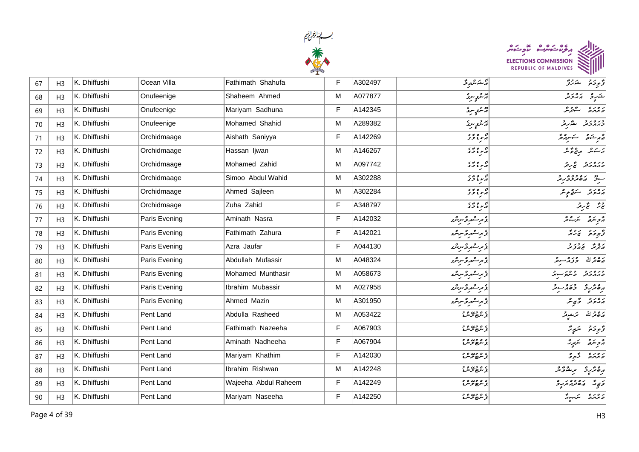



| 67 | H <sub>3</sub> | K. Dhiffushi | Ocean Villa   | Fathimath Shahufa    | F | A302497 | م<br>مشاهیم محمد محمد محمد ا                | وَجِوحَةَ جَارَوْ                                 |
|----|----------------|--------------|---------------|----------------------|---|---------|---------------------------------------------|---------------------------------------------------|
| 68 | H <sub>3</sub> | K. Dhiffushi | Onufeenige    | Shaheem Ahmed        | M | A077877 | بیستروپیسرند                                | شرره بره دو                                       |
| 69 | H <sub>3</sub> | K. Dhiffushi | Onufeenige    | Mariyam Sadhuna      | F | A142345 | بیستروپیسیدنگ                               | ر ه پر ه<br>د بربر د<br>گە تەرىگە                 |
| 70 | H <sub>3</sub> | K. Dhiffushi | Onufeenige    | Mohamed Shahid       | М | A289382 | بیستروپیسیدنگ                               | ورەرو شەرقە                                       |
| 71 | H <sub>3</sub> | K. Dhiffushi | Orchidmaage   | Aishath Saniyya      | F | A142269 | ه موء مي<br>د سره څو                        | أقرم شوقه كالمسترورة                              |
| 72 | H <sub>3</sub> | K. Dhiffushi | Orchidmaage   | Hassan Ijwan         | M | A146267 | ەر ە دى<br>مەر دى                           | ىرىكىش بەق قرىش                                   |
| 73 | H <sub>3</sub> | K. Dhiffushi | Orchidmaage   | Mohamed Zahid        | M | A097742 | ه وه و.<br>مربع څن                          | ورەرو ئەرق                                        |
| 74 | H <sub>3</sub> | K. Dhiffushi | Orchidmaage   | Simoo Abdul Wahid    | M | A302288 | ه<br>د سره څه                               | ر دو ده ده د د د<br>  سرد اړه تر وي در            |
| 75 | H <sub>3</sub> | K. Dhiffushi | Orchidmaage   | Ahmed Sajleen        | М | A302284 | ه موء دي<br>مربع څنو                        | رەرە سەھ چىگر                                     |
| 76 | H <sub>3</sub> | K. Dhiffushi | Orchidmaage   | Zuha Zahid           | F | A348797 | ه موء دي<br>مربع څنو                        | چرمحہ سمج س <sub>ر</sub> قر                       |
| 77 | H <sub>3</sub> | K. Dhiffushi | Paris Evening | Aminath Nasra        | F | A142032 | ۇ بر شەر ۋىبرىنىد                           | أدويتكم الترجو                                    |
| 78 | H <sub>3</sub> | K. Dhiffushi | Paris Evening | Fathimath Zahura     | F | A142021 | ئۇ <i>مەر شەر ھى</i> ر سرىنى <sub>گ</sub>   | وٌموحَمٌ بِرَحمٌ                                  |
| 79 | H <sub>3</sub> | K. Dhiffushi | Paris Evening | Azra Jaufar          | F | A044130 | ئۇ سەسىر ھەسرىكىمە<br>                      | رەپر رەرىر<br>مەنىرىر <i>قەنى</i> ر               |
| 80 | H <sub>3</sub> | K. Dhiffushi | Paris Evening | Abdullah Mufassir    | М | A048324 | ئۇ سەسىر مىس <sup>ى</sup> رىسىد             | رە داللە دىرە بەر                                 |
| 81 | H <sub>3</sub> | K. Dhiffushi | Paris Evening | Mohamed Munthasir    | M | A058673 | ئۇ بىر سىمبر ھ <sub>ى</sub> سەر سىر سىر<br> | ورەرو وەرب                                        |
| 82 | H <sub>3</sub> | K. Dhiffushi | Paris Evening | Ibrahim Mubassir     | M | A027958 | ۇ بر شەر ۋىبرىنىد                           | ىر ھەترىر <i>ۋ</i><br>حەم سىر<br><i>مەھەر</i> سىر |
| 83 | H <sub>3</sub> | K. Dhiffushi | Paris Evening | Ahmed Mazin          | М | A301950 | ۇ بر شەر ۋىبرىشد                            | رەر ئۇ ئە                                         |
| 84 | H <sub>3</sub> | K. Dhiffushi | Pent Land     | Abdulla Rasheed      | M | A053422 | ه و وړه و د<br>بر سرچ پوسو                  | أرة قرالله ترجع                                   |
| 85 | H <sub>3</sub> | K. Dhiffushi | Pent Land     | Fathimath Nazeeha    | F | A067903 | ې د وي د د<br>بر سرچ پر س                   | تزود خريم ترامي ملتقي                             |
| 86 | H <sub>3</sub> | K. Dhiffushi | Pent Land     | Aminath Nadheeha     | F | A067904 | ه و وړه و د<br>بر سرچ مرسو                  | ۇ جە سىر ج<br>سرمور                               |
| 87 | H <sub>3</sub> | K. Dhiffushi | Pent Land     | Mariyam Khathim      | F | A142030 | ه و وړه و د<br>بر سرچ مرسو                  | رەرە ئەرە                                         |
| 88 | H <sub>3</sub> | K. Dhiffushi | Pent Land     | Ibrahim Rishwan      | М | A142248 | ه و وړه و د<br>بر سرچ مرسو                  | رەڭرىۋە برىشۇش                                    |
| 89 | H <sub>3</sub> | K. Dhiffushi | Pent Land     | Wajeeha Abdul Raheem | F | A142249 | ه و وړه و د<br>بر سرچ پر س                  | وَمٍ يُنَ " مَا قَدْمَ يَرَ يَرْ وَ               |
| 90 | H <sub>3</sub> | K. Dhiffushi | Pent Land     | Mariyam Naseeha      | F | A142250 | ه و وړه و د<br>بر سرچ نو سره                | رەرە شبېر                                         |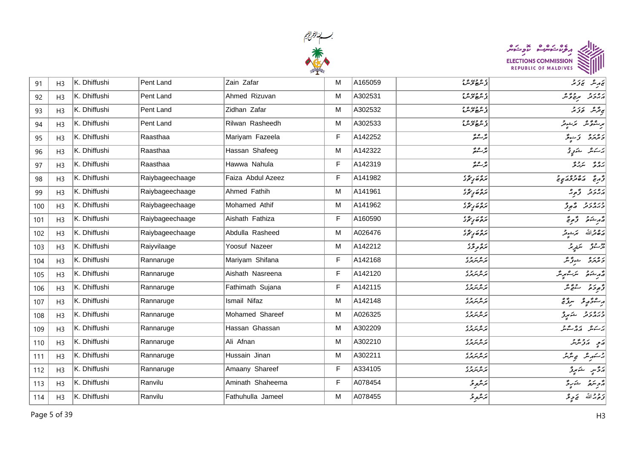



| 91  | H <sub>3</sub> | K. Dhiffushi | Pent Land       | Zain Zafar        | М  | A165059 | ه و وړه و د<br>بر سرچ مرسو    | ىم پىر ئەزىر                          |
|-----|----------------|--------------|-----------------|-------------------|----|---------|-------------------------------|---------------------------------------|
| 92  | H <sub>3</sub> | K. Dhiffushi | Pent Land       | Ahmed Rizuvan     | М  | A302531 | ه و وړه و د<br>بر سرچو شرع    | رەرد پروژه                            |
| 93  | H <sub>3</sub> | K. Dhiffushi | Pent Land       | Zidhan Zafar      | М  | A302532 | ی و وی و و<br>بر مربع پر مربع | ى <sub>ج</sub> ىترىتر ئ <i>ۆ</i> زىتر |
| 94  | H <sub>3</sub> | K. Dhiffushi | Pent Land       | Rilwan Rasheedh   | М  | A302533 | ه و وړه و د<br>بر سرچ مرسو    | مرت ده گر مرکب در                     |
| 95  | H <sub>3</sub> | K. Dhiffushi | Raasthaa        | Mariyam Fazeela   | F. | A142252 | پر ٥ پر                       | لزەرە كەنبەتى                         |
| 96  | H <sub>3</sub> | K. Dhiffushi | Raasthaa        | Hassan Shafeeg    | М  | A142322 | پۇ مەمۇ                       | پرستمبر مستقاریخ                      |
| 97  | H <sub>3</sub> | K. Dhiffushi | Raasthaa        | Hawwa Nahula      | F  | A142319 | پۇ رەپچ                       | رەپ ئەرق                              |
| 98  | H <sub>3</sub> | K. Dhiffushi | Raiybageechaage | Faiza Abdul Azeez | F. | A141982 | بره و پر په پ                 | ترمع مەمرومىي                         |
| 99  | H <sub>3</sub> | K. Dhiffushi | Raiybageechaage | Ahmed Fathih      | М  | A141961 | بره در په پر                  | رەر ئەرب                              |
| 100 | H <sub>3</sub> | K. Dhiffushi | Raiybageechaage | Mohamed Athif     | М  | A141962 | بَرُهُ صَيْ بِمُحْرَ          | دره در د په و                         |
| 101 | H <sub>3</sub> | K. Dhiffushi | Raiybageechaage | Aishath Fathiza   | F. | A160590 | بره ځو په نو د                | ۇ ھۇم<br>لقمر يئمقم                   |
| 102 | H <sub>3</sub> | K. Dhiffushi | Raiybageechaage | Abdulla Rasheed   | М  | A026476 | بره ده پر پر د                | پر ۱۵ قرالله<br>بمرشوقر               |
| 103 | H <sub>3</sub> | K. Dhiffushi | Raiyvilaage     | Yoosuf Nazeer     | М  | A142212 | برة وقرز                      | ژرختۇ سىنېپىتى                        |
| 104 | H <sub>3</sub> | K. Dhiffushi | Rannaruge       | Mariyam Shifana   | F. | A142168 | ر ہ ر د ،<br>بربربربری        | رەرە ھەق شەرىگە                       |
| 105 | H <sub>3</sub> | K. Dhiffushi | Rannaruge       | Aishath Nasreena  | F. | A142120 | ر ہ ر د ،<br>بربربربری        | ە ئەر ئىكەن ئىز ئىكىم پەنگ            |
| 106 | H <sub>3</sub> | K. Dhiffushi | Rannaruge       | Fathimath Sujana  | F  | A142115 | ر ہ ر د ،<br>بربربربری        | ژُهِ دَمَ صَفَّ سَرَ                  |
| 107 | H <sub>3</sub> | K. Dhiffushi | Rannaruge       | Ismail Nifaz      | М  | A142148 | ر ہ ر د ،<br>بربربربری        | برسىۋېر ئىس سورى                      |
| 108 | H <sub>3</sub> | K. Dhiffushi | Rannaruge       | Mohamed Shareef   | М  | A026325 | ر ہ ر د ،<br>بربربربری        | ورەرو شەيرو                           |
| 109 | H <sub>3</sub> | K. Dhiffushi | Rannaruge       | Hassan Ghassan    | М  | A302209 | ر ہ ر د ،<br>بربربربری        | ئەسكەش   ئەركە ئەسىر                  |
| 110 | H <sub>3</sub> | K. Dhiffushi | Rannaruge       | Ali Afnan         | М  | A302210 | ر ہ ر د ،<br>بربربربری        | رَمِيهِ _ رَرْشَتْرَ                  |
| 111 | H <sub>3</sub> | K. Dhiffushi | Rannaruge       | Hussain Jinan     | м  | A302211 | ر ہ ر د ،<br>بربربربری        | 2سكىرىنقر بى ئىگەنىگە                 |
| 112 | H <sub>3</sub> | K. Dhiffushi | Rannaruge       | Amaany Shareef    | F. | A334105 | ر ہ ر د ،<br>بربربربری        | أرَدُّسٍ شَهْرِرْ                     |
| 113 | H <sub>3</sub> | K. Dhiffushi | Ranvilu         | Aminath Shaheema  | F. | A078454 | ىرىرىدۇ                       | مَّرْسِرَهُ شَرِيَّةٌ                 |
| 114 | H <sub>3</sub> | K. Dhiffushi | Ranvilu         | Fathuhulla Jameel | M  | A078455 | برعرمر                        | ترة چرالله تح تريحه                   |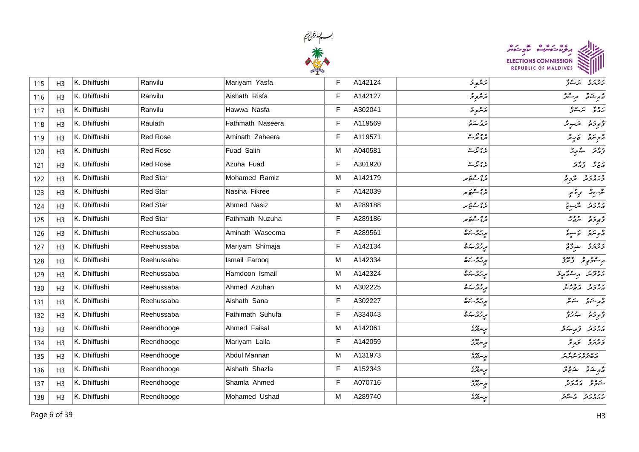



| 115 | H <sub>3</sub> | K. Dhiffushi | Ranvilu         | Mariyam Yasfa    | F | A142124 | برمروقر                             | ترەرە بەرەپچ                          |
|-----|----------------|--------------|-----------------|------------------|---|---------|-------------------------------------|---------------------------------------|
| 116 | H <sub>3</sub> | K. Dhiffushi | Ranvilu         | Aishath Risfa    | F | A142127 | ىرىرىدۇ                             | قەرىشىقى بىرىشۇ                       |
| 117 | H <sub>3</sub> | K. Dhiffushi | Ranvilu         | Hawwa Nasfa      | F | A302041 | ىرىموقر                             | پروژ سرے ژ                            |
| 118 | H <sub>3</sub> | K. Dhiffushi | Raulath         | Fathmath Naseera | F | A119569 | ر و بر و<br>برو شوه                 | ژَهِ دَهْ تَرَ سَرَ پَرَ              |
| 119 | H <sub>3</sub> | K. Dhiffushi | Red Rose        | Aminath Zaheera  | F | A119571 | ، ە مەھ<br>ئىرونىمەت                | دَّحْرِ سَمَعَ بِحَرْبِيْتِهِ         |
| 120 | H <sub>3</sub> | K. Dhiffushi | Red Rose        | Fuad Salih       | М | A040581 | ، ە مەھ<br>ئىرونىمەت                | وژو څرو                               |
| 121 | H <sub>3</sub> | K. Dhiffushi | <b>Red Rose</b> | Azuha Fuad       | F | A301920 | <sup>ی ہ م</sup> ی ہے               | پرچ پی توریخ                          |
| 122 | H <sub>3</sub> | K. Dhiffushi | <b>Red Star</b> | Mohamed Ramiz    | Μ | A142179 | ی ه <u>۵ شوند</u>                   | ورەر د پر د                           |
| 123 | H <sub>3</sub> | K. Dhiffushi | <b>Red Star</b> | Nasiha Fikree    | F | A142039 | ي ه ه شوند                          | شهبوش ويقمي                           |
| 124 | H <sub>3</sub> | K. Dhiffushi | <b>Red Star</b> | Ahmed Nasiz      | М | A289188 | ي ه ه شوند                          | ىدگە سەم<br>  پر و ر و                |
| 125 | H <sub>3</sub> | K. Dhiffushi | <b>Red Star</b> | Fathmath Nuzuha  | F | A289186 | <sup>ی ہ</sup> بے تھے بر            | سرچ ش<br>ا ژهوځو                      |
| 126 | H <sub>3</sub> | K. Dhiffushi | Reehussaba      | Aminath Waseema  | F | A289561 | بربر و مریخ                         | دَّحْرِ سَرَةَ = حَاسِرَةَ            |
| 127 | H <sub>3</sub> | K. Dhiffushi | Reehussaba      | Mariyam Shimaja  | F | A142134 | ىر 22 مەنچ                          | و مرمرو شودٌ قُ                       |
| 128 | H <sub>3</sub> | K. Dhiffushi | Reehussaba      | Ismail Farooq    | М | A142334 | بربر و مریخ                         | پرسرې په وسی                          |
| 129 | H <sub>3</sub> | K. Dhiffushi | Reehussaba      | Hamdoon Ismail   | М | A142324 | ا پر ژه به ځه<br>په تر د ښو         | پرورو در موگرو                        |
| 130 | H <sub>3</sub> | K. Dhiffushi | Reehussaba      | Ahmed Azuhan     | М | A302225 | بربر و ه بر پر                      | أرەر دىرومى                           |
| 131 | H <sub>3</sub> | K. Dhiffushi | Reehussaba      | Aishath Sana     | F | A302227 | ا پر ژه به ځه ځه<br>په سرچينې       | شهرڪنص ڪنگر                           |
| 132 | H <sub>3</sub> | K. Dhiffushi | Reehussaba      | Fathimath Suhufa | F | A334043 | ىر يەم بە ئە                        | ژُهِ دَمَ جَمْعَرُ وَ                 |
| 133 | H <sub>3</sub> | K. Dhiffushi | Reendhooge      | Ahmed Faisal     | М | A142061 | بر سرود ۽<br>برسرفري                | پروتر تەرىبتۇ                         |
| 134 | H <sub>3</sub> | K. Dhiffushi | Reendhooge      | Mariyam Laila    | F | A142059 | ا <sub>مو</sub> سرود د<br>په سربر د | د ۱۶ و تو پر تخ                       |
| 135 | H <sub>3</sub> | K. Dhiffushi | Reendhooge      | Abdul Mannan     | М | A131973 | ا پر سرچو ۽<br>سرچري                | ر ه و و د ر ه ش تر<br>پرې فرمز تر سرس |
| 136 | H <sub>3</sub> | K. Dhiffushi | Reendhooge      | Aishath Shazla   | F | A152343 | ا سرسرود ،<br>سرسربری               | مەر ئىككى ئىككى ئى                    |
| 137 | H <sub>3</sub> | K. Dhiffushi | Reendhooge      | Shamla Ahmed     | F | A070716 | ا پر سرد دی.<br>بر سرفری            | شەھ ئەر ئەر ئەر                       |
| 138 | H <sub>3</sub> | K. Dhiffushi | Reendhooge      | Mohamed Ushad    | М | A289740 | ا موسرود ،<br>په سربر د             | ورەر د دېگ                            |
|     |                |              |                 |                  |   |         |                                     |                                       |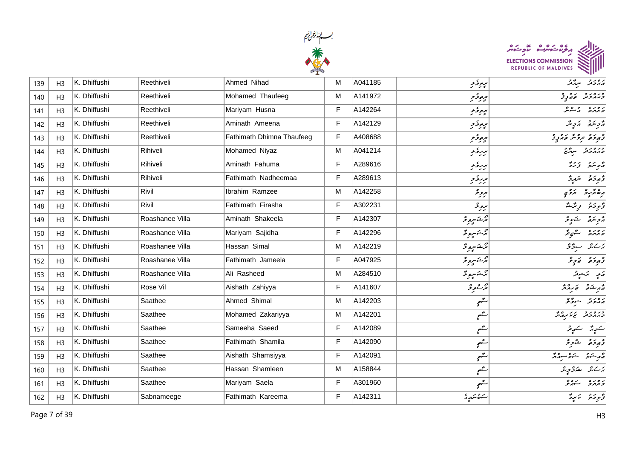



| 139 | H <sub>3</sub> | K. Dhiffushi | Reethiveli      | Ahmed Nihad               | M  | A041185 | ىرموغە<br>ئ <sup>ەر</sup> ر                 | أرور و سرچمر                                   |
|-----|----------------|--------------|-----------------|---------------------------|----|---------|---------------------------------------------|------------------------------------------------|
| 140 | H <sub>3</sub> | K. Dhiffushi | Reethiveli      | Mohamed Thaufeeg          | м  | A141972 | ىرە <sub>ۋ</sub> ۇر                         | כנסני ניקי                                     |
| 141 | H <sub>3</sub> | K. Dhiffushi | Reethiveli      | Mariyam Husna             | F  | A142264 | ىرە <sub>ۋ</sub> ۇر                         | د ۱۳۶۵ می می شرکتر                             |
| 142 | H <sub>3</sub> | K. Dhiffushi | Reethiveli      | Aminath Ameena            | F. | A142129 | ىرە ۋېر<br>ئ <sup>ەر</sup>                  | أترجر تنغي أترجينه                             |
| 143 | H <sub>3</sub> | K. Dhiffushi | Reethiveli      | Fathimath Dhimna Thaufeeg | F. | A408688 | ىرە <sub>ۋ</sub> ۇمۇ<br>ئ <sup>ەرگە</sup> ر | رٌوڄوَ مرد مَدُ وَمَرُ رِجْ                    |
| 144 | H <sub>3</sub> | K. Dhiffushi | Rihiveli        | Mohamed Niyaz             | M  | A041214 | ىررى<br>ئرىر ئىر                            | בגםגב תוצב                                     |
| 145 | H <sub>3</sub> | K. Dhiffushi | Rihiveli        | Aminath Fahuma            | F. | A289616 | ىرىر ئى مە                                  | أأرمز ورومح                                    |
| 146 | H <sub>3</sub> | K. Dhiffushi | Rihiveli        | Fathimath Nadheemaa       | F. | A289613 | ىررى<br>ئرىرقىم                             | تزهوخاته الكبريج                               |
| 147 | H <sub>3</sub> | K. Dhiffushi | Rivil           | Ibrahim Ramzee            | M  | A142258 | ىرەپچە                                      | رە ئەر ئىگەي                                   |
| 148 | H <sub>3</sub> | K. Dhiffushi | Rivil           | Fathimath Firasha         | F  | A302231 | ىرەپۇ                                       | أرتموخش وبرشة                                  |
| 149 | H <sub>3</sub> | K. Dhiffushi | Roashanee Villa | Aminath Shakeela          | F. | A142307 | م<br>ئاسىسىسىسى ئىس <sup>ىر</sup>           | ۇ ئەسكە ئەر                                    |
| 150 | H <sub>3</sub> | K. Dhiffushi | Roashanee Villa | Mariyam Sajidha           | F. | A142296 | ئۇيغۇرىيو ئە                                | سَدَّمٍ مَرَّ<br>ر ه ر ه<br><del>و</del> بربرو |
| 151 | H <sub>3</sub> | K. Dhiffushi | Roashanee Villa | Hassan Simal              | М  | A142219 | ئۇيسىسىرىدۇ                                 | بزستەنتى<br>سىۋىۋ                              |
| 152 | H <sub>3</sub> | K. Dhiffushi | Roashanee Villa | Fathimath Jameela         | F  | A047925 | ئۇينە <sub>سوپوقىر</sub>                    | تزجرخر فالحاج فخر                              |
| 153 | H <sub>3</sub> | K. Dhiffushi | Roashanee Villa | Ali Rasheed               | M  | A284510 | ئۇينەس <sub>ى</sub> بورگە                   | أركمني التركيبيون                              |
| 154 | H <sub>3</sub> | K. Dhiffushi | Rose Vil        | Aishath Zahiyya           | F  | A141607 | جرشوعه                                      |                                                |
| 155 | H <sub>3</sub> | K. Dhiffushi | Saathee         | Ahmed Shimal              | M  | A142203 | ستهمج                                       | رەرد جوڭو                                      |
| 156 | H <sub>3</sub> | K. Dhiffushi | Saathee         | Mohamed Zakariyya         | м  | A142201 | رمعمي                                       | כמפרכ שעית מא                                  |
| 157 | H <sub>3</sub> | K. Dhiffushi | Saathee         | Sameeha Saeed             | F  | A142089 | ستهج                                        | سكويد اسكويتر                                  |
| 158 | H <sub>3</sub> | K. Dhiffushi | Saathee         | Fathimath Shamila         | F  | A142090 | رحمي                                        | رَّمُوحَمَّ شَّرْدَ                            |
| 159 | H <sub>3</sub> | K. Dhiffushi | Saathee         | Aishath Shamsiyya         | F  | A142091 | ستممج                                       | أقهر مشوقها الشوقر المراقر                     |
| 160 | H <sub>3</sub> | K. Dhiffushi | Saathee         | Hassan Shamleen           | M  | A158844 | ستهمج                                       | ير عبر مسكون في شركت المسلم                    |
| 161 | H <sub>3</sub> | K. Dhiffushi | Saathee         | Mariyam Saela             | F  | A301960 | رحمي                                        | رەرە سەرەپ                                     |
| 162 | H <sub>3</sub> | K. Dhiffushi | Sabnameege      | Fathimath Kareema         | F. | A142311 | سەھ ئىزىر ئ                                 | ۇ <sub>ج</sub> وچۇ ئايرۇ                       |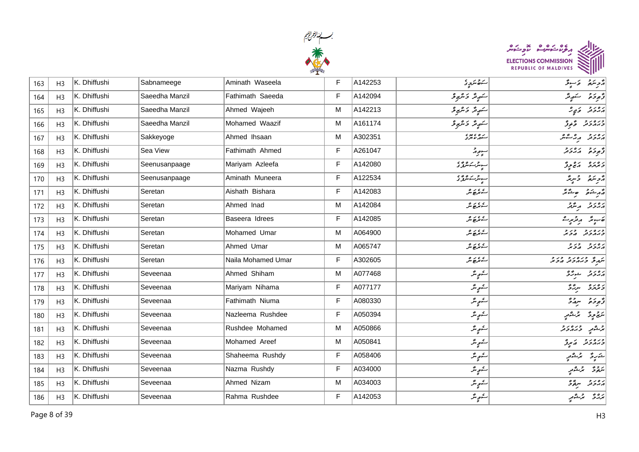



| 163 | H <sub>3</sub> | K. Dhiffushi | Sabnameege     | Aminath Waseela    | F. | A142253 | سەھ ئىزىر ئ                   | أزويتم أأقاسيق                        |
|-----|----------------|--------------|----------------|--------------------|----|---------|-------------------------------|---------------------------------------|
| 164 | H <sub>3</sub> | K. Dhiffushi | Saeedha Manzil | Fathimath Saeeda   | F  | A142094 | سَر په تر تر تر پر تر         | ۇيودۇ سەرپۇ                           |
| 165 | H <sub>3</sub> | K. Dhiffushi | Saeedha Manzil | Ahmed Wajeeh       | м  | A142213 | سَهِيمٌ وَسْمِعُ              | ړ پر د تو تو په                       |
| 166 | H <sub>3</sub> | K. Dhiffushi | Saeedha Manzil | Mohamed Waazif     | м  | A161174 | سَهِيمٌ وَسُمِيحٌ             | ورەر د ئېرە                           |
| 167 | H <sub>3</sub> | K. Dhiffushi | Sakkeyoge      | Ahmed Ihsaan       | M  | A302351 | ر ۵ بر ۲ بر ۲<br>ستهر موجود و | رەرد روشىر                            |
| 168 | H <sub>3</sub> | K. Dhiffushi | Sea View       | Fathimath Ahmed    | F  | A261047 | سوەر                          | وجوحتم متحفظ                          |
| 169 | H <sub>3</sub> | K. Dhiffushi | Seenusanpaage  | Mariyam Azleefa    | F. | A142080 | سەپىر ئەسىرىمى<br>س           | رەرە دە دې                            |
| 170 | H <sub>3</sub> | K. Dhiffushi | Seenusanpaage  | Aminath Muneera    | F  | A122534 | ا<br>سوسر سور مور دی<br>پ     | أأدوبتهم والمعربة                     |
| 171 | H <sub>3</sub> | K. Dhiffushi | Seretan        | Aishath Bishara    | F  | A142083 | <u>، ، ، ،</u> مر             | أقرمنكم ومثقر                         |
| 172 | H <sub>3</sub> | K. Dhiffushi | Seretan        | Ahmed Inad         | м  | A142084 | ع پر چ <sub>ھ</sub>           | پروبرو پرسگر                          |
| 173 | H <sub>3</sub> | K. Dhiffushi | Seretan        | Baseera Idrees     | F  | A142085 | <u>ے پر ع</u>                 | ەسبەئز پروزىرىشە                      |
| 174 | H <sub>3</sub> | K. Dhiffushi | Seretan        | Mohamed Umar       | м  | A064900 | ے پر <sub>جو</sub>            | ورەرو ورو                             |
| 175 | H <sub>3</sub> | K. Dhiffushi | Seretan        | Ahmed Umar         | M  | A065747 | <u>ے پر ع</u>                 | ג פג כגב<br>הגבע הכיל                 |
| 176 | H <sub>3</sub> | K. Dhiffushi | Seretan        | Naila Mohamed Umar | F  | A302605 | <u>، ، ، ،</u> مر             | شرق ورەرو ورو                         |
| 177 | H <sub>3</sub> | K. Dhiffushi | Seveenaa       | Ahmed Shiham       | M  | A077468 | ئەرپەتر                       | پرورو جوگرو                           |
| 178 | H <sub>3</sub> | K. Dhiffushi | Seveenaa       | Mariyam Nihama     | F  | A077177 | سە <sub>ھە</sub> پىگە         | سررگر<br>ر ہ بر ہ                     |
| 179 | H <sub>3</sub> | K. Dhiffushi | Seveenaa       | Fathimath Niuma    | F  | A080330 | شوپتر                         | قويدة البرائية                        |
| 180 | H <sub>3</sub> | K. Dhiffushi | Seveenaa       | Nazleema Rushdee   | F  | A050394 | سە <sub>ھە</sub> پىگە         | لترجي فلتحفيظ المراكب والمحمد والمحمد |
| 181 | H <sub>3</sub> | K. Dhiffushi | Seveenaa       | Rushdee Mohamed    | м  | A050866 | ئە <sub>ھە</sub> بىگە         | پرشمې د بره بر د                      |
| 182 | H <sub>3</sub> | K. Dhiffushi | Seveenaa       | Mohamed Areef      | M  | A050841 | ئە <sub>ھە</sub> بىگە         | دبره دبر دبرو                         |
| 183 | H <sub>3</sub> | K. Dhiffushi | Seveenaa       | Shaheema Rushdy    | F  | A058406 | ئە <sub>ھە</sub> بىگە         | لمكركز المرتكاتي                      |
| 184 | H <sub>3</sub> | K. Dhiffushi | Seveenaa       | Nazma Rushdy       | F  | A034000 | ئە <sub>ھە</sub> بىگە         | ىرو ئەستىمىي                          |
| 185 | H <sub>3</sub> | K. Dhiffushi | Seveenaa       | Ahmed Nizam        | M  | A034003 | ئە <sub>ھە</sub> بىگە         | رەر ئەرگە                             |
| 186 | H <sub>3</sub> | K. Dhiffushi | Seveenaa       | Rahma Rushdee      | F  | A142053 | ئەرپەتر                       | ىرەپچە ئەسىمىي                        |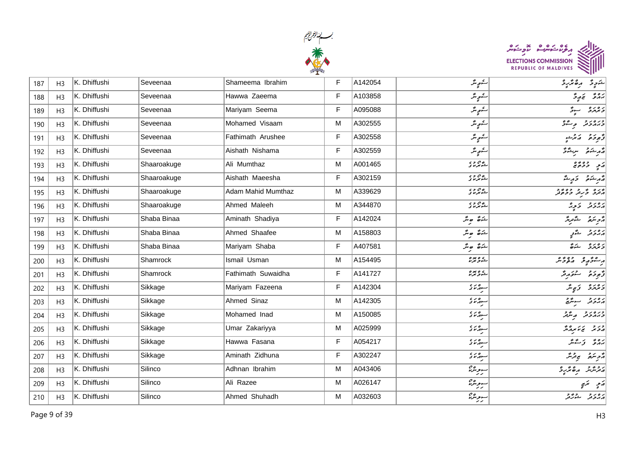



| 187 | H <sub>3</sub> | K. Dhiffushi | Seveenaa    | Shameema Ibrahim          | F           | A142054 | سەھ پىگر                         | شواقح وقاترو                          |
|-----|----------------|--------------|-------------|---------------------------|-------------|---------|----------------------------------|---------------------------------------|
| 188 | H <sub>3</sub> | K. Dhiffushi | Seveenaa    | Hawwa Zaeema              | F           | A103858 | سكوم يتر                         | روء تمدِدَّ                           |
| 189 | H <sub>3</sub> | K. Dhiffushi | Seveenaa    | Mariyam Seema             | $\mathsf F$ | A095088 | سكوم متَر                        | ر ه ر ه<br><del>و</del> بر د و<br>سوژ |
| 190 | H <sub>3</sub> | K. Dhiffushi | Seveenaa    | Mohamed Visaam            | M           | A302555 | سە <sub>ھە</sub> پىگە            | ورەرو بەر                             |
| 191 | H <sub>3</sub> | K. Dhiffushi | Seveenaa    | Fathimath Arushee         | F           | A302558 | ئە <sub>ھە</sub> بىگە            | أرموخا ويمرسو                         |
| 192 | H <sub>3</sub> | K. Dhiffushi | Seveenaa    | Aishath Nishama           | F           | A302559 | سە <sub>ھە</sub> پىگە            | مەر خىمى سرىخىگە                      |
| 193 | H <sub>3</sub> | K. Dhiffushi | Shaaroakuge | Ali Mumthaz               | M           | A001465 | ره 0 و ء<br>شومر پو ي            | أتشعي ووجوح                           |
| 194 | H <sub>3</sub> | K. Dhiffushi | Shaaroakuge | Aishath Maeesha           | F           | A302159 | ره 0 و ء<br>شومر پو ي            | كمرخو وربة                            |
| 195 | H <sub>3</sub> | K. Dhiffushi | Shaaroakuge | <b>Adam Mahid Mumthaz</b> | M           | A339629 | ره 0 و ء<br>شومر پو ي            | ورو و رقر وه وو                       |
| 196 | H <sub>3</sub> | K. Dhiffushi | Shaaroakuge | Ahmed Maleeh              | M           | A344870 | ره ۵ و <sup>ي</sup><br>شومر پو ي | ړ ور د وي                             |
| 197 | H <sub>3</sub> | K. Dhiffushi | Shaba Binaa | Aminath Shadiya           | F           | A142024 | خَذَةً صِتَر                     | أأدوبتكم المشمراة                     |
| 198 | H <sub>3</sub> | K. Dhiffushi | Shaba Binaa | Ahmed Shaafee             | M           | A158803 | خَنَّةً صِتَّر                   | ړ د کر د ځوړ                          |
| 199 | H <sub>3</sub> | K. Dhiffushi | Shaba Binaa | Mariyam Shaba             | F           | A407581 | خَوَّةً صِتَّر                   | ر ہ ر ہ<br>تر بربر ژ<br>سنذة          |
| 200 | H <sub>3</sub> | K. Dhiffushi | Shamrock    | Ismail Usman              | M           | A154495 | ره و بوه<br>شو <del>ر</del> مرن  | أبر مؤثر والمفاقية                    |
| 201 | H <sub>3</sub> | K. Dhiffushi | Shamrock    | Fathimath Suwaidha        | F           | A141727 | ے ہ بیرہ<br>شور ہور              | توجوحتم سنقرمة                        |
| 202 | H <sub>3</sub> | K. Dhiffushi | Sikkage     | Mariyam Fazeena           | F           | A142304 | سوړندي                           | د ۱۵ د باز کالملی میگر                |
| 203 | H <sub>3</sub> | K. Dhiffushi | Sikkage     | Ahmed Sinaz               | M           | A142305 | سوديره                           | ړور سرسرچ                             |
| 204 | H <sub>3</sub> | K. Dhiffushi | Sikkage     | Mohamed Inad              | M           | A150085 | سود بر ،                         | ورەر ئەسكە                            |
| 205 | H <sub>3</sub> | K. Dhiffushi | Sikkage     | Umar Zakariyya            | M           | A025999 | سود بر ،                         | ביב גלאת מה                           |
| 206 | H <sub>3</sub> | K. Dhiffushi | Sikkage     | Hawwa Fasana              | F           | A054217 | سود بر ۽                         | برەپر تەشكە                           |
| 207 | H <sub>3</sub> | K. Dhiffushi | Sikkage     | Aminath Zidhuna           | F.          | A302247 | سەدىرى                           | دَّحْرِ سَمَعٌ مَنْ مِنْدَ مِنْ       |
| 208 | H <sub>3</sub> | K. Dhiffushi | Silinco     | Adhnan Ibrahim            | M           | A043406 | سومريزي<br>سرمرسر                | أرقيتريتر أركا تربرقه                 |
| 209 | H <sub>3</sub> | K. Dhiffushi | Silinco     | Ali Razee                 | M           | A026147 | اسوچر<br>پ                       | ړکو ترې                               |
| 210 | H <sub>3</sub> | K. Dhiffushi | Silinco     | Ahmed Shuhadh             | M           | A032603 | اسوچر<br>پر                      | رەر دىرى                              |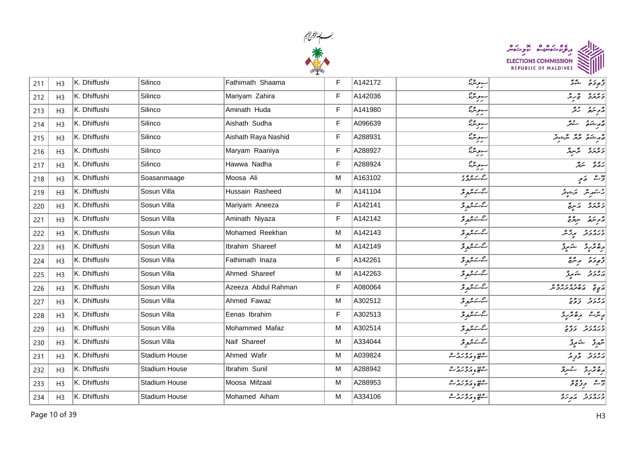



| 211 | H <sub>3</sub> | K. Dhiffushi | Silinco              | Fathimath Shaama    | F | A142172 | اسومیریز<br>کریر              | ستذرع<br>  د څېو د ځو                          |
|-----|----------------|--------------|----------------------|---------------------|---|---------|-------------------------------|------------------------------------------------|
| 212 | H <sub>3</sub> | K. Dhiffushi | Silinco              | Mariyam Zahira      | F | A142036 | اسىۋىترىتى<br>سىر             | ر ه بر ه<br><del>د</del> بر بر ژ<br>ىتى سەتتىر |
| 213 | H <sub>3</sub> | K. Dhiffushi | Silinco              | Aminath Huda        | F | A141980 | اسوچر<br>پ                    | لمجمعه يتمقم<br>رژگر                           |
| 214 | H <sub>3</sub> | K. Dhiffushi | Silinco              | Aishath Sudha       | F | A096639 | اسوچر<br>ري                   | ۇرمىئو سىز                                     |
| 215 | H <sub>3</sub> | K. Dhiffushi | Silinco              | Aishath Raya Nashid | F | A288931 | سومرثر<br>سرس                 | أقدم شوقر المرتكز المرتضون                     |
| 216 | H <sub>3</sub> | K. Dhiffushi | Silinco              | Maryam Raaniya      | F | A288927 | اسىۋىترىتى<br>ك               | دەرە ئرس                                       |
| 217 | H <sub>3</sub> | K. Dhiffushi | Silinco              | Hawwa Nadha         | F | A288924 | اسومیری<br>پ                  | رەپ بەر                                        |
| 218 | H <sub>3</sub> | K. Dhiffushi | Soasanmaage          | Moosa Ali           | М | A163102 | <u>م ئەشرىخ ئ</u>             | لرحمشه الأمير                                  |
| 219 | H <sub>3</sub> | K. Dhiffushi | Sosun Villa          | Hussain Rasheed     | М | A141104 | ج ئەنگەرى <i>گە</i>           | چرىكىرىش ئىگە ئەيدىگە                          |
| 220 | H <sub>3</sub> | K. Dhiffushi | Sosun Villa          | Mariyam Aneeza      | F | A142141 | 2 سەمب <sub>ىرى</sub> ئە      | د مرمرو    مرسرچ                               |
| 221 | H <sub>3</sub> | K. Dhiffushi | Sosun Villa          | Aminath Niyaza      | F | A142142 | <u>مەسە ئىرىمو ئۇ</u>         | رمحر سرچ<br>سروشيح                             |
| 222 | H <sub>3</sub> | K. Dhiffushi | Sosun Villa          | Mohamed Reekhan     | М | A142143 | 2 سەنت <sub>ى</sub> پى ئى     | و ر ه ر د<br>تر بر بر تر<br>ىمەيەتتىر          |
| 223 | H <sub>3</sub> | K. Dhiffushi | Sosun Villa          | Ibrahim Shareef     | М | A142149 | <u>شر سەھرىمى</u>             | دەنئەر ئە<br>ىشكە ئىرىۋ                        |
| 224 | H <sub>3</sub> | K. Dhiffushi | Sosun Villa          | Fathimath Inaza     | F | A142261 | <u>مەسە ئەھرى</u> م           | دَّجِرَةَ جَمَّيَّةَ ۖ                         |
| 225 | H <sub>3</sub> | K. Dhiffushi | Sosun Villa          | Ahmed Shareef       | М | A142263 | 2 سەنئ <sub>ىرى</sub> مۇ      | پرور د سکھرو                                   |
| 226 | H <sub>3</sub> | K. Dhiffushi | Sosun Villa          | Azeeza Abdul Rahman | F | A080064 | <u>ش ئەشرە</u> ئ <sup>ۆ</sup> | د پره ده ده ده وه د                            |
| 227 | H <sub>3</sub> | K. Dhiffushi | Sosun Villa          | Ahmed Fawaz         | M | A302512 | 2 سەنلى <sub>م</sub> ۇ        | رەر دۇر                                        |
| 228 | H <sub>3</sub> | K. Dhiffushi | Sosun Villa          | Eenas Ibrahim       | F | A302513 | ح ئەسەھ <sub>ى</sub> ئە       | ریٹرے رہ مُتَربہ5                              |
| 229 | H <sub>3</sub> | K. Dhiffushi | Sosun Villa          | Mohammed Mafaz      | M | A302514 | 2 سەمب <sub>ىرى</sub> ئە      | 221 21012<br>232 233                           |
| 230 | H <sub>3</sub> | K. Dhiffushi | Sosun Villa          | Naif Shareef        | M | A334044 | <u>شر سەھرىم</u> ۇ            | شَهرِرْ شَهَرٍرْ                               |
| 231 | H <sub>3</sub> | K. Dhiffushi | <b>Stadium House</b> | Ahmed Wafir         | М | A039824 |                               | پر و ر و<br>ۇرىز                               |
| 232 | H <sub>3</sub> | K. Dhiffushi | <b>Stadium House</b> | Ibrahim Sunil       | М | A288942 | متفع وكردمث                   | دەنۇر ۋ<br>سەبىرىۋ                             |
| 233 | H <sub>3</sub> | K. Dhiffushi | <b>Stadium House</b> | Moosa Mifzaal       | М | A288953 |                               | ژئے پارچ و                                     |
| 234 | H <sub>3</sub> | K. Dhiffushi | <b>Stadium House</b> | Mohamed Aiham       | Μ | A334106 | متفع وكردمث                   | כגמכנג הגבל                                    |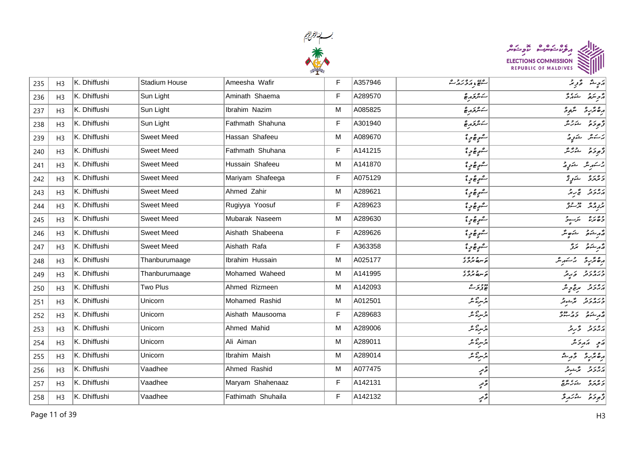



| 235 | H <sub>3</sub> | K. Dhiffushi | <b>Stadium House</b> | Ameesha Wafir      | F | A357946 | متفع وكرومة                          | رَحِيثٌ قُرْبِرٌ                            |
|-----|----------------|--------------|----------------------|--------------------|---|---------|--------------------------------------|---------------------------------------------|
| 236 | H <sub>3</sub> | K. Dhiffushi | Sun Light            | Aminath Shaema     | F | A289570 | سەنئىر قى                            | و څخه سره<br>ستەدى                          |
| 237 | H <sub>3</sub> | K. Dhiffushi | Sun Light            | Ibrahim Nazim      | M | A085825 | سەنئە ئەرقى                          | برځېمتر په د<br>سگھوٹر                      |
| 238 | H <sub>3</sub> | K. Dhiffushi | Sun Light            | Fathmath Shahuna   | F | A301940 | سەمىزىرغ                             | ر شەرقىدىگە<br>وَّجوحَ حَ                   |
| 239 | H <sub>3</sub> | K. Dhiffushi | <b>Sweet Meed</b>    | Hassan Shafeeu     | Μ | A089670 | ٩، وو                                | پرستمبر مشرور                               |
| 240 | H <sub>3</sub> | K. Dhiffushi | <b>Sweet Meed</b>    | Fathmath Shuhana   | F | A141215 | مە <sub>مو</sub> قوچ؟                | ژ <sub>ېو</sub> دَە ئىشرىتر                 |
| 241 | H <sub>3</sub> | K. Dhiffushi | <b>Sweet Meed</b>    | Hussain Shafeeu    | М | A141870 | م <sub>موقع</sub> په                 | 2 سەر شەر ھ                                 |
| 242 | H <sub>3</sub> | K. Dhiffushi | <b>Sweet Meed</b>    | Mariyam Shafeega   | F | A075129 | مشمو <u>ه</u> و ۽                    | د ډېرو د شوړ تنځ                            |
| 243 | H <sub>3</sub> | K. Dhiffushi | <b>Sweet Meed</b>    | Ahmed Zahir        | М | A289621 | مە <sub>مو</sub> قوچ؟                | پرور و مح بر تر                             |
| 244 | H <sub>3</sub> | K. Dhiffushi | <b>Sweet Meed</b>    | Rugiyya Yoosuf     | F | A289623 | مە <sub>مو</sub> قوچ؟                | دو ده<br>در سو<br>  برتوره مر               |
| 245 | H <sub>3</sub> | K. Dhiffushi | <b>Sweet Meed</b>    | Mubarak Naseem     | M | A289630 | ه <sub>م</sub> وقوع و ؟<br>مستوفق مو | و ځانه ه<br><del>د</del> ځانه تر<br>ىئەسىرد |
| 246 | H <sub>3</sub> | K. Dhiffushi | <b>Sweet Meed</b>    | Aishath Shabeena   | F | A289626 | مە <sub>مو</sub> قوچ؟                | مەرخەم خەھ ش                                |
| 247 | H <sub>3</sub> | K. Dhiffushi | <b>Sweet Meed</b>    | Aishath Rafa       | F | A363358 | ر موقع پا                            | مەر شەقر ئىمىر                              |
| 248 | H <sub>3</sub> | K. Dhiffushi | Thanburumaage        | Ibrahim Hussain    | М | A025177 | ر<br>می سرچ مرد د                    | أرەغرىر ئەسەر                               |
| 249 | H <sub>3</sub> | K. Dhiffushi | Thanburumaage        | Mohamed Waheed     | М | A141995 | ر<br>می سرچ بر <del>د</del> و        | ورور و در و                                 |
| 250 | H <sub>3</sub> | K. Dhiffushi | Two Plus             | Ahmed Rizmeen      | М | A142093 | دد دير ه<br>چ بوځو ک                 | پرورو پرچ چینگ                              |
| 251 | H <sub>3</sub> | K. Dhiffushi | Unicorn              | Mohamed Rashid     | М | A012501 | د سرچ مگر<br>مرسرچ مگر               | وره رو هم شوتر<br>(وبروژو گرشوتر            |
| 252 | H <sub>3</sub> | K. Dhiffushi | Unicorn              | Aishath Mausooma   | F | A289683 | وژسر مگر مگر                         | انجم مشتوم العراق المعدد المحمد المستور     |
| 253 | H <sub>3</sub> | K. Dhiffushi | Unicorn              | Ahmed Mahid        | М | A289006 | د سرچ مگر<br>مرسرچ مگر               | پروتر څرتر                                  |
| 254 | H <sub>3</sub> | K. Dhiffushi | Unicorn              | Ali Aiman          | М | A289011 | وژسر مگا مگر                         | مَعٍ   مَدِحَـَّر                           |
| 255 | H <sub>3</sub> | K. Dhiffushi | Unicorn              | Ibrahim Maish      | Μ | A289014 | و<br>مرسر ممر                        | رەنۇرو ۋېرگ                                 |
| 256 | H <sub>3</sub> | K. Dhiffushi | Vaadhee              | Ahmed Rashid       | М | A077475 | حٌورٍ                                | پروتر گرشوتر                                |
| 257 | H <sub>3</sub> | K. Dhiffushi | Vaadhee              | Maryam Shahenaaz   | F | A142131 | حٌورٍ                                | ے پر بھ بھر ج<br>ر ہ ر ہ<br>5 بربر تر       |
| 258 | H <sub>3</sub> | K. Dhiffushi | Vaadhee              | Fathimath Shuhaila | F | A142132 | حگمي                                 | ژَهِ دَمَ صَدَر دَمَر                       |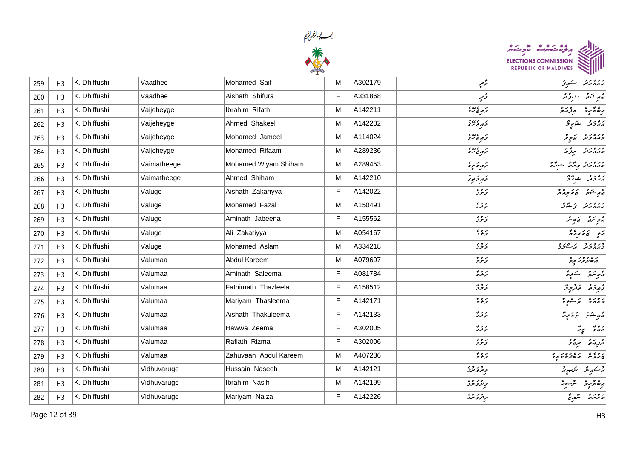



| 259 | H <sub>3</sub> | K. Dhiffushi | Vaadhee     | Mohamed Saif          | M  | A302179 | و<br>ح                                     | در دور در سکه د                  |
|-----|----------------|--------------|-------------|-----------------------|----|---------|--------------------------------------------|----------------------------------|
| 260 | H <sub>3</sub> | K. Dhiffushi | Vaadhee     | Aishath Shifura       | F  | A331868 | ء<br>ح                                     | د.<br>د د شود شور شور            |
| 261 | H <sub>3</sub> | K. Dhiffushi | Vaijeheyge  | Ibrahim Rifath        | M  | A142211 | ر مەيدە<br>ھەرقى سىمى                      | رەنزىر برزمۇ                     |
| 262 | H <sub>3</sub> | K. Dhiffushi | Vaijeheyge  | Ahmed Shakeel         | M  | A142202 | ر<br>تومرہے ر <sub>ک</sub> ے               | برەر پەرتى                       |
| 263 | H <sub>3</sub> | K. Dhiffushi | Vaijeheyge  | Mohamed Jameel        | м  | A114024 | ر<br>تومړي <i>و د</i> ی                    | ورەر دىرو                        |
| 264 | H <sub>3</sub> | K. Dhiffushi | Vaijeheyge  | Mohamed Rifaam        | M  | A289236 | ر<br>تومرہے ر <sub>ک</sub> ے               | ورەر دەرد                        |
| 265 | H <sub>3</sub> | K. Dhiffushi | Vaimatheege | Mohamed Wiyam Shiham  | M  | A289453 | <br>  عدمر حرم و ح                         | ورەرو پەرە ھورى                  |
| 266 | H <sub>3</sub> | K. Dhiffushi | Vaimatheege | Ahmed Shiham          | м  | A142210 | ئەر ئەم <sub>ۇ</sub> ئ                     | رەرد جرگو                        |
| 267 | H <sub>3</sub> | K. Dhiffushi | Valuge      | Aishath Zakariyya     | F  | A142022 | ر و ،<br>حرمی                              | התליפה ביותרת                    |
| 268 | H <sub>3</sub> | K. Dhiffushi | Valuge      | Mohamed Fazal         | M  | A150491 | ر و ،<br>حرمی                              | ورەرو كەنتۇ                      |
| 269 | H <sub>3</sub> | K. Dhiffushi | Valuge      | Aminath Jabeena       | F. | A155562 | ر و ،<br>حرمی                              | تزجر سنتمر في في منتز            |
| 270 | H <sub>3</sub> | K. Dhiffushi | Valuge      | Ali Zakariyya         | M  | A054167 | ر و ،<br>حرمی                              | أوسم المستورة                    |
| 271 | H <sub>3</sub> | K. Dhiffushi | Valuge      | Mohamed Aslam         | M  | A334218 | ر و ،<br>حرمی                              | ورەرو كەھرە                      |
| 272 | H <sub>3</sub> | K. Dhiffushi | Valumaa     | Abdul Kareem          | M  | A079697 | ءَ وُرٌ                                    | ره وه در ه<br>پره ترون برد       |
| 273 | H <sub>3</sub> | K. Dhiffushi | Valumaa     | Aminath Saleema       | F  | A081784 | ء ور                                       | ړٌ پر سَو پر سَو په په           |
| 274 | H <sub>3</sub> | K. Dhiffushi | Valumaa     | Fathimath Thazleela   | F  | A158512 | ء وڻ                                       | تزجوخا والتحريج                  |
| 275 | H <sub>3</sub> | K. Dhiffushi | Valumaa     | Mariyam Thasleema     | F  | A142171 | ر و بر<br>ح <del>فر</del> ق                | ر ہ ر ہ<br>تر بربر ژ<br>ىرسىمودً |
| 276 | H <sub>3</sub> | K. Dhiffushi | Valumaa     | Aishath Thakuleema    | F  | A142133 | ر و ه<br>د نرگ                             | أقهر يشوهن وترويح                |
| 277 | H <sub>3</sub> | K. Dhiffushi | Valumaa     | Hawwa Zeema           | F  | A302005 | ر و بر<br>ح <del>فر</del> ق                | پَرُمُوَّ بِہِ وَّ               |
| 278 | H <sub>3</sub> | K. Dhiffushi | Valumaa     | Rafiath Rizma         | F  | A302006 | ر و ه<br>د نرگ                             | تروره برجر                       |
| 279 | H <sub>3</sub> | K. Dhiffushi | Valumaa     | Zahuvaan Abdul Kareem | м  | A407236 | ء وڻ                                       | נ כשם נספסת פ                    |
| 280 | H <sub>3</sub> | K. Dhiffushi | Vidhuvaruge | Hussain Naseeh        | M  | A142121 | و د و ،<br>و ترو بر د                      | يزخير هر الترجيز                 |
| 281 | H <sub>3</sub> | K. Dhiffushi | Vidhuvaruge | Ibrahim Nasih         | M  | A142199 | و د و ،<br>و ترو بر .                      | ەر ھەترىر <i>ۋ</i><br>ىتزىبەر    |
| 282 | H <sub>3</sub> | K. Dhiffushi | Vidhuvaruge | Mariyam Naiza         | F  | A142226 | و د و ،<br>ح <sub>ی</sub> مر <i>ی بن</i> ر | و ورو شهر                        |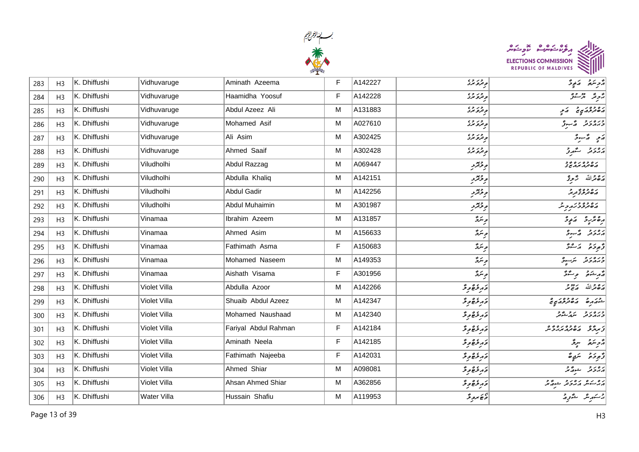



| 283 | H <sub>3</sub> | K. Dhiffushi | Vidhuvaruge  | Aminath Azeema       | F | A142227 | <br>  مومرہ مر <sub>ک</sub>      | و الله الله من الله عليه و الله عليه الله الله عليه الله الله عليه الله عليه الله الله عليه الله ال |
|-----|----------------|--------------|--------------|----------------------|---|---------|----------------------------------|-----------------------------------------------------------------------------------------------------|
| 284 | H <sub>3</sub> | K. Dhiffushi | Vidhuvaruge  | Haamidha Yoosuf      | F | A142228 | و ر و ،<br>و ترو بر <sub>ک</sub> | يُرْحِدُ بِرْحَمْدِ                                                                                 |
| 285 | H <sub>3</sub> | K. Dhiffushi | Vidhuvaruge  | Abdul Azeez Ali      | М | A131883 | و د و ء<br>ج <sup>و</sup> رو برو | גם כסגבת שב הב                                                                                      |
| 286 | H <sub>3</sub> | K. Dhiffushi | Vidhuvaruge  | Mohamed Asif         | М | A027610 | و ر و ،<br>و ترو بر <sub>ک</sub> | ورەرو ئەبدۇ                                                                                         |
| 287 | H <sub>3</sub> | K. Dhiffushi | Vidhuvaruge  | Ali Asim             | М | A302425 | و د و ء<br>ج <sup>و</sup> رو برو |                                                                                                     |
| 288 | H <sub>3</sub> | K. Dhiffushi | Vidhuvaruge  | Ahmed Saaif          | M | A302428 | ا و د و د<br>امومرو سر           | پرەرو شەر                                                                                           |
| 289 | H <sub>3</sub> | K. Dhiffushi | Viludholhi   | Abdul Razzag         | М | A069447 | وقرقرىر                          | ر ۵ ر ۵ ر ۵ ر و ۶<br>ג ځ تر ۱ ر ۲ ر مخ                                                              |
| 290 | H <sub>3</sub> | K. Dhiffushi | Viludholhi   | Abdulla Khaliq       | M | A142151 | وقرقرىر                          | رەقراللە شەم                                                                                        |
| 291 | H <sub>3</sub> | K. Dhiffushi | Viludholhi   | Abdul Gadir          | M | A142256 | وقحقرمر                          | ر ۵ ۶ وه بر بر<br>در ن ترنز توبر                                                                    |
| 292 | H <sub>3</sub> | K. Dhiffushi | Viludholhi   | Abdul Muhaimin       | М | A301987 | وقحقرمر                          | ره ده در<br>په هنرمرد سر                                                                            |
| 293 | H <sub>3</sub> | K. Dhiffushi | Vinamaa      | Ibrahim Azeem        | М | A131857 | عريترقته                         | رەئزىر ئەنجى                                                                                        |
| 294 | H <sub>3</sub> | K. Dhiffushi | Vinamaa      | Ahmed Asim           | М | A156633 | عبة مترقته                       | رەرد شب                                                                                             |
| 295 | H <sub>3</sub> | K. Dhiffushi | Vinamaa      | Fathimath Asma       | F | A150683 | وبترقه                           | أرْجوحَة أرَسْتَرْ                                                                                  |
| 296 | H <sub>3</sub> | K. Dhiffushi | Vinamaa      | Mohamed Naseem       | М | A149353 | ە ئىرگ                           | ورەرو برىدۇ                                                                                         |
| 297 | H <sub>3</sub> | K. Dhiffushi | Vinamaa      | Aishath Visama       | F | A301956 | عريترقته                         | ومرشكم وسكو                                                                                         |
| 298 | H <sub>3</sub> | K. Dhiffushi | Violet Villa | Abdulla Azoor        | M | A142266 | ئەرىۋە بۇ ئە                     | أرجع شرالله وسيع سر                                                                                 |
| 299 | H <sub>3</sub> | K. Dhiffushi | Violet Villa | Shuaib Abdul Azeez   | М | A142347 | ءَ مرځو هو ځه                    | ر ه د و د په ه<br>پرخور <sub>م</sub> ی<br>شەھەرھ                                                    |
| 300 | H <sub>3</sub> | K. Dhiffushi | Violet Villa | Mohamed Naushaad     | M | A142340 | ءَ ہر ځه عو ځه                   | ورەرو بروروو                                                                                        |
| 301 | H <sub>3</sub> | K. Dhiffushi | Violet Villa | Fariyal Abdul Rahman | F | A142184 | ءَ ہر ڏھ ھ ِ ٿُر                 | ره وه ره ده.<br>پره تربر تر س<br>ۇ ئىرەڭرى                                                          |
| 302 | H <sub>3</sub> | K. Dhiffushi | Violet Villa | Aminath Neela        | F | A142185 | ءَرِ دُعْ ءِ دَّ                 | و څخه سرچ<br>سربڅر                                                                                  |
| 303 | H <sub>3</sub> | K. Dhiffushi | Violet Villa | Fathimath Najeeba    | F | A142031 | ئەرىۋە بۇ ئە                     | تزود خمستوقة                                                                                        |
| 304 | H <sub>3</sub> | K. Dhiffushi | Violet Villa | Ahmed Shiar          | М | A098081 | ءَرِ دُعْ ءِ دَّ                 | أرور ومشرور                                                                                         |
| 305 | H <sub>3</sub> | K. Dhiffushi | Violet Villa | Ahsan Ahmed Shiar    | M | A362856 | ءَرِ دُعْ ءِ دَّ                 | أدوسه وبروته جروحه                                                                                  |
| 306 | H <sub>3</sub> | K. Dhiffushi | Water Villa  | Hussain Shafiu       | M | A119953 | حويج مر <sub>حو</sub> محر        | ج سكور مثل المحمورة                                                                                 |
|     |                |              |              |                      |   |         |                                  |                                                                                                     |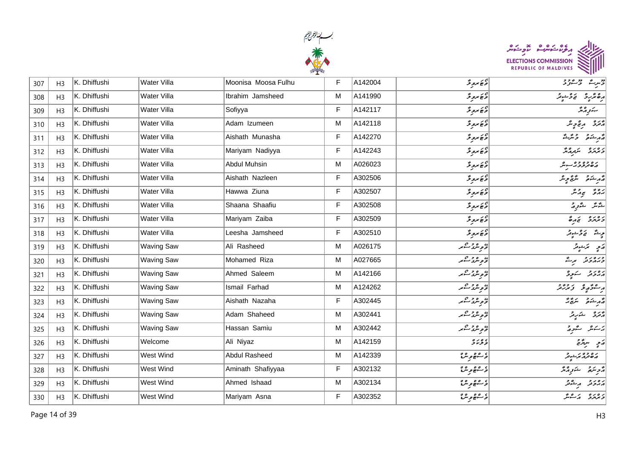



| 307 | H <sub>3</sub> | K. Dhiffushi | <b>Water Villa</b> | Moonisa Moosa Fulhu | F | A142004 | ە ئەسرە ئ <sup>ى</sup> ر     | وحسرت وحسور                       |
|-----|----------------|--------------|--------------------|---------------------|---|---------|------------------------------|-----------------------------------|
| 308 | H <sub>3</sub> | K. Dhiffushi | Water Villa        | Ibrahim Jamsheed    | М | A141990 | ء کھ سرہ محّر                | أرە ئۇر ئەم ئە                    |
| 309 | H <sub>3</sub> | K. Dhiffushi | Water Villa        | Sofiyya             | F | A142117 | ءح مرمر محر                  | ښو په ژ                           |
| 310 | H <sub>3</sub> | K. Dhiffushi | <b>Water Villa</b> | Adam Izumeen        | М | A142118 | ءِ بِمَ مرهِ مَّرَ           | أثنكر وبحيي                       |
| 311 | H <sub>3</sub> | K. Dhiffushi | Water Villa        | Aishath Munasha     | F | A142270 | ە ئەسىر قە                   | أمهر والمحافظة والمرافقة          |
| 312 | H <sub>3</sub> | K. Dhiffushi | Water Villa        | Mariyam Nadiyya     | F | A142243 | جو بھ سر <sub>حو</sub> محر   | وبروره سرمرور                     |
| 313 | H <sub>3</sub> | K. Dhiffushi | Water Villa        | Abdul Muhsin        | М | A026023 | حويج مر <sub>حو</sub> يڅر    | ر ه و ه و ه<br>پرې تر تر تر ب     |
| 314 | H <sub>3</sub> | K. Dhiffushi | Water Villa        | Aishath Nazleen     | F | A302506 | حويج مر <sub>حو</sub> يڅر    | أقهر منكفر التكافي شريحه          |
| 315 | H <sub>3</sub> | K. Dhiffushi | Water Villa        | Hawwa Ziuna         | F | A302507 | ص ع سر <sub>حو</sub> محّر    | پروی ہو مگر                       |
| 316 | H <sub>3</sub> | K. Dhiffushi | Water Villa        | Shaana Shaafiu      | F | A302508 | حويج مر <sub>حب</sub> محّر   | شَ <i>مَّرٌ</i> شَ <i>وْرِهُ</i>  |
| 317 | H <sub>3</sub> | K. Dhiffushi | <b>Water Villa</b> | Mariyam Zaiba       | F | A302509 | ء کھ سرہ محر                 | وبرور بمرة                        |
| 318 | H <sub>3</sub> | K. Dhiffushi | <b>Water Villa</b> | Leesha Jamsheed     | F | A302510 | ء کھ سرہ محّر                | دینگ نے وی شہر                    |
| 319 | H <sub>3</sub> | K. Dhiffushi | <b>Waving Saw</b>  | Ali Rasheed         | M | A026175 | قۇمۇرىي سىمىر                | أركمني المركب وتر                 |
| 320 | H <sub>3</sub> | K. Dhiffushi | <b>Waving Saw</b>  | Mohamed Riza        | M | A027665 | ئۇموشىمەتلىر                 | ورورو برنڈ                        |
| 321 | H <sub>3</sub> | K. Dhiffushi | <b>Waving Saw</b>  | Ahmed Saleem        | M | A142166 | قۇمۇشمۇرىي<br>               | پروتر کے دو                       |
| 322 | H <sub>3</sub> | K. Dhiffushi | <b>Waving Saw</b>  | Ismail Farhad       | M | A124262 | ئۇموشىمەتلىر                 | أراعتموه وترقيقه                  |
| 323 | H <sub>3</sub> | K. Dhiffushi | <b>Waving Saw</b>  | Aishath Nazaha      | F | A302445 | قۇمۇشمەتلىر<br>  قۇمۇشمەتلىر | قەرشىق ئىرقى                      |
| 324 | H <sub>3</sub> | K. Dhiffushi | <b>Waving Saw</b>  | Adam Shaheed        | M | A302441 | <mark>، په پې</mark> ر شمېر  | پر پر پر پر پر                    |
| 325 | H <sub>3</sub> | K. Dhiffushi | <b>Waving Saw</b>  | Hassan Samiu        | М | A302442 | قۇمۇشقى <del>ر</del>         | پرستمبر مستقومة                   |
| 326 | H <sub>3</sub> | K. Dhiffushi | Welcome            | Ali Niyaz           | М | A142159 | ه وره<br>د د ر               | رَمِي سِرْدَجْ                    |
| 327 | H <sub>3</sub> | K. Dhiffushi | West Wind          | Abdul Rasheed       | М | A142339 | وكسقورهة                     | ر 2 و 2 د ر<br>پر ځانگرو بر شونگر |
| 328 | H <sub>3</sub> | K. Dhiffushi | West Wind          | Aminath Shafiyyaa   | F | A302132 | وسقومره                      | أقريتكم فستورق                    |
| 329 | H <sub>3</sub> | K. Dhiffushi | West Wind          | Ahmed Ishaad        | М | A302134 | وسقوم مثنا                   | برەر د شەر                        |
| 330 | H <sub>3</sub> | K. Dhiffushi | West Wind          | Mariyam Asna        | F | A302352 | وسقومرهما                    | دەرە بەسىر                        |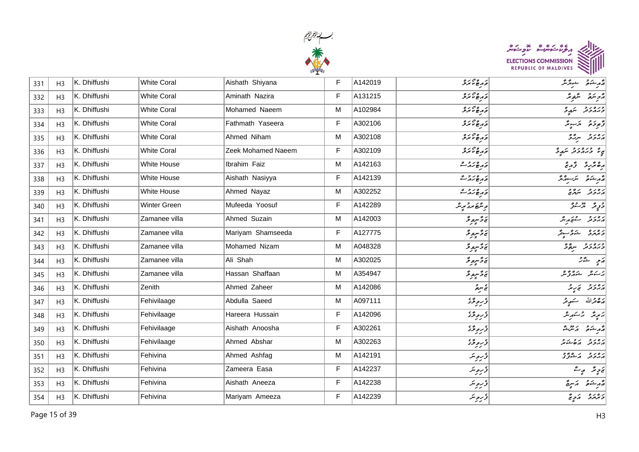



| ر ه <i>۴۵ بر</i> و<br>متزهرمتر<br>K. Dhiffushi<br><b>White Coral</b><br>F<br>A131215<br>Aminath Nazira<br>332<br>H <sub>3</sub><br> <br>  ورءٍ مورو<br>K. Dhiffushi<br><b>White Coral</b><br>Mohamed Naeem<br>M<br>A102984<br>333<br>H <sub>3</sub><br>  در ۹۵ ترو<br>Fathmath Yaseera<br>A302106<br>K. Dhiffushi<br><b>White Coral</b><br>F.<br>334<br>H <sub>3</sub><br>ر ۾ <i>مي پر</i> و<br>K. Dhiffushi<br><b>White Coral</b><br>Ahmed Niham<br>M<br>A302108<br>335<br>H <sub>3</sub><br>ەرۋە ئەر<br>K. Dhiffushi<br>F<br><b>White Coral</b><br>Zeek Mohamed Naeem<br>A302109<br>336<br>H <sub>3</sub><br>  ئەرەبەر 2<br>K. Dhiffushi<br>Ibrahim Faiz<br>A142163<br>White House<br>M<br>337<br>H <sub>3</sub><br>222<br>K. Dhiffushi<br>F<br><b>White House</b><br>Aishath Nasiyya<br>A142139<br>H <sub>3</sub><br>338<br>K. Dhiffushi<br>  ءَرِءِ رَبَّرُ ٿُ<br>White House<br>Ahmed Nayaz<br>A302252<br>M<br>H <sub>3</sub><br>339<br>F<br>A142289<br>  ویژهٔ مرز مړینگر<br>K. Dhiffushi<br><b>Winter Green</b><br>Mufeeda Yoosuf<br>H <sub>3</sub><br>340<br>K. Dhiffushi<br>Ahmed Suzain<br>Zamanee villa<br>A142003<br> ئەۋسپەرتى<br>M<br>341<br>H <sub>3</sub><br>Mariyam Shamseeda<br>F.<br> ئەۋسپەيە<br>K. Dhiffushi<br>Zamanee villa<br>A127775<br>342<br>H <sub>3</sub><br>K. Dhiffushi<br>A048328<br>Zamanee villa<br>Mohamed Nizam<br>M<br> ئەڭ سپىرىگە<br>343<br>H <sub>3</sub><br>K. Dhiffushi<br>Zamanee villa<br>A302025<br> ئەۋسپەيەقە<br>Ali Shah<br>M<br>344<br>H <sub>3</sub><br>K. Dhiffushi<br>Hassan Shaffaan<br>A354947<br> ئەۋسپەيەقە<br>Zamanee villa<br>м<br>H <sub>3</sub><br>345<br>K. Dhiffushi<br>Zenith<br>Ahmed Zaheer<br>A142086<br>۽ سرچ<br>M<br>346<br>H <sub>3</sub><br>K. Dhiffushi<br>A097111<br>ۇر <sub>موقۇ</sub> ئ<br>Fehivilaage<br>Abdulla Saeed<br>M<br>H <sub>3</sub><br>347<br>K. Dhiffushi<br>Hareera Hussain<br>F<br>A142096<br>Fehivilaage<br>ۇروگۇ<br>H <sub>3</sub><br>348<br>K. Dhiffushi<br>Aishath Anoosha<br>F<br>A302261<br>ۇروگۇ<br>Fehivilaage<br>H <sub>3</sub><br>349<br>K. Dhiffushi<br>Ahmed Abshar<br>A302263<br>ۇروگۇ<br>Fehivilaage<br>M<br>350<br>H <sub>3</sub><br>K. Dhiffushi<br>Fehivina<br>Ahmed Ashfag<br>A142191<br>м<br>ۇروپىر<br>351<br>H <sub>3</sub><br>K. Dhiffushi<br>Fehivina<br>F<br>A142237<br>Zameera Easa<br>ۇروپتر<br>352<br>H <sub>3</sub><br>K. Dhiffushi<br>Fehivina<br>Aishath Aneeza<br>F<br>A142238<br> ڈرءِ بئر<br>353<br>H <sub>3</sub><br>K. Dhiffushi<br>Fehivina<br>F<br>A142239<br>Mariyam Ameeza<br> ڈرعریئر<br>354<br>H <sub>3</sub> | 331 | H <sub>3</sub> | K. Dhiffushi | <b>White Coral</b> | Aishath Shiyana | F | A142019 | در ۹۵ ده | وكرمشكم المستراكر     |
|-----------------------------------------------------------------------------------------------------------------------------------------------------------------------------------------------------------------------------------------------------------------------------------------------------------------------------------------------------------------------------------------------------------------------------------------------------------------------------------------------------------------------------------------------------------------------------------------------------------------------------------------------------------------------------------------------------------------------------------------------------------------------------------------------------------------------------------------------------------------------------------------------------------------------------------------------------------------------------------------------------------------------------------------------------------------------------------------------------------------------------------------------------------------------------------------------------------------------------------------------------------------------------------------------------------------------------------------------------------------------------------------------------------------------------------------------------------------------------------------------------------------------------------------------------------------------------------------------------------------------------------------------------------------------------------------------------------------------------------------------------------------------------------------------------------------------------------------------------------------------------------------------------------------------------------------------------------------------------------------------------------------------------------------------------------------------------------------------------------------------------------------------------------------------------------------------------------------------------------------------------------------------------------------------------------------------------------------------------------------------------------------------------------------------------------------------------------------------------------------------------------------------------------------------|-----|----------------|--------------|--------------------|-----------------|---|---------|----------|-----------------------|
|                                                                                                                                                                                                                                                                                                                                                                                                                                                                                                                                                                                                                                                                                                                                                                                                                                                                                                                                                                                                                                                                                                                                                                                                                                                                                                                                                                                                                                                                                                                                                                                                                                                                                                                                                                                                                                                                                                                                                                                                                                                                                                                                                                                                                                                                                                                                                                                                                                                                                                                                               |     |                |              |                    |                 |   |         |          | وتحريبهم              |
|                                                                                                                                                                                                                                                                                                                                                                                                                                                                                                                                                                                                                                                                                                                                                                                                                                                                                                                                                                                                                                                                                                                                                                                                                                                                                                                                                                                                                                                                                                                                                                                                                                                                                                                                                                                                                                                                                                                                                                                                                                                                                                                                                                                                                                                                                                                                                                                                                                                                                                                                               |     |                |              |                    |                 |   |         |          | ورەرو شھرو            |
|                                                                                                                                                                                                                                                                                                                                                                                                                                                                                                                                                                                                                                                                                                                                                                                                                                                                                                                                                                                                                                                                                                                                                                                                                                                                                                                                                                                                                                                                                                                                                                                                                                                                                                                                                                                                                                                                                                                                                                                                                                                                                                                                                                                                                                                                                                                                                                                                                                                                                                                                               |     |                |              |                    |                 |   |         |          | قرجوخاته المسبوش      |
|                                                                                                                                                                                                                                                                                                                                                                                                                                                                                                                                                                                                                                                                                                                                                                                                                                                                                                                                                                                                                                                                                                                                                                                                                                                                                                                                                                                                                                                                                                                                                                                                                                                                                                                                                                                                                                                                                                                                                                                                                                                                                                                                                                                                                                                                                                                                                                                                                                                                                                                                               |     |                |              |                    |                 |   |         |          | پرویز سرگرو           |
|                                                                                                                                                                                                                                                                                                                                                                                                                                                                                                                                                                                                                                                                                                                                                                                                                                                                                                                                                                                                                                                                                                                                                                                                                                                                                                                                                                                                                                                                                                                                                                                                                                                                                                                                                                                                                                                                                                                                                                                                                                                                                                                                                                                                                                                                                                                                                                                                                                                                                                                                               |     |                |              |                    |                 |   |         |          | ي " د برمرد تر سَمِ د |
|                                                                                                                                                                                                                                                                                                                                                                                                                                                                                                                                                                                                                                                                                                                                                                                                                                                                                                                                                                                                                                                                                                                                                                                                                                                                                                                                                                                                                                                                                                                                                                                                                                                                                                                                                                                                                                                                                                                                                                                                                                                                                                                                                                                                                                                                                                                                                                                                                                                                                                                                               |     |                |              |                    |                 |   |         |          | أرە ئۆر ئۇرغ          |
|                                                                                                                                                                                                                                                                                                                                                                                                                                                                                                                                                                                                                                                                                                                                                                                                                                                                                                                                                                                                                                                                                                                                                                                                                                                                                                                                                                                                                                                                                                                                                                                                                                                                                                                                                                                                                                                                                                                                                                                                                                                                                                                                                                                                                                                                                                                                                                                                                                                                                                                                               |     |                |              |                    |                 |   |         |          | ومرشكم الكرسور        |
|                                                                                                                                                                                                                                                                                                                                                                                                                                                                                                                                                                                                                                                                                                                                                                                                                                                                                                                                                                                                                                                                                                                                                                                                                                                                                                                                                                                                                                                                                                                                                                                                                                                                                                                                                                                                                                                                                                                                                                                                                                                                                                                                                                                                                                                                                                                                                                                                                                                                                                                                               |     |                |              |                    |                 |   |         |          | د ۱۵ د ۱۵ د و د       |
|                                                                                                                                                                                                                                                                                                                                                                                                                                                                                                                                                                                                                                                                                                                                                                                                                                                                                                                                                                                                                                                                                                                                                                                                                                                                                                                                                                                                                                                                                                                                                                                                                                                                                                                                                                                                                                                                                                                                                                                                                                                                                                                                                                                                                                                                                                                                                                                                                                                                                                                                               |     |                |              |                    |                 |   |         |          |                       |
|                                                                                                                                                                                                                                                                                                                                                                                                                                                                                                                                                                                                                                                                                                                                                                                                                                                                                                                                                                                                                                                                                                                                                                                                                                                                                                                                                                                                                                                                                                                                                                                                                                                                                                                                                                                                                                                                                                                                                                                                                                                                                                                                                                                                                                                                                                                                                                                                                                                                                                                                               |     |                |              |                    |                 |   |         |          | رەرو سىم بىر          |
|                                                                                                                                                                                                                                                                                                                                                                                                                                                                                                                                                                                                                                                                                                                                                                                                                                                                                                                                                                                                                                                                                                                                                                                                                                                                                                                                                                                                                                                                                                                                                                                                                                                                                                                                                                                                                                                                                                                                                                                                                                                                                                                                                                                                                                                                                                                                                                                                                                                                                                                                               |     |                |              |                    |                 |   |         |          | رەرە شەۋىسىر          |
|                                                                                                                                                                                                                                                                                                                                                                                                                                                                                                                                                                                                                                                                                                                                                                                                                                                                                                                                                                                                                                                                                                                                                                                                                                                                                                                                                                                                                                                                                                                                                                                                                                                                                                                                                                                                                                                                                                                                                                                                                                                                                                                                                                                                                                                                                                                                                                                                                                                                                                                                               |     |                |              |                    |                 |   |         |          | ورەر د سرگەر          |
|                                                                                                                                                                                                                                                                                                                                                                                                                                                                                                                                                                                                                                                                                                                                                                                                                                                                                                                                                                                                                                                                                                                                                                                                                                                                                                                                                                                                                                                                                                                                                                                                                                                                                                                                                                                                                                                                                                                                                                                                                                                                                                                                                                                                                                                                                                                                                                                                                                                                                                                                               |     |                |              |                    |                 |   |         |          | پر په پیڅر            |
|                                                                                                                                                                                                                                                                                                                                                                                                                                                                                                                                                                                                                                                                                                                                                                                                                                                                                                                                                                                                                                                                                                                                                                                                                                                                                                                                                                                                                                                                                                                                                                                                                                                                                                                                                                                                                                                                                                                                                                                                                                                                                                                                                                                                                                                                                                                                                                                                                                                                                                                                               |     |                |              |                    |                 |   |         |          | ىز سىر شەر ئىرگە      |
|                                                                                                                                                                                                                                                                                                                                                                                                                                                                                                                                                                                                                                                                                                                                                                                                                                                                                                                                                                                                                                                                                                                                                                                                                                                                                                                                                                                                                                                                                                                                                                                                                                                                                                                                                                                                                                                                                                                                                                                                                                                                                                                                                                                                                                                                                                                                                                                                                                                                                                                                               |     |                |              |                    |                 |   |         |          | پرور پی پر            |
|                                                                                                                                                                                                                                                                                                                                                                                                                                                                                                                                                                                                                                                                                                                                                                                                                                                                                                                                                                                                                                                                                                                                                                                                                                                                                                                                                                                                                                                                                                                                                                                                                                                                                                                                                                                                                                                                                                                                                                                                                                                                                                                                                                                                                                                                                                                                                                                                                                                                                                                                               |     |                |              |                    |                 |   |         |          | رەقراللە سىھىقر       |
|                                                                                                                                                                                                                                                                                                                                                                                                                                                                                                                                                                                                                                                                                                                                                                                                                                                                                                                                                                                                                                                                                                                                                                                                                                                                                                                                                                                                                                                                                                                                                                                                                                                                                                                                                                                                                                                                                                                                                                                                                                                                                                                                                                                                                                                                                                                                                                                                                                                                                                                                               |     |                |              |                    |                 |   |         |          | تەبەش ئەسىرىش         |
|                                                                                                                                                                                                                                                                                                                                                                                                                                                                                                                                                                                                                                                                                                                                                                                                                                                                                                                                                                                                                                                                                                                                                                                                                                                                                                                                                                                                                                                                                                                                                                                                                                                                                                                                                                                                                                                                                                                                                                                                                                                                                                                                                                                                                                                                                                                                                                                                                                                                                                                                               |     |                |              |                    |                 |   |         |          | أقرم شوقو المرفقر شو  |
|                                                                                                                                                                                                                                                                                                                                                                                                                                                                                                                                                                                                                                                                                                                                                                                                                                                                                                                                                                                                                                                                                                                                                                                                                                                                                                                                                                                                                                                                                                                                                                                                                                                                                                                                                                                                                                                                                                                                                                                                                                                                                                                                                                                                                                                                                                                                                                                                                                                                                                                                               |     |                |              |                    |                 |   |         |          | رەرد رەئىدۇ           |
|                                                                                                                                                                                                                                                                                                                                                                                                                                                                                                                                                                                                                                                                                                                                                                                                                                                                                                                                                                                                                                                                                                                                                                                                                                                                                                                                                                                                                                                                                                                                                                                                                                                                                                                                                                                                                                                                                                                                                                                                                                                                                                                                                                                                                                                                                                                                                                                                                                                                                                                                               |     |                |              |                    |                 |   |         |          | رەرد كەشۇر            |
|                                                                                                                                                                                                                                                                                                                                                                                                                                                                                                                                                                                                                                                                                                                                                                                                                                                                                                                                                                                                                                                                                                                                                                                                                                                                                                                                                                                                                                                                                                                                                                                                                                                                                                                                                                                                                                                                                                                                                                                                                                                                                                                                                                                                                                                                                                                                                                                                                                                                                                                                               |     |                |              |                    |                 |   |         |          | ىئ چېر گېرىگ          |
|                                                                                                                                                                                                                                                                                                                                                                                                                                                                                                                                                                                                                                                                                                                                                                                                                                                                                                                                                                                                                                                                                                                                                                                                                                                                                                                                                                                                                                                                                                                                                                                                                                                                                                                                                                                                                                                                                                                                                                                                                                                                                                                                                                                                                                                                                                                                                                                                                                                                                                                                               |     |                |              |                    |                 |   |         |          | قەرشىق كەسپىم         |
|                                                                                                                                                                                                                                                                                                                                                                                                                                                                                                                                                                                                                                                                                                                                                                                                                                                                                                                                                                                                                                                                                                                                                                                                                                                                                                                                                                                                                                                                                                                                                                                                                                                                                                                                                                                                                                                                                                                                                                                                                                                                                                                                                                                                                                                                                                                                                                                                                                                                                                                                               |     |                |              |                    |                 |   |         |          | د ۱۵ د مړيځ           |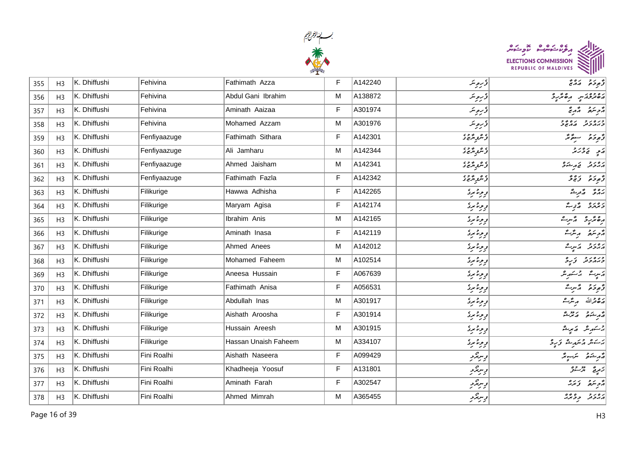



| H <sub>3</sub> | K. Dhiffushi | Fehivina     | Fathimath Azza       | F | A142240 | و <sub>سرحه</sub> متر<br>مرم       | توجدة مدمو                             |
|----------------|--------------|--------------|----------------------|---|---------|------------------------------------|----------------------------------------|
| H <sub>3</sub> | K. Dhiffushi | Fehivina     | Abdul Gani Ibrahim   | М | A138872 | ۇروپر                              | ره وه بر سر<br>اړه مرڅونه س<br>ەھ ئۈرۈ |
| H <sub>3</sub> | K. Dhiffushi | Fehivina     | Aminath Aaizaa       | F | A301974 | ۇروپر                              | أأدجن أأربح                            |
| H <sub>3</sub> | K. Dhiffushi | Fehivina     | Mohamed Azzam        | M | A301976 | ۇروپىر                             | っさのち<br>و ره د و<br><i>د ټ</i> رگر تر  |
| H <sub>3</sub> | K. Dhiffushi | Fenfiyaazuge | Fathimath Sithara    | F | A142301 | ۇ شرو پژىرى                        | أرموخه ستقتر                           |
| H <sub>3</sub> | K. Dhiffushi | Fenfiyaazuge | Ali Jamharu          | М | A142344 | ژیرو پژیز دی                       | پَي په دور چ                           |
| H <sub>3</sub> | K. Dhiffushi | Fenfiyaazuge | Ahmed Jaisham        | M | A142341 | ر محمد پر دی<br>افریقی پر          | برەر ئەرشك                             |
| H <sub>3</sub> | K. Dhiffushi | Fenfiyaazuge | Fathimath Fazla      | F | A142342 | ژیرو پژ <sub>م</sub> خ د           | وَجوحَة وَجءَ                          |
| H <sub>3</sub> | K. Dhiffushi | Filikurige   | Hawwa Adhisha        | F | A142265 | و پر ژمېږ <sup>ي</sup><br>بر بر    | رە ئەرگە                               |
| H <sub>3</sub> | K. Dhiffushi | Filikurige   | Maryam Agisa         | F | A142174 | و په په موږ<br>ر                   | و مرو گے تبگ                           |
| H <sub>3</sub> | K. Dhiffushi | Filikurige   | Ibrahim Anis         | М | A142165 | و چه تا تاری<br>تر تر تا تر        | ىر ھەترىر <i>3</i>                     |
| H <sub>3</sub> | K. Dhiffushi | Filikurige   | Aminath Inasa        | F | A142119 | و پر ژمېږ <sup>ي</sup><br>بر بر    | أزوينهم أريثت                          |
| H <sub>3</sub> | K. Dhiffushi | Filikurige   | Ahmed Anees          | М | A142012 | و پر ژمر <sup>ي</sup><br>ر         | پرور په کر                             |
| H <sub>3</sub> | K. Dhiffushi | Filikurige   | Mohamed Faheem       | М | A102514 | و پرې <sup>5</sup> بر <sup>ي</sup> | ورەرو كەرە                             |
| H <sub>3</sub> | K. Dhiffushi | Filikurige   | Aneesa Hussain       | F | A067639 | و پر تړند؟<br>تر تر                | كالمرسي الرحامريش                      |
| H <sub>3</sub> | K. Dhiffushi | Filikurige   | Fathimath Anisa      | F | A056531 | و پر ژمېږ <sup>ي</sup><br>بر بر    | وَجِرِحَاجَ الرَّسِيَّةُ               |
| H <sub>3</sub> | K. Dhiffushi | Filikurige   | Abdullah Inas        | М | A301917 | و پر تړند<br>سرسر                  | أرة قرالله مرتزعه                      |
| H <sub>3</sub> | K. Dhiffushi | Filikurige   | Aishath Aroosha      | F | A301914 | و په دیمونه<br>رس                  | أقرم شكرة المرجز ويحر                  |
| H <sub>3</sub> | K. Dhiffushi | Filikurige   | Hussain Areesh       | м | A301915 | و پر تړند<br>سرسر                  | يز سكر شكر الكريمية المحمد             |
| H <sub>3</sub> | K. Dhiffushi | Filikurige   | Hassan Unaish Faheem | М | A334107 | و په دیمونه<br>رس                  | پرستاند از شهر یک ترکیبایی             |
| H <sub>3</sub> | K. Dhiffushi | Fini Roalhi  | Aishath Naseera      | F | A099429 | وسرچو                              | أقهر مشقر فسير مترسو متر               |
| H <sub>3</sub> | K. Dhiffushi | Fini Roalhi  | Khadheeja Yoosuf     | F | A131801 | وسرچر <sub>مو</sub>                | زَمِرِيحَ "دَرْ - دْعْ                 |
| H <sub>3</sub> | K. Dhiffushi | Fini Roalhi  | Aminath Farah        | F | A302547 | وسرچر <sub>ىر</sub>                | أزويتهم توتدر                          |
| H <sub>3</sub> | K. Dhiffushi | Fini Roalhi  | Ahmed Mimrah         | M | A365455 | وسرچمو                             | رەرد دورو                              |
|                |              |              |                      |   |         |                                    |                                        |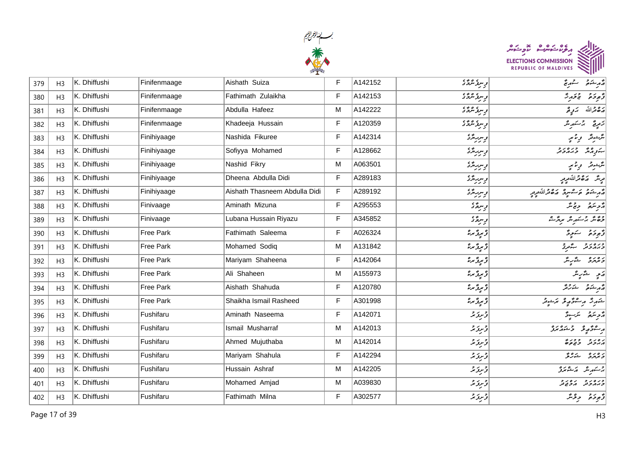



| 379 | H <sub>3</sub> | K. Dhiffushi | Finifenmaage     | Aishath Suiza                 | F  | A142152 | و سرۇ ئىردۇ ئ            | ومرشكو كسمرتج                           |
|-----|----------------|--------------|------------------|-------------------------------|----|---------|--------------------------|-----------------------------------------|
| 380 | H <sub>3</sub> | K. Dhiffushi | Finifenmaage     | Fathimath Zulaikha            | F. | A142153 | اربىر مۇھ ئ              | رُّمِوَدَهُ ۚ مَحَمَّدٍ رَّ             |
| 381 | H <sub>3</sub> | K. Dhiffushi | Finifenmaage     | Abdulla Hafeez                | M  | A142222 | وسرڈ شرچ کی              | پره قرالله ټر په د                      |
| 382 | H <sub>3</sub> | K. Dhiffushi | Finifenmaage     | Khadeeja Hussain              | F. | A120359 | ار بېرو مرد <sup>ي</sup> | كتبيعًا المستهر مثل                     |
| 383 | H <sub>3</sub> | K. Dhiffushi | Finihiyaage      | Nashida Fikuree               | F. | A142314 | و سربر پژی<br>تر بر بر   | س <sup>ر</sup> ىشوند ۋى <sup>ر</sup> ىي |
| 384 | H <sub>3</sub> | K. Dhiffushi | Finihiyaage      | Sofiyya Mohamed               | F  | A128662 | و سربر پژی<br>تر بربر    | התנואה במוכנד                           |
| 385 | H <sub>3</sub> | K. Dhiffushi | Finihiyaage      | Nashid Fikry                  | м  | A063501 | او مىرىدۇ ئى<br>سەرىرى   | نگرېشونر ور <sup>و</sup> مړ             |
| 386 | H <sub>3</sub> | K. Dhiffushi | Finihiyaage      | Dheena Abdulla Didi           | F. | A289183 | و مىرىيە دى<br>كەنبەر    | مرينگه صگره تراللّه مومو                |
| 387 | H <sub>3</sub> | K. Dhiffushi | Finihiyaage      | Aishath Thasneem Abdulla Didi | F. | A289192 | او مربر دی<br>په رس      | وكركوه وكالله والله والله والله والله   |
| 388 | H <sub>3</sub> | K. Dhiffushi | Finivaage        | Aminath Mizuna                | F. | A295553 | وسروم                    | أأدجت وبالملتقم                         |
| 389 | H <sub>3</sub> | K. Dhiffushi | Finivaage        | Lubana Hussain Riyazu         | F. | A345852 | وسرچری                   | ۋە ئەكەر ئىر بىر بىر ئە                 |
| 390 | H <sub>3</sub> | K. Dhiffushi | Free Park        | Fathimath Saleema             | F. | A026324 | ە بېر ئەسرىيە<br>ئ       | رُوِدَة سَرِدُّ                         |
| 391 | H <sub>3</sub> | K. Dhiffushi | <b>Free Park</b> | Mohamed Sodiq                 | M  | A131842 | ە بېرىۋىر ب <sub>ە</sub> | دره د د و د پروژ                        |
| 392 | H <sub>3</sub> | K. Dhiffushi | Free Park        | Mariyam Shaheena              | F. | A142064 | ە بېر ئەسرىيە<br>ئ       | دەرە ئەرش                               |
| 393 | H <sub>3</sub> | K. Dhiffushi | <b>Free Park</b> | Ali Shaheen                   | M  | A155973 | ۇ ئېيتر ئىرىئا           | ړې شریر                                 |
| 394 | H <sub>3</sub> | K. Dhiffushi | <b>Free Park</b> | Aishath Shahuda               | F. | A120780 | ژىپەرتىرىد               | مەر شىر ئىسىدىگر                        |
| 395 | H <sub>3</sub> | K. Dhiffushi | Free Park        | Shaikha Ismail Rasheed        | F. | A301998 | ۇ بېرتۇ بىرى             | خىرى رىگۇرى ئىچە                        |
| 396 | H <sub>3</sub> | K. Dhiffushi | Fushifaru        | Aminath Naseema               | F  | A142071 | ۇىرىگە                   | ۇ <sub>چ</sub> ىتمۇ سەسىۋ               |
| 397 | H <sub>3</sub> | K. Dhiffushi | Fushifaru        | Ismail Musharraf              | М  | A142013 | ۇىرۇ ئر                  | ر شۇرپۇ بىشىرىر                         |
| 398 | H <sub>3</sub> | K. Dhiffushi | Fushifaru        | Ahmed Mujuthaba               | M  | A142014 | ۇىرى تر                  | ג סג כ כ כ ב ב<br>ג ג כ ב ב ב פ ס       |
| 399 | H <sub>3</sub> | K. Dhiffushi | Fushifaru        | Mariyam Shahula               | F. | A142294 | ۇ بوتۇ تىر               | رەرە شەەبىر                             |
| 400 | H <sub>3</sub> | K. Dhiffushi | Fushifaru        | Hussain Ashraf                | М  | A142205 | ۇىرۇ ئر                  | چرىسىم كەشقىرۇ                          |
| 401 | H <sub>3</sub> | K. Dhiffushi | Fushifaru        | Mohamed Amjad                 | М  | A039830 | ژىرۇنمە                  | כנסנכ נסנכ<br>כגולכנ ולכשנ              |
| 402 | H <sub>3</sub> | K. Dhiffushi | Fushifaru        | Fathimath Milna               | F. | A302577 | ۇىرۇ ئە                  | قهوختم وقتر                             |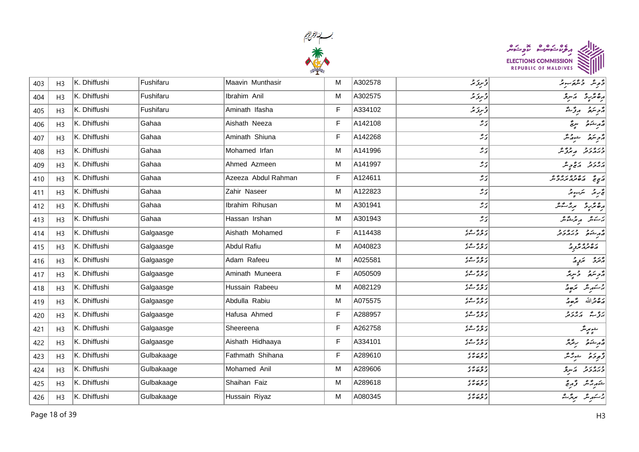



| 403 | H <sub>3</sub> | K. Dhiffushi | Fushifaru  | Maavin Munthasir    | м  | A302578 | ۇ ئرۇ ئە                            | ۇر ھەر ئىرە                                                                                          |
|-----|----------------|--------------|------------|---------------------|----|---------|-------------------------------------|------------------------------------------------------------------------------------------------------|
| 404 | H <sub>3</sub> | K. Dhiffushi | Fushifaru  | Ibrahim Anil        | M  | A302575 | ۇ برۇ تر                            | رەتمەر ئەر                                                                                           |
| 405 | H <sub>3</sub> | K. Dhiffushi | Fushifaru  | Aminath Ifasha      | F. | A334102 | ۇ ئىرىگە ئىر                        | ڏويره رڙڪ                                                                                            |
| 406 | H <sub>3</sub> | K. Dhiffushi | Gahaa      | Aishath Neeza       | F  | A142108 | ىرچ                                 | سريح<br>وكرمشتو                                                                                      |
| 407 | H <sub>3</sub> | K. Dhiffushi | Gahaa      | Aminath Shiuna      | F. | A142268 | ىرمى                                | ړې سره د شوړ شر                                                                                      |
| 408 | H <sub>3</sub> | K. Dhiffushi | Gahaa      | Mohamed Irfan       | м  | A141996 | ىرمى                                | ورەرو ھەرەھ                                                                                          |
| 409 | H <sub>3</sub> | K. Dhiffushi | Gahaa      | Ahmed Azmeen        | м  | A141997 | $\mathcal{Z}_{\mathcal{Z}}$         | גפניק גפקית                                                                                          |
| 410 | H <sub>3</sub> | K. Dhiffushi | Gahaa      | Azeeza Abdul Rahman | F  | A124611 | $\mathcal{Z}_{\mathcal{L}}$         | ג׳ ג׳ ביסגס בים                                                                                      |
| 411 | H <sub>3</sub> | K. Dhiffushi | Gahaa      | Zahir Naseer        | M  | A122823 | ىرچ                                 | لتحرير الترسير                                                                                       |
| 412 | H <sub>3</sub> | K. Dhiffushi | Gahaa      | Ibrahim Rihusan     | M  | A301941 | ىرچ                                 | رەترىرو بررىشر                                                                                       |
| 413 | H <sub>3</sub> | K. Dhiffushi | Gahaa      | Hassan Irshan       | M  | A301943 | ىرچ                                 | ىرىكىش مەيرىشگىر                                                                                     |
| 414 | H <sub>3</sub> | K. Dhiffushi | Galgaasge  | Aishath Mohamed     | F  | A114438 | ر ه پ <sup>ه</sup> ره <sup>ي</sup>  | و دره دره در در<br>مگر شوه د بر در در                                                                |
| 415 | H <sub>3</sub> | K. Dhiffushi | Galgaasge  | <b>Abdul Rafiu</b>  | M  | A040823 | ر ه پ <sub>ژگ</sub> ره پ            | ره وه عرو م                                                                                          |
| 416 | H <sub>3</sub> | K. Dhiffushi | Galgaasge  | Adam Rafeeu         | M  | A025581 | ر ه پژگ دی                          | ړې پروړ                                                                                              |
| 417 | H <sub>3</sub> | K. Dhiffushi | Galgaasge  | Aminath Muneera     | F  | A050509 | ر ه پ <sup>ه</sup> ره <sup>ي</sup>  | أزويتم وتبيتر                                                                                        |
| 418 | H <sub>3</sub> | K. Dhiffushi | Galgaasge  | Hussain Rabeeu      | м  | A082129 | رە بۇ رە ئ                          | يز سكر مركب مركبة المركبة المركبة المركبة المركبة المركبة المركبة المركبة المركبة المركبة المركبة ال |
| 419 | H <sub>3</sub> | K. Dhiffushi | Galgaasge  | Abdulla Rabiu       | M  | A075575 | ر ه بو <sub>ص م</sub><br>د نور سو د | مَدْهَ مَّدْ مُّدَّهُ مِّ                                                                            |
| 420 | H <sub>3</sub> | K. Dhiffushi | Galgaasge  | Hafusa Ahmed        | F  | A288957 | ر ه پژگ دی                          | رو په درورو                                                                                          |
| 421 | H <sub>3</sub> | K. Dhiffushi | Galgaasge  | Sheereena           | F. | A262758 | ر ه پ <sup>ه</sup> ره <sup>ي</sup>  | مشومریٹر                                                                                             |
| 422 | H <sub>3</sub> | K. Dhiffushi | Galgaasge  | Aishath Hidhaaya    | F  | A334101 | ر ه پ <sub>ژگ</sub> ره پ            | رىڭدىگە<br>و گرمشگرم<br>مرگ                                                                          |
| 423 | H <sub>3</sub> | K. Dhiffushi | Gulbakaage | Fathmath Shihana    | E  | A289610 | د ه ر و ،<br>د نوه نا د             | ۇي <sub>ۇ</sub> رۇ سىرتىگە                                                                           |
| 424 | H <sub>3</sub> | K. Dhiffushi | Gulbakaage | Mohamed Anil        | M  | A289606 | وه ریږ<br>د <del>گره</del> تر       | כגמכני ה'ייניב                                                                                       |
| 425 | H <sub>3</sub> | K. Dhiffushi | Gulbakaage | Shaihan Faiz        | M  | A289618 | وه ره و<br>د څر <i>ه ت</i> ر        | شر مدينه ومدة                                                                                        |
| 426 | H <sub>3</sub> | K. Dhiffushi | Gulbakaage | Hussain Riyaz       | м  | A080345 | وه ریږ<br>د <del>گره</del> تر       | برسكرمش المرتزك                                                                                      |
|     |                |              |            |                     |    |         |                                     |                                                                                                      |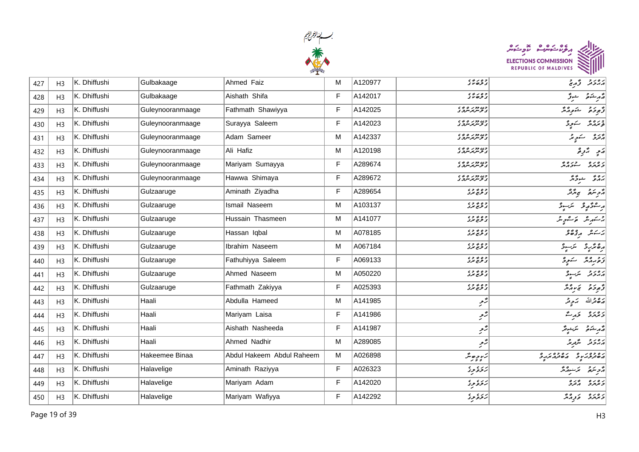



| 427 | H <sub>3</sub> | K. Dhiffushi | Gulbakaage       | Ahmed Faiz                | м | A120977 | و و رپړ ،<br>د نوه نړۍ                      | بر 2 پر 13<br>مربر <del>2</del> تر<br>تر در مخ  |
|-----|----------------|--------------|------------------|---------------------------|---|---------|---------------------------------------------|-------------------------------------------------|
| 428 | H <sub>3</sub> | K. Dhiffushi | Gulbakaage       | Aishath Shifa             | F | A142017 | د ه د پر پر<br>د نره تر د                   | پھر بنے چ<br>مرگ<br>سندوش                       |
| 429 | H <sub>3</sub> | K. Dhiffushi | Guleynooranmaage | Fathmath Shawiyya         | F | A142025 |                                             | شەھ بەر<br>ۇ ب <sub>و</sub> ر د                 |
| 430 | H <sub>3</sub> | K. Dhiffushi | Guleynooranmaage | Surayya Saleem            | F | A142023 | وړ، دو ر ه د ،<br>د نژسرپرسرچ د             | ج پر ۵ پر<br>فو بمرمر تر<br>ستعوقر              |
| 431 | H <sub>3</sub> | K. Dhiffushi | Guleynooranmaage | Adam Sameer               | M | A142337 | وړ، دور ه په ،<br>د نوسربرسر <del>و</del> د | ړو سکوبر                                        |
| 432 | H <sub>3</sub> | K. Dhiffushi | Guleynooranmaage | Ali Hafiz                 | M | A120198 | و در و در ه و د د<br>د موسر پس پر د         | پر په سرگرمو                                    |
| 433 | H <sub>3</sub> | K. Dhiffushi | Guleynooranmaage | Mariyam Sumayya           | F | A289674 | وړ، دور ه په ،<br>د نوسرپوسرو د             | سترده پر<br>ر ه ر ه<br><del>د</del> بربرد       |
| 434 | H <sub>3</sub> | K. Dhiffushi | Guleynooranmaage | Hawwa Shimaya             | F | A289672 | وړ، دور ه په ،<br>د نوسرپرسرچ د             | برە ئە ئەر                                      |
| 435 | H <sub>3</sub> | K. Dhiffushi | Gulzaaruge       | Aminath Ziyadha           | F | A289654 | و ه پر و ،<br>د نومځ مرد                    | ىم تر تر<br>ومحر يتمدهم                         |
| 436 | H <sub>3</sub> | K. Dhiffushi | Gulzaaruge       | Ismail Naseem             | м | A103137 | و ه پر و ،<br>د نومځ مرد                    | بر مەئزىر بىر<br>ىئرسىدى                        |
| 437 | H <sub>3</sub> | K. Dhiffushi | Gulzaaruge       | Hussain Thasmeen          | M | A141077 | د و ه د د ،<br>د نویځ بر د                  | ابر سئەرىتىر                                    |
| 438 | H <sub>3</sub> | K. Dhiffushi | Gulzaaruge       | Hassan Iqbal              | м | A078185 | و ه پر و ،<br>د نومځ مرد                    | برسكس مرقوقو                                    |
| 439 | H <sub>3</sub> | K. Dhiffushi | Gulzaaruge       | Ibrahim Naseem            | М | A067184 | و ه پر و ،<br>د نومځ مرد                    | ەر ھەتمەر 2<br>س<br>ىئرىسەۋ                     |
| 440 | H <sub>3</sub> | K. Dhiffushi | Gulzaaruge       | Fathuhiyya Saleem         | F | A069133 | و ه پر و ،<br>د نویځ برو                    | ز څېر پر پژ                                     |
| 441 | H <sub>3</sub> | K. Dhiffushi | Gulzaaruge       | Ahmed Naseem              | M | A050220 | و ه پر و ،<br>د نویځ برو                    | پرور و<br>ىئرسىدى                               |
| 442 | H <sub>3</sub> | K. Dhiffushi | Gulzaaruge       | Fathmath Zakiyya          | F | A025393 | و ه پر و ء<br>  د څربځ برو                  | ى بىر ھەتتە<br>وحجوحهم                          |
| 443 | H <sub>3</sub> | K. Dhiffushi | Haali            | Abdulla Hameed            | M | A141985 | شعر                                         | وكافرالله<br>برَوِتر                            |
| 444 | H <sub>3</sub> | K. Dhiffushi | Haali            | Mariyam Laisa             | F | A141986 | شعر                                         | ر ه ر ه<br>د بربرگ<br>ىخەرىسە                   |
| 445 | H <sub>3</sub> | K. Dhiffushi | Haali            | Aishath Nasheeda          | F | A141987 | رٌمو                                        | و د مشتر د م<br>سكرشوقر                         |
| 446 | H <sub>3</sub> | K. Dhiffushi | Haali            | Ahmed Nadhir              | M | A289085 | شعر                                         | پرور پر پر                                      |
| 447 | H <sub>3</sub> | K. Dhiffushi | Hakeemee Binaa   | Abdul Hakeem Abdul Raheem | м | A026898 | ر<br>پەيەر                                  | رە دە ر<br>رە دەر بەر                           |
| 448 | H <sub>3</sub> | K. Dhiffushi | Halavelige       | Aminath Raziyya           | F | A026323 | ژ ژ ۀ و ژ                                   | أأحر سرة<br>بمرسندورش                           |
| 449 | H <sub>3</sub> | K. Dhiffushi | Halavelige       | Mariyam Adam              | F | A142020 | ئەخرە ئورى                                  | پور ہ<br>مرکزو<br>ر ه ر ه<br><del>د</del> بربرد |
| 450 | H <sub>3</sub> | K. Dhiffushi | Halavelige       | Mariyam Wafiyya           | F | A142292 | ژ ژه و ؟                                    | رەرە رەپ                                        |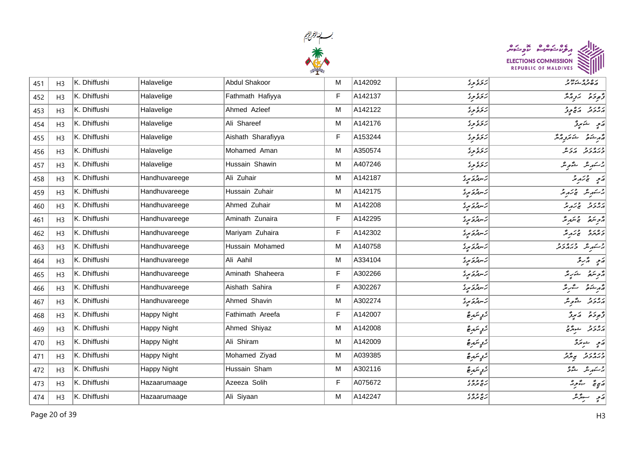



| 451 | H <sub>3</sub> | K. Dhiffushi | Halavelige    | Abdul Shakoor      | м  | A142092 | ترىخ غرىج                | ره وه پر دو و<br>پره تر پر شونډ تر |
|-----|----------------|--------------|---------------|--------------------|----|---------|--------------------------|------------------------------------|
| 452 | H <sub>3</sub> | K. Dhiffushi | Halavelige    | Fathmath Hafiyya   | F. | A142137 | ژ ژه و ؟                 | وتجوخا كالمرواد                    |
| 453 | H <sub>3</sub> | K. Dhiffushi | Halavelige    | Ahmed Azleef       | M  | A142122 | ریره یو پی               | أرەر دە ئەن ئ                      |
| 454 | H <sub>3</sub> | K. Dhiffushi | Halavelige    | Ali Shareef        | M  | A142176 | ترىخ موتى                | رَمِ شَهْرِرٌ                      |
| 455 | H <sub>3</sub> | K. Dhiffushi | Halavelige    | Aishath Sharafiyya | F. | A153244 | ئەنزۇغ بوتى              | أقدم شوهر المستورة                 |
| 456 | H <sub>3</sub> | K. Dhiffushi | Halavelige    | Mohamed Aman       | м  | A350574 | ترځونونو                 | ورەرو ررو                          |
| 457 | H <sub>3</sub> | K. Dhiffushi | Halavelige    | Hussain Shawin     | M  | A407246 | ئەنزۇغ بوتى              | يرسكريش الحقويش                    |
| 458 | H <sub>3</sub> | K. Dhiffushi | Handhuvareege | Ali Zuhair         | м  | A142187 | ئەس <i>ەۋرىم</i> ىي<br>ئ | أوسمح بمستمر يتمر                  |
| 459 | H <sub>3</sub> | K. Dhiffushi | Handhuvareege | Hussain Zuhair     | м  | A142175 | ئەس <i>ەۋە بى</i> رى     | يرتسر مع تركيز                     |
| 460 | H <sub>3</sub> | K. Dhiffushi | Handhuvareege | Ahmed Zuhair       | М  | A142208 | ئەسەۋە ئىردى             | גפיני יילקית                       |
| 461 | H <sub>3</sub> | K. Dhiffushi | Handhuvareege | Aminath Zunaira    | F. | A142295 | ئەس <i>ەۋە بې</i> رى     | أأوبتكم ومتراثا                    |
| 462 | H <sub>3</sub> | K. Dhiffushi | Handhuvareege | Mariyam Zuhaira    | F. | A142302 | ئەس <i>ەۋرىم</i> بەتە    | ويرده ورمرته                       |
| 463 | H <sub>3</sub> | K. Dhiffushi | Handhuvareege | Hussain Mohamed    | М  | A140758 | ئەسەقرىر سېرى            | ج سکه شده در در د                  |
| 464 | H <sub>3</sub> | K. Dhiffushi | Handhuvareege | Ali Aahil          | М  | A334104 | ئەس <i>ەۋە بې</i> رى     | ړې پرېژ                            |
| 465 | H <sub>3</sub> | K. Dhiffushi | Handhuvareege | Aminath Shaheera   | F. | A302266 | ئەس <i>ەقرىر م</i> ېرى   | أأروبترة التشرير                   |
| 466 | H <sub>3</sub> | K. Dhiffushi | Handhuvareege | Aishath Sahira     | F. | A302267 | ئەسەقرىمىرىگە            | ومركبتهم الشربر                    |
| 467 | H <sub>3</sub> | K. Dhiffushi | Handhuvareege | Ahmed Shavin       | м  | A302274 | ئەس <i>ەۋرىم</i> بەتە    | رەرد شەرش                          |
| 468 | H <sub>3</sub> | K. Dhiffushi | Happy Night   | Fathimath Areefa   | F  | A142007 | ر بو سَرم هِ             | وَجِرَحَمْ صَبِيرٌ                 |
| 469 | H <sub>3</sub> | K. Dhiffushi | Happy Night   | Ahmed Shiyaz       | М  | A142008 | ر بو سَرم هِ             | پرورو جوړنج                        |
| 470 | H <sub>3</sub> | K. Dhiffushi | Happy Night   | Ali Shiram         | М  | A142009 | رء پر سَرم ھ             | رَ ۽ سُومَرَدُ                     |
| 471 | H <sub>3</sub> | K. Dhiffushi | Happy Night   | Mohamed Ziyad      | М  | A039385 | ر بو سَرىبى<br>سىر       | ورور و پروژ                        |
| 472 | H <sub>3</sub> | K. Dhiffushi | Happy Night   | Hussain Sham       | м  | A302116 | ر بو سَرىم ھ             | چرىكىرىش كىشى                      |
| 473 | H <sub>3</sub> | K. Dhiffushi | Hazaarumaage  | Azeeza Solih       | F. | A075672 | ر ۶ و ۶ ،<br>ریخ برو د   | ړې ځم شور                          |
| 474 | H <sub>3</sub> | K. Dhiffushi | Hazaarumaage  | Ali Siyaan         | м  | A142247 | ژنځ ترڅ ی                | أرشح سورشر                         |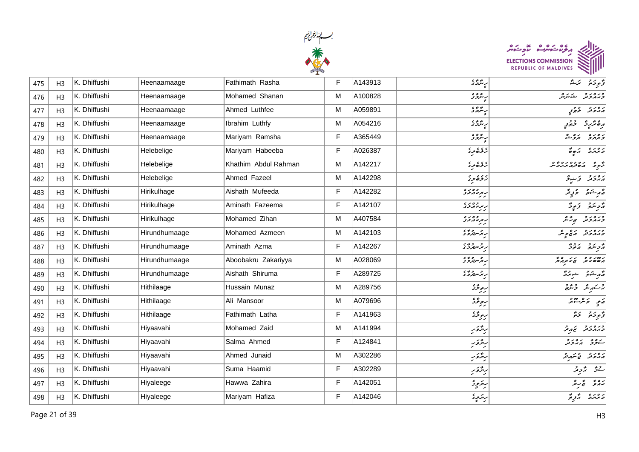



| 475 | H <sub>3</sub> | K. Dhiffushi | Heenaamaage   | Fathimath Rasha      | F | A143913 | ر پیوه و<br>بر مترو و                      | قرم ترشم                                  |
|-----|----------------|--------------|---------------|----------------------|---|---------|--------------------------------------------|-------------------------------------------|
| 476 | H <sub>3</sub> | K. Dhiffushi | Heenaamaage   | Mohamed Shanan       | М | A100828 | ر پژو <sup>ي</sup>                         | ورەرو شەرش                                |
| 477 | H <sub>3</sub> | K. Dhiffushi | Heenaamaage   | Ahmed Luthfee        | М | A059891 | ر پژو <sup>ي</sup>                         | رەر د دور                                 |
| 478 | H <sub>3</sub> | K. Dhiffushi | Heenaamaage   | Ibrahim Luthfy       | М | A054216 | ر پژو <sup>ي</sup>                         | برڭ ئېرىر<br>تحيجوني                      |
| 479 | H <sub>3</sub> | K. Dhiffushi | Heenaamaage   | Mariyam Ramsha       | F | A365449 | ر پیڅو <sup>ی</sup>                        | رەرە بروت                                 |
| 480 | H <sub>3</sub> | K. Dhiffushi | Helebelige    | Mariyam Habeeba      | F | A026387 | ر د ه د د                                  | ر ه بر ه<br><del>د</del> بر بر ژ<br>برَحة |
| 481 | H <sub>3</sub> | K. Dhiffushi | Helebelige    | Khathim Abdul Rahman | М | A142217 | <sup>ى ي</sup> ج ئ                         | قرە دەرەرەپەر                             |
| 482 | H <sub>3</sub> | K. Dhiffushi | Helebelige    | Ahmed Fazeel         | М | A142298 | ي ي <i>۽ ج</i> و                           | أرەر ئىندى                                |
| 483 | H <sub>3</sub> | K. Dhiffushi | Hirikulhage   | Aishath Mufeeda      | F | A142282 | ارېږه ور ،                                 | د م شکره د محمد و پار                     |
| 484 | H <sub>3</sub> | K. Dhiffushi | Hirikulhage   | Aminath Fazeema      | F | A142107 | ار بر ده در ،<br>رس                        | مراح سكرة وتاريخ                          |
| 485 | H <sub>3</sub> | K. Dhiffushi | Hirikulhage   | Mohamed Zihan        | М | A407584 | ر بر ره در ،<br>رسمه ار د د                | ورەرو بېرتىر                              |
| 486 | H <sub>3</sub> | K. Dhiffushi | Hirundhumaage | Mohamed Azmeen       | М | A142103 | ر چه سر و پر پر<br>ر بورسربور <sub>ک</sub> | دره د دره دره م                           |
| 487 | H <sub>3</sub> | K. Dhiffushi | Hirundhumaage | Aminath Azma         | F | A142267 | ر بر سربر دی.<br>ر بر سربر د ک             | روسره روء                                 |
| 488 | H <sub>3</sub> | K. Dhiffushi | Hirundhumaage | Aboobakru Zakariyya  | М | A028069 | ر بر بروی و<br>ر بر سرفرو و                | גמניני גן פי                              |
| 489 | H <sub>3</sub> | K. Dhiffushi | Hirundhumaage | Aishath Shiruma      | F | A289725 | ر بر سربر دی.<br>ر بر سربر د ک             | ويركو كالمعالم ويحرك                      |
| 490 | H <sub>3</sub> | K. Dhiffushi | Hithilaage    | Hussain Munaz        | М | A289756 | ىرە بۇ ئە<br>بەر                           | 2سَر سمبر محسن عليم                       |
| 491 | H <sub>3</sub> | K. Dhiffushi | Hithilaage    | Ali Mansoor          | М | A079696 | ىرە پەتتى<br>بەر                           | أەي ئەربىيى                               |
| 492 | H <sub>3</sub> | K. Dhiffushi | Hithilaage    | Fathimath Latha      | F | A141963 | ىرە بۇ ئە<br>بەر                           | د څوخه ځم                                 |
| 493 | H <sub>3</sub> | K. Dhiffushi | Hiyaavahi     | Mohamed Zaid         | М | A141994 | ىرەژچە بە                                  | כממכים הנית                               |
| 494 | H <sub>3</sub> | K. Dhiffushi | Hiyaavahi     | Salma Ahmed          | F | A124841 | رېژوَر                                     | ستوفز أزرور                               |
| 495 | H <sub>3</sub> | K. Dhiffushi | Hiyaavahi     | Ahmed Junaid         | М | A302286 | رېژوَر                                     | دەروھەت سىمدىر                            |
| 496 | H <sub>3</sub> | K. Dhiffushi | Hiyaavahi     | Suma Haamid          | F | A302289 | ر پژځ ر                                    | __ئۇ گەرىگە                               |
| 497 | H <sub>3</sub> | K. Dhiffushi | Hiyaleege     | Hawwa Zahira         | F | A142051 | رېزونه                                     | بروء تح بريته                             |
| 498 | H <sub>3</sub> | K. Dhiffushi | Hiyaleege     | Mariyam Hafiza       | F | A142046 | رېزىيى                                     | د ۱۵ د می په پخ                           |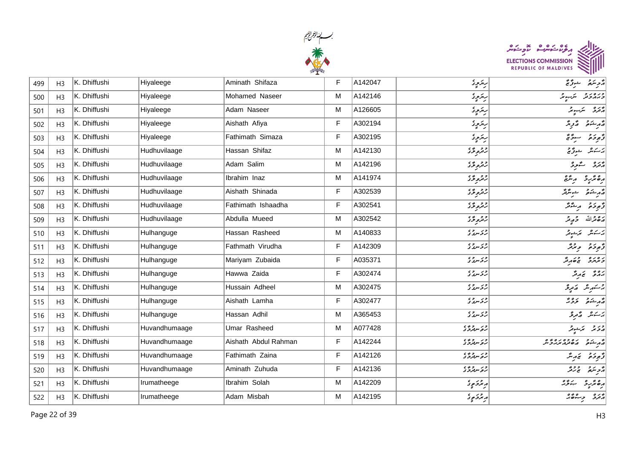



| 499 | H <sub>3</sub> | K. Dhiffushi | Hiyaleege     | Aminath Shifaza      | F  | A142047 | رېزىپە                                         | أأدوسكم وترامح                                                                 |
|-----|----------------|--------------|---------------|----------------------|----|---------|------------------------------------------------|--------------------------------------------------------------------------------|
| 500 | H <sub>3</sub> | K. Dhiffushi | Hiyaleege     | Mohamed Naseer       | М  | A142146 | رېز <sub>مونه</sub>                            | ورەرو كەببەر                                                                   |
| 501 | H <sub>3</sub> | K. Dhiffushi | Hiyaleege     | Adam Naseer          | М  | A126605 | رېزىپە <sup>ي</sup>                            | پر پر په پر چر                                                                 |
| 502 | H <sub>3</sub> | K. Dhiffushi | Hiyaleege     | Aishath Afiya        | F  | A302194 | رېز <sub>مونه</sub>                            | ەتەپەتىر<br>ۇ مەيسىدە<br>مەم                                                   |
| 503 | H <sub>3</sub> | K. Dhiffushi | Hiyaleege     | Fathimath Simaza     | F. | A302195 | رېزىپە                                         | سىزىتى<br>  د څېو خو                                                           |
| 504 | H <sub>3</sub> | K. Dhiffushi | Hudhuvilaage  | Hassan Shifaz        | M  | A142130 | ر قرە ۋڭ                                       | شوژٌ تح<br>بزستەنتىر                                                           |
| 505 | H <sub>3</sub> | K. Dhiffushi | Hudhuvilaage  | Adam Salim           | М  | A142196 | ر تره د د کا                                   | وره کے دو                                                                      |
| 506 | H <sub>3</sub> | K. Dhiffushi | Hudhuvilaage  | Ibrahim Inaz         | M  | A141974 | ر توگو گري                                     | ىر ھەتئە پە <sup>9</sup><br>وبترج                                              |
| 507 | H <sub>3</sub> | K. Dhiffushi | Hudhuvilaage  | Aishath Shinada      | F  | A302539 | ر د تره د کا                                   | و مر ديد د<br>مر<br>ے سگرانگر                                                  |
| 508 | H <sub>3</sub> | K. Dhiffushi | Hudhuvilaage  | Fathimath Ishaadha   | F. | A302541 | ر قرە ۋ ئى                                     | ىرىشەتر<br>و څو څه د                                                           |
| 509 | H <sub>3</sub> | K. Dhiffushi | Hudhuvilaage  | Abdulla Mueed        | М  | A302542 | رقم و محمد                                     | رەقراللە<br>ترەپەتر                                                            |
| 510 | H <sub>3</sub> | K. Dhiffushi | Hulhanguge    | Hassan Rasheed       | М  | A140833 | ح پر سرچ <sup>ي</sup>                          | ىزىسكىش ئىزىشىغر                                                               |
| 511 | H <sub>3</sub> | K. Dhiffushi | Hulhanguge    | Fathmath Virudha     | F  | A142309 | ح پر سرچ پر<br>مرکز سر <u>تر</u> <sub>ک</sub>  | وَجوحَة وتِمَّدَّ                                                              |
| 512 | H <sub>3</sub> | K. Dhiffushi | Hulhanguge    | Mariyam Zubaida      | F  | A035371 | ح پر سرچ پر<br>مرکز سر <u>ی</u> ر <sub>ک</sub> | ح ئەرى <i>ر</i><br>ر ہ ر ہ<br>تر بربر ژ                                        |
| 513 | H <sub>3</sub> | K. Dhiffushi | Hulhanguge    | Hawwa Zaida          | F. | A302474 | ح پر سرچ <sup>ي</sup>                          | بروء سم ہومگر                                                                  |
| 514 | H <sub>3</sub> | K. Dhiffushi | Hulhanguge    | Hussain Adheel       | M  | A302475 | ح پر سرچ پر<br>مرکز سر <u>تر</u> <sub>ک</sub>  | يرسكر شركتم وكالمحياني                                                         |
| 515 | H <sub>3</sub> | K. Dhiffushi | Hulhanguge    | Aishath Lamha        | F. | A302477 | ح پر سرچ پر<br>مرکز سر <u>ی</u> ر <sub>ک</sub> | أشرب شتمر المردان                                                              |
| 516 | H <sub>3</sub> | K. Dhiffushi | Hulhanguge    | Hassan Adhil         | М  | A365453 | ح پر سرچ پر<br>مرکز سر <u>ی</u> ر <sub>ک</sub> | پرستقر مگمری                                                                   |
| 517 | H <sub>3</sub> | K. Dhiffushi | Huvandhumaage | Umar Rasheed         | М  | A077428 | و ر په وه و.<br>رو سربرو و                     | در بر بر بر بر                                                                 |
| 518 | H <sub>3</sub> | K. Dhiffushi | Huvandhumaage | Aishath Abdul Rahman | F  | A142244 | و ر په وه و.<br>رو سربرو و                     | ر ه د ه ر ه د ه<br>پره تر پر برر گ<br>و د کر د کار د بار د بار<br>در کار مشوجو |
| 519 | H <sub>3</sub> | K. Dhiffushi | Huvandhumaage | Fathimath Zaina      | F  | A142126 | و ر به ده و د<br>ره سربرو د                    | ژُهِ دَهْ تَنَ تَهُرِ مُدَّ                                                    |
| 520 | H <sub>3</sub> | K. Dhiffushi | Huvandhumaage | Aminath Zuhuda       | F. | A142136 | و ر به ده و د<br>ره سربرو د                    | دمحر سكرة منتجر حمد تكر                                                        |
| 521 | H <sub>3</sub> | K. Dhiffushi | Irumatheege   | Ibrahim Solah        | M  | A142209 | اړ برخه مونه<br>ر                              | دەممەر د<br>ىبە ئۇر                                                            |
| 522 | H <sub>3</sub> | K. Dhiffushi | Irumatheege   | Adam Misbah          | M  | A142195 | اړ برخه مونه<br>تر مرخه مو                     | دره در ۱۳۵                                                                     |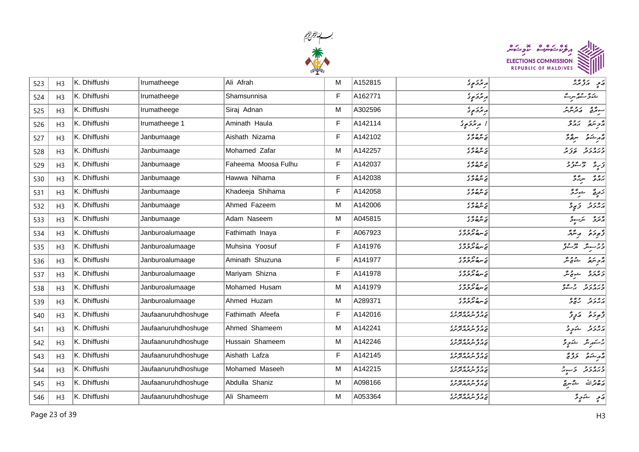



| 523 | H <sub>3</sub> | K. Dhiffushi | Irumatheege         | Ali Afrah           | M | A152815 | ېر تر د ځو د                                | أريب أيرو بزر                                |
|-----|----------------|--------------|---------------------|---------------------|---|---------|---------------------------------------------|----------------------------------------------|
| 524 | H <sub>3</sub> | K. Dhiffushi | Irumatheege         | Shamsunnisa         | F | A162771 | ېر تر دې<br>بر تر دې                        | شەۋ سەھ سرىسە                                |
| 525 | H <sub>3</sub> | K. Dhiffushi | Irumatheege         | Siraj Adnan         | M | A302596 | وبرزخور                                     | سوبرقي كالارتراش                             |
| 526 | H <sub>3</sub> | K. Dhiffushi | Irumatheege 1       | Aminath Haula       | F | A142114 | ا مەتزىخورى                                 | ړ ده برخه                                    |
| 527 | H <sub>3</sub> | K. Dhiffushi | Janbumaage          | Aishath Nizama      | F | A142102 | ر ه و و و ،<br>ق سره تر د                   | سرچوگر<br>و مر شو د<br>مر                    |
| 528 | H <sub>3</sub> | K. Dhiffushi | Janbumaage          | Mohamed Zafar       | М | A142257 | ر ه و و » ،<br>نح سره تر د                  | ورەرو پررو<br><i>وبەم</i> وتر ئ <i>ۆ</i> زىر |
| 529 | H <sub>3</sub> | K. Dhiffushi | Janbumaage          | Faheema Moosa Fulhu | F | A142037 | ر ه د و و ،<br>تع سره تر د                  | تزرع وحسور                                   |
| 530 | H <sub>3</sub> | K. Dhiffushi | Janbumaage          | Hawwa Nihama        | F | A142038 | ر ۵ و و »<br>نح سره و د                     | رەپ سرگەمج                                   |
| 531 | H <sub>3</sub> | K. Dhiffushi | Janbumaage          | Khadeeja Shihama    | F | A142058 | ر ه و و »<br>تع سره و د                     | ے رُگ<br>ترىرىتھ                             |
| 532 | H <sub>3</sub> | K. Dhiffushi | Janbumaage          | Ahmed Fazeem        | M | A142006 | ر ه و و و ،<br>د سره و د                    | بر ه بر د<br>مربر <del>د</del> تر<br>تزىچە   |
| 533 | H <sub>3</sub> | K. Dhiffushi | Janbumaage          | Adam Naseem         | M | A045815 | ر ه د و و ،<br>تع سره تر د                  | وره سرَبِ و                                  |
| 534 | H <sub>3</sub> | K. Dhiffushi | Janburoalumaage     | Fathimath Inaya     | F | A067923 | ر ده وه و<br>د سره بروژ د                   | ەرشىز<br>وصحيحه حم                           |
| 535 | H <sub>3</sub> | K. Dhiffushi | Janburoalumaage     | Muhsina Yoosuf      | F | A141976 | ر روم و ده و<br>تع سرح ترمر و               | دز مشرو<br>د جمج سوینگر                      |
| 536 | H <sub>3</sub> | K. Dhiffushi | Janburoalumaage     | Aminath Shuzuna     | F | A141977 | ر روم و ده و<br>تع سرح ترمر و               | شەم ئەتر<br>ومحرجه يتمو                      |
| 537 | H <sub>3</sub> | K. Dhiffushi | Janburoalumaage     | Mariyam Shizna      | F | A141978 | ر ده وه و.<br>د سره بروژ د                  | د ۱۵ د ۱۵ د مخ                               |
| 538 | H <sub>3</sub> | K. Dhiffushi | Janburoalumaage     | Mohamed Husam       | M | A141979 | ر ده وه و<br>نج سر <i>ه بر و</i> ژ          | ورەر د دې                                    |
| 539 | H <sub>3</sub> | K. Dhiffushi | Janburoalumaage     | Ahmed Huzam         | М | A289371 | ر ده وه و<br>نج سر <i>ه بر و</i> ژ          | رەرو دەە                                     |
| 540 | H <sub>3</sub> | K. Dhiffushi | Jaufaanuruhdhoshuge | Fathimath Afeefa    | F | A142016 | ر و ده و و ه پر و د<br>بی در تو سربور توسری | رَّبِّوحَةً   مَرْرِزَّ                      |
| 541 | H <sub>3</sub> | K. Dhiffushi | Jaufaanuruhdhoshuge | Ahmed Shameem       | M | A142241 | ر و د و و ه د و د<br>د کرکر سربور توسری     | رەر دۇر                                      |
| 542 | H <sub>3</sub> | K. Dhiffushi | Jaufaanuruhdhoshuge | Hussain Shameem     | М | A142246 | ر و د و و ه د و د<br>د کرکر سربور توسری     | برستهرینز<br>ڪوچ و                           |
| 543 | H <sub>3</sub> | K. Dhiffushi | Jaufaanuruhdhoshuge | Aishath Lafza       | F | A142145 | ر و به و و ه پر و ،<br>نے در تو سربور توسری | أشهر شكافو المتحرقونج                        |
| 544 | H <sub>3</sub> | K. Dhiffushi | Jaufaanuruhdhoshuge | Mohamed Maseeh      | М | A142215 | ر و د و و ه د و د<br>د کر ترس پورتوس        | ورەرو كەبد                                   |
| 545 | H <sub>3</sub> | K. Dhiffushi | Jaufaanuruhdhoshuge | Abdulla Shaniz      | M | A098166 | ر و پر و و ه پر و ،<br>نے پر تو سربور توسری | صقعرالله<br>شەھرى                            |
| 546 | H <sub>3</sub> | K. Dhiffushi | Jaufaanuruhdhoshuge | Ali Shameem         | M | A053364 | ر و د و و ه د و د<br>نج ارتو سربور توسری    | ړې شوې                                       |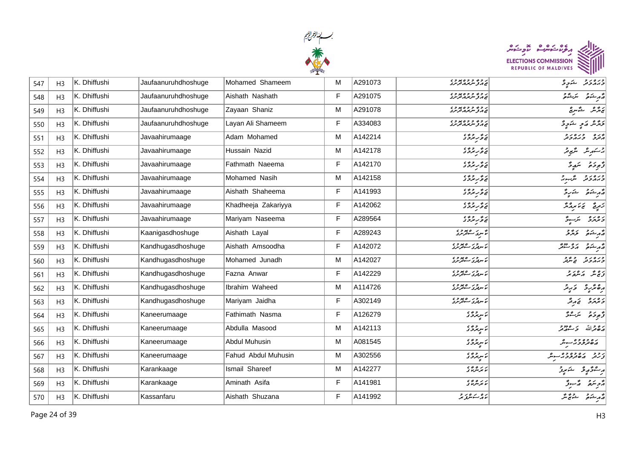



| 547 | H <sub>3</sub> | K. Dhiffushi | Jaufaanuruhdhoshuge | Mohamed Shameem     | M | A291073 | ر و د و و ه د و د<br>د کرکر سربور توسری           | وبرور ومنحود                               |
|-----|----------------|--------------|---------------------|---------------------|---|---------|---------------------------------------------------|--------------------------------------------|
| 548 | H <sub>3</sub> | K. Dhiffushi | Jaufaanuruhdhoshuge | Aishath Nashath     | F | A291075 | ر و د و و ه د و د<br>د کارگر سربور توسری          | لأمر كالحالم المتركاة                      |
| 549 | H <sub>3</sub> | K. Dhiffushi | Jaufaanuruhdhoshuge | Zayaan Shaniz       | М | A291078 | ر و ده و و ه پر و د<br>بی در تو سربور توسری       | ىر ئۇر سەھىرى                              |
| 550 | H <sub>3</sub> | K. Dhiffushi | Jaufaanuruhdhoshuge | Layan Ali Shameem   | F | A334083 | ر و د و و ه پر و ،<br>ق ا <i>ز توسرپور توسری</i>  | تَرَدُّسْ ړَ پِهِ شَيْءٍ وُ                |
| 551 | H <sub>3</sub> | K. Dhiffushi | Javaahirumaage      | Adam Mohamed        | M | A142214 | پر بھر رحمۃ ی<br>  فی حر بمرتز ی                  | برره وره رو<br>مرتزح وبرمروتر              |
| 552 | H <sub>3</sub> | K. Dhiffushi | Javaahirumaage      | Hussain Nazid       | M | A142178 | ئەۋرىزدۇ ئ                                        | يز سكر شرعه متر مرتبع تر                   |
| 553 | H <sub>3</sub> | K. Dhiffushi | Javaahirumaage      | Fathmath Naeema     | F | A142170 | ئەۋرىردۇ ئ                                        | دَّەِ دَ مِنَ سَمَدٍ دَّ                   |
| 554 | H <sub>3</sub> | K. Dhiffushi | Javaahirumaage      | Mohamed Nasih       | м | A142158 | ئەڭرىر تردې                                       | ىترىبەر<br>و ره ر و<br><i>د ب</i> رگرفر    |
| 555 | H <sub>3</sub> | K. Dhiffushi | Javaahirumaage      | Aishath Shaheema    | F | A141993 | ئەۋرىردۇ ئ                                        | ۇرمىنى ھىرۇ                                |
| 556 | H <sub>3</sub> | K. Dhiffushi | Javaahirumaage      | Khadheeja Zakariyya | F | A142062 | ئەۋرىزدۇ ئ                                        | تَامِيعٌ ۖ يَا مَرِيْرُيْرٌ                |
| 557 | H <sub>3</sub> | K. Dhiffushi | Javaahirumaage      | Mariyam Naseema     | F | A289564 | ئەۋرىزدۇ ئ                                        | ر ه ر ه<br><del>د</del> بربرد<br>ىئرسىدى   |
| 558 | H <sub>3</sub> | K. Dhiffushi | Kaanigasdhoshuge    | Aishath Layal       | F | A289243 | رسم در ۲۶ و <sup>ج</sup><br>مرکز سکو <i>تر تر</i> | وروشتهم وتروح                              |
| 559 | H <sub>3</sub> | K. Dhiffushi | Kandhugasdhoshuge   | Aishath Amsoodha    | F | A142072 | ر سرور ه مو و ،<br>ما سرهری سستمرسری              | مەر ئىستوم مەكرىسىتىر                      |
| 560 | H <sub>3</sub> | K. Dhiffushi | Kandhugasdhoshuge   | Mohamed Junadh      | M | A142027 | ر سرور ره پود و ،<br>را سرهری سستمرس              | ورەر دەرد                                  |
| 561 | H <sub>3</sub> | K. Dhiffushi | Kandhugasdhoshuge   | Fazna Anwar         | F | A142229 | ر سرچ ر صعو و ه<br>د کار سرچر ر                   | ترچ پڙ پر سرچ پر                           |
| 562 | H <sub>3</sub> | K. Dhiffushi | Kandhugasdhoshuge   | Ibrahim Waheed      | M | A114726 | ر سرچر ر ۲۵ و د<br>را سرچری سسوفرمری              | ەھترىرى كەيد                               |
| 563 | H <sub>3</sub> | K. Dhiffushi | Kandhugasdhoshuge   | Mariyam Jaidha      | F | A302149 | ر سرور صعوو ۽<br>ماسوچري سستمرمري                 | ر ہ ر ہ<br>تر بربر<br>تع ہر مگر            |
| 564 | H <sub>3</sub> | K. Dhiffushi | Kaneerumaage        | Fathimath Nasma     | F | A126279 | ئەس <sub>ى</sub> پر ئەگە                          | ىترسىرى<br>وَّجوحَ حَ                      |
| 565 | H <sub>3</sub> | K. Dhiffushi | Kaneerumaage        | Abdulla Masood      | М | A142113 | ئەس <sub>ى</sub> پرىۋى                            | رەقراللە ئەمەدە                            |
| 566 | H <sub>3</sub> | K. Dhiffushi | Kaneerumaage        | Abdul Muhusin       | М | A081545 | ىز س <sub>ى</sub> پرىدى<br>سىر                    | ر ه و ه و ه<br>پرې تر تر تر ب              |
| 567 | H <sub>3</sub> | K. Dhiffushi | Kaneerumaage        | Fahud Abdul Muhusin | M | A302556 | ئەس <sub>ى</sub> پرىگە ئ                          | ر د د پره ده ده سر<br>زرند پره تروربر سرگر |
| 568 | H <sub>3</sub> | K. Dhiffushi | Karankaage          | Ismail Shareef      | M | A142277 | ر ره و د<br>ما بر سرد د                           | ر جۇم ئو ھەمرىر                            |
| 569 | H <sub>3</sub> | K. Dhiffushi | Karankaage          | Aminath Asifa       | F | A141981 | ر ر ه و د ،<br>ما مرس                             | ۇرىبىر قىبوۋ                               |
| 570 | H <sub>3</sub> | K. Dhiffushi | Kassanfaru          | Aishath Shuzana     | F | A141992 | ئەرگە ئەيدىر                                      | ۇرمىئوم مەمگە<br>مەرمىئوم مەمگ             |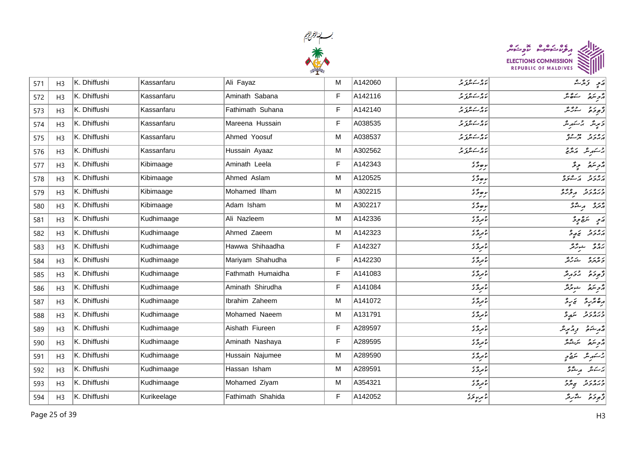



| H <sub>3</sub> | K. Dhiffushi | Kassanfaru  | Ali Fayaz         | М  | A142060 | رە سەھ <sub>رى</sub> ر                        | پَه په تر ټر ک                    |
|----------------|--------------|-------------|-------------------|----|---------|-----------------------------------------------|-----------------------------------|
| H <sub>3</sub> | K. Dhiffushi | Kassanfaru  | Aminath Sabana    | F  | A142116 | رە بەھ بەر<br>مەھرىمىزىمى                     | رمحمة مرحمة<br>سەھ بىر            |
| H <sub>3</sub> | K. Dhiffushi | Kassanfaru  | Fathimath Suhana  | F. | A142140 | رە بەھ بەر ج                                  | سەرمىگە<br>  قرَّ ہو حرمو         |
| H <sub>3</sub> | K. Dhiffushi | Kassanfaru  | Mareena Hussain   | F  | A038535 | رە بەھ بەر<br>مەھرىمىزىمى                     | 5 يږىنتر    جرىسترىنتر            |
| H <sub>3</sub> | K. Dhiffushi | Kassanfaru  | Ahmed Yoosuf      | M  | A038537 | رە بەھ بەر<br>ئام ئەسكەنلىرىم                 | پرورو دوروه                       |
| H <sub>3</sub> | K. Dhiffushi | Kassanfaru  | Hussain Ayaaz     | M  | A302562 | ئەرگە ئىكرىتىر                                | 2سكەر شەھرىمىتى ئە                |
| H <sub>3</sub> | K. Dhiffushi | Kibimaage   | Aminath Leela     | F. | A142343 | ر<br>در                                       | مزمز موقر                         |
| H <sub>3</sub> | K. Dhiffushi | Kibimaage   | Ahmed Aslam       | М  | A120525 | ره وي<br>رح                                   | رەرد پەرەرە                       |
| H <sub>3</sub> | K. Dhiffushi | Kibimaage   | Mohamed Ilham     | M  | A302215 | ره وي<br>رح                                   | ورەر د وره<br>دىرمرىز مەرگ        |
| H <sub>3</sub> | K. Dhiffushi | Kibimaage   | Adam Isham        | М  | A302217 | ره وي<br>رح                                   |                                   |
| H <sub>3</sub> | K. Dhiffushi | Kudhimaage  | Ali Nazleem       | М  | A142336 | د وره و<br>ما فرقری                           | رَ پِهِ سَيُحْرِجُ                |
| H <sub>3</sub> | K. Dhiffushi | Kudhimaage  | Ahmed Zaeem       | М  | A142323 | د وره و<br>مورد د                             | پروتر تم پرو                      |
| H <sub>3</sub> | K. Dhiffushi | Kudhimaage  | Hawwa Shihaadha   | F  | A142327 | و<br>ما تعرض ی                                | بَرُوعٌ شَورٌ مَّرٌ               |
| H <sub>3</sub> | K. Dhiffushi | Kudhimaage  | Mariyam Shahudha  | F. | A142230 | د وره و<br>ما فرقری                           | رەرە شەدەر<br>جەيرى شەرىر         |
| H <sub>3</sub> | K. Dhiffushi | Kudhimaage  | Fathmath Humaidha | F  | A141083 | د وره و<br>ما فرقری                           | ژَهِ دَ تَ تَ تَ رَ تَرَ رَ تَرَ  |
| H <sub>3</sub> | K. Dhiffushi | Kudhimaage  | Aminath Shirudha  | F. | A141084 | د وره و<br>ما فرقری                           | مزهر سنو مقرقر                    |
| H <sub>3</sub> | K. Dhiffushi | Kudhimaage  | Ibrahim Zaheem    | М  | A141072 | توریح ی                                       | د ۱۳ پخپر د کالن کالنده           |
| H <sub>3</sub> | K. Dhiffushi | Kudhimaage  | Mohamed Naeem     | М  | A131791 | د و پرې<br>ما تورگر                           | و ر ه ر د<br>تر پر ژ تر<br>سمديحه |
| H <sub>3</sub> | K. Dhiffushi | Kudhimaage  | Aishath Fiureen   | F. | A289597 | د ورځ د<br>مړينو د                            | كالمرسنة والمبرش                  |
| H <sub>3</sub> | K. Dhiffushi | Kudhimaage  | Aminath Nashaya   | F  | A289595 | د وره و<br>ما فرقری                           | أأدح سكرة الكرامن وأدار           |
| H <sub>3</sub> | K. Dhiffushi | Kudhimaage  | Hussain Najumee   | M  | A289590 | و<br>ما تعری <sup>خ</sup> ی                   | جسكويثر الكنفي                    |
| H <sub>3</sub> | K. Dhiffushi | Kudhimaage  | Hassan Isham      | M  | A289591 | د وره و<br>ما فرقری                           | پرستمبر الرستمبر                  |
| H <sub>3</sub> | K. Dhiffushi | Kudhimaage  | Mohamed Ziyam     | M  | A354321 | د وره و<br>ما فرقری                           | دره روبه دور                      |
| H <sub>3</sub> | K. Dhiffushi | Kurikeelage | Fathimath Shahida | F  | A142052 | ژ <sub>مورا</sub> بر د<br>  ژ <sub>مو</sub> ر | وَجوحَة شَرَتَرَ                  |
|                |              |             |                   |    |         |                                               |                                   |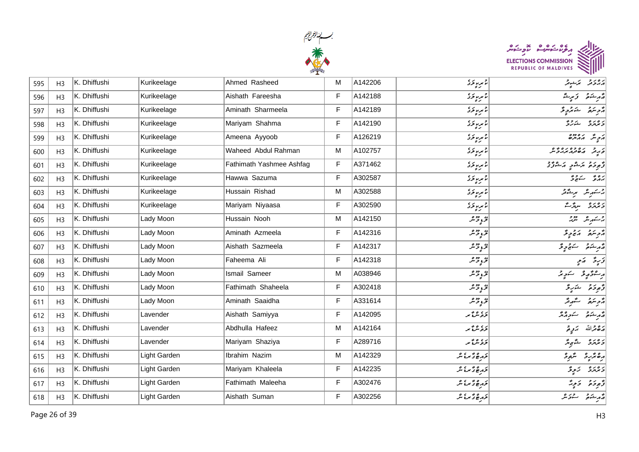



| H <sub>3</sub> | K. Dhiffushi | Kurikeelage  | Ahmed Rasheed            | м  | A142206 | ئەبىر بويج               | أرەر ئەسىر                                        |
|----------------|--------------|--------------|--------------------------|----|---------|--------------------------|---------------------------------------------------|
| H <sub>3</sub> | K. Dhiffushi | Kurikeelage  | Aishath Fareesha         | F  | A142188 | تړیږې ځه که              | ر<br>مەرخىق كەيپىق                                |
| H <sub>3</sub> | K. Dhiffushi | Kurikeelage  | Aminath Sharmeela        | F  | A142189 | ئەبرىدى<br>              | أأدوبترة المشترورة                                |
| H <sub>3</sub> | K. Dhiffushi | Kurikeelage  | Mariyam Shahma           | F. | A142190 | تړبرېږي<br>  سربې ځري    | رەرە شەدە                                         |
| H <sub>3</sub> | K. Dhiffushi | Kurikeelage  | Ameena Ayyoob            | F. | A126219 | ئەبىر بويى<br>           | הכת החתם                                          |
| H <sub>3</sub> | K. Dhiffushi | Kurikeelage  | Waheed Abdul Rahman      | М  | A102757 | ئەبىر بويى<br>           | ן כ נסכסנסים                                      |
| H <sub>3</sub> | K. Dhiffushi | Kurikeelage  | Fathimath Yashmee Ashfag | F  | A371462 | لتسمير يخر               | ژوده مکړې ټکور                                    |
| H <sub>3</sub> | K. Dhiffushi | Kurikeelage  | Hawwa Sazuma             | F. | A302587 | ئەمەر يە ئەڭ             | $55 - 201$                                        |
| H <sub>3</sub> | K. Dhiffushi | Kurikeelage  | Hussain Rishad           | м  | A302588 | ئەمەر بوخرى              | برسكريش المرحدة فمر                               |
| H <sub>3</sub> | K. Dhiffushi | Kurikeelage  | Mariyam Niyaasa          | F. | A302590 | تۇمرىيە ئىرى             | دەرە سرگە                                         |
| H <sub>3</sub> | K. Dhiffushi | Lady Moon    | Hussain Nooh             | М  | A142150 | ر، دو مر<br> عربه دو مثر | بر کے مریش میں                                    |
| H <sub>3</sub> | K. Dhiffushi | Lady Moon    | Aminath Azmeela          | F  | A142316 | اء، دو ۾<br>ح            | أأوجم أكالمحافية                                  |
| H <sub>3</sub> | K. Dhiffushi | Lady Moon    | Aishath Sazmeela         | F  | A142317 | پو په دره<br>  پوه په پو | ۇرمىئۇ سىمپر                                      |
| H <sub>3</sub> | K. Dhiffushi | Lady Moon    | Faheema Ali              | F. | A142318 | اء، دو ۾<br>ح            | ۇرپۇ كەيپ                                         |
| H <sub>3</sub> | K. Dhiffushi | Lady Moon    | Ismail Sameer            | м  | A038946 | په دومر<br>  مربح شر     | رەشۇر ئىچ                                         |
| H <sub>3</sub> | K. Dhiffushi | Lady Moon    | Fathimath Shaheela       | F. | A302418 | اء، دو ه<br> لربي چينر   | قەددە ھەرقە                                       |
| H <sub>3</sub> | K. Dhiffushi | Lady Moon    | Aminath Saaidha          | F. | A331614 | ر، دو ه<br>م             | أقرجتم ستمرقه                                     |
| H <sub>3</sub> | K. Dhiffushi | Lavender     | Aishath Samiyya          | F. | A142095 | ىر ، ە » بىر             | ومرشكم كالمروه                                    |
| H <sub>3</sub> | K. Dhiffushi | Lavender     | Abdhulla Hafeez          | М  | A142164 | ىر ، ە ، ئىر             | پرځ قمرالله   پرمونځو                             |
| H <sub>3</sub> | K. Dhiffushi | Lavender     | Mariyam Shaziya          | F. | A289716 | ىر ، ە » بىر             | سُتَدِّى مَرَّ<br>ر ه پر ه<br><del>د</del> بربرگر |
| H <sub>3</sub> | K. Dhiffushi | Light Garden | Ibrahim Nazim            | M  | A142329 | كخرم قائح سرة مثر        | سگەدى<br>ىر ھەترىر ۋ                              |
| H <sub>3</sub> | K. Dhiffushi | Light Garden | Mariyam Khaleela         | F. | A142235 | كجرم قوم محمدة مثر       | ر ه بر ه<br>تزوٍوٌ                                |
| H <sub>3</sub> | K. Dhiffushi | Light Garden | Fathimath Maleeha        | F. | A302476 | كخرم عوم محمدة مثر       | وٌمِ وَمَعْ ﴿ وَجِبْدُ                            |
| H <sub>3</sub> | K. Dhiffushi | Light Garden | Aishath Suman            | F. | A302256 | كحرم ومحمدة مثر          | ە ئەيدىنى ئىسىمىتىر                               |
|                |              |              |                          |    |         |                          |                                                   |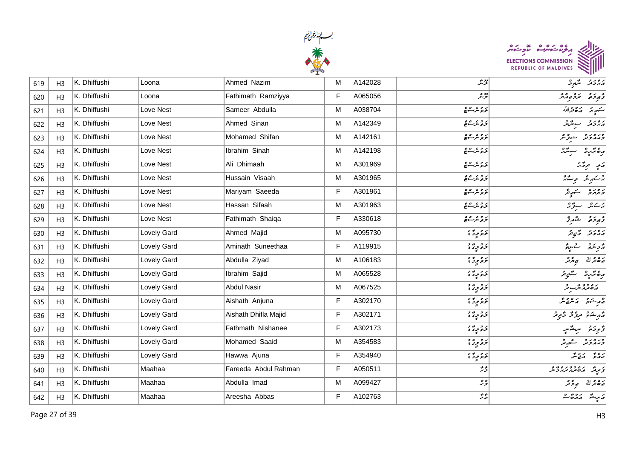



| H <sub>3</sub> | K. Dhiffushi | Loona              | Ahmed Nazim          | M  | A142028 | حزبتر                                                      | أرود تر مرتبو                           |
|----------------|--------------|--------------------|----------------------|----|---------|------------------------------------------------------------|-----------------------------------------|
| H <sub>3</sub> | K. Dhiffushi | Loona              | Fathimath Ramziyya   | F  | A065056 | لتريثر                                                     | توجدة بروبورة                           |
| H <sub>3</sub> | K. Dhiffushi | Love Nest          | Sameer Abdulla       | м  | A038704 | ىر دې دە ھ                                                 | ڪوپيٽر <b>صگ</b> ھ قىرالله              |
| H <sub>3</sub> | K. Dhiffushi | Love Nest          | Ahmed Sinan          | M  | A142349 | ىر دې پەرە ھ                                               | رەرد سوشر                               |
| H <sub>3</sub> | K. Dhiffushi | Love Nest          | Mohamed Shifan       | M  | A142161 | ىر دې دە ھ                                                 | ورەر دۇر.                               |
| H <sub>3</sub> | K. Dhiffushi | Love Nest          | Ibrahim Sinah        | M  | A142198 | ىر 3 يىر 2 ھ                                               | رەتمەر ئىستىد                           |
| H <sub>3</sub> | K. Dhiffushi | Love Nest          | Ali Dhimaah          | M  | A301969 | ر و ۽ <u>م</u> ه ه                                         | پرېږيز پروگړ                            |
| H <sub>3</sub> | K. Dhiffushi | Love Nest          | Hussain Visaah       | м  | A301965 | ىر دې دە ھ                                                 | يزخيرها وبثه                            |
| H <sub>3</sub> | K. Dhiffushi | Love Nest          | Mariyam Saeeda       | F  | A301961 | ىر دې دە ھ                                                 | ر ه پر ه<br>د بربرگ<br>سكهرمثر          |
| H <sub>3</sub> | K. Dhiffushi | Love Nest          | Hassan Sifaah        | M  | A301963 | ىر دې دە ھ                                                 | ىز سىر سوۋر                             |
| H <sub>3</sub> | K. Dhiffushi | Love Nest          | Fathimath Shaiqa     | F  | A330618 | ىر دې دە ھ                                                 | مشكورتخ<br>وٌجوحَع                      |
| H <sub>3</sub> | K. Dhiffushi | Lovely Gard        | Ahmed Majid          | м  | A095730 | ئۇرۇپرىيىچ                                                 | رەر ئەھەر<br>مەرىمى ئ                   |
| H <sub>3</sub> | K. Dhiffushi | Lovely Gard        | Aminath Suneethaa    | F  | A119915 |                                                            | أزوينكم التكسيرة                        |
| H <sub>3</sub> | K. Dhiffushi | Lovely Gard        | Abdulla Ziyad        | M  | A106183 | ئۇغۇچە ئە                                                  | رەقراللە بېرترتر                        |
| H <sub>3</sub> | K. Dhiffushi | Lovely Gard        | Ibrahim Sajid        | M  | A065528 | د د و و د                                                  | رەڭرىۋە سەرىر                           |
| H <sub>3</sub> | K. Dhiffushi | Lovely Gard        | Abdul Nasir          | M  | A067525 |                                                            | رە دە ئوسرىر<br>مەھەرمەشبەتر            |
| H <sub>3</sub> | K. Dhiffushi | Lovely Gard        | Aishath Anjuna       | F  | A302170 | ئۇغۇچە ئە                                                  | مەر ئىكى ئىر ئىرى ئىر                   |
| H <sub>3</sub> | K. Dhiffushi | Lovely Gard        | Aishath Dhifla Majid | F  | A302171 |                                                            | وأرجنتم مروقر وتحير                     |
| H <sub>3</sub> | K. Dhiffushi | Lovely Gard        | Fathmath Nishanee    | F  | A302173 | ئۇغۇچىدى                                                   | وتودة الرستين                           |
| H <sub>3</sub> | K. Dhiffushi | Lovely Gard        | Mohamed Saaid        | M  | A354583 | ئۇغۇچە ئە                                                  | ورورو شهدته                             |
| H <sub>3</sub> | K. Dhiffushi | <b>Lovely Gard</b> | Hawwa Ajuna          | F. | A354940 | ئۇقۇمۇمۇ ؟                                                 | برە ئەستى                               |
| H <sub>3</sub> | K. Dhiffushi | Maahaa             | Fareeda Abdul Rahman | F  | A050511 | وتر                                                        | ق مرتز ماه ده د و د مار                 |
| H <sub>3</sub> | K. Dhiffushi | Maahaa             | Abdulla Imad         | M  | A099427 | $\overset{\circ}{\mathcal{I}}\overset{\circ}{\mathcal{I}}$ | رەقراللە مەۋىر                          |
| H <sub>3</sub> | K. Dhiffushi | Maahaa             | Areesha Abbas        | F  | A102763 | ومحر                                                       | أەستى ئەدەبى                            |
|                |              |                    |                      |    |         |                                                            | ئۇغۇغۇغ<br>  ئۇقۇمۇمۇ ؟<br>  ئۇقۇمۇمۇ ؟ |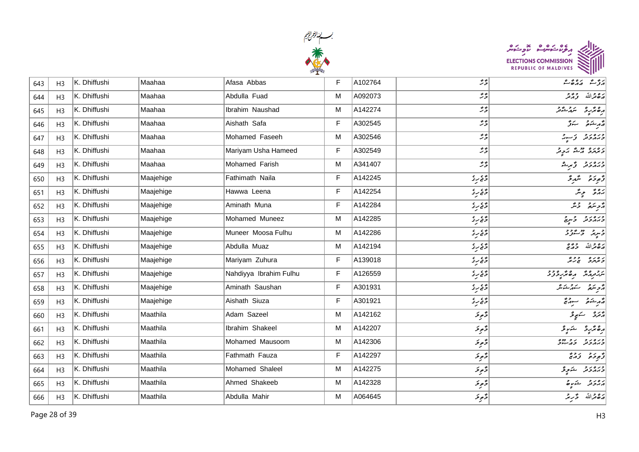



| 643 | H <sub>3</sub> | K. Dhiffushi | Maahaa    | Afasa Abbas            | F | A102764 | رًمَّ                                    |                                   |
|-----|----------------|--------------|-----------|------------------------|---|---------|------------------------------------------|-----------------------------------|
| 644 | H <sub>3</sub> | K. Dhiffushi | Maahaa    | Abdulla Fuad           | М | A092073 | وٌرٌ                                     | پر ۱۵ قرالله<br>و ه و.<br>تو د گر |
| 645 | H <sub>3</sub> | K. Dhiffushi | Maahaa    | Ibrahim Naushad        | М | A142274 | $\mathcal{Z}^{\phi}_{\mathcal{Z}}$       | أرە ئۇرۇ سەرئىقى                  |
| 646 | H <sub>3</sub> | K. Dhiffushi | Maahaa    | Aishath Safa           | F | A302545 | وٌرٌ                                     | قەرشىق سۇۋ                        |
| 647 | H <sub>3</sub> | K. Dhiffushi | Maahaa    | Mohamed Faseeh         | М | A302546 | وٌرٌ                                     | ورەرو ئەسمە                       |
| 648 | H <sub>3</sub> | K. Dhiffushi | Maahaa    | Mariyam Usha Hameed    | F | A302549 | وٌرٌ                                     | د ه د ه در محمد محمد بر د د       |
| 649 | H <sub>3</sub> | K. Dhiffushi | Maahaa    | Mohamed Farish         | M | A341407 | وًرً                                     | ورەرو ۋىر                         |
| 650 | H <sub>3</sub> | K. Dhiffushi | Maajehige | Fathimath Naila        | F | A142245 | په په ري<br>خرچ <sub>مر</sub> بر         | دَّەِدَەْ مَّىْدِدَّ              |
| 651 | H <sub>3</sub> | K. Dhiffushi | Maajehige | Hawwa Leena            | F | A142254 | ې ئارىپى<br>قىقلىرىمى                    | بَرُهُ عَ حِيسٌ                   |
| 652 | H <sub>3</sub> | K. Dhiffushi | Maajehige | Aminath Muna           | F | A142284 | ېږي <sub>دي</sub><br>خري <sub>مر</sub> ر | لتمحر يئرة<br>تر شر               |
| 653 | H <sub>3</sub> | K. Dhiffushi | Maajehige | Mohamed Muneez         | М | A142285 | ېږي <sub>د ت</sub> کي<br>خرچ کري         | دره رو د و سرچ                    |
| 654 | H <sub>3</sub> | K. Dhiffushi | Maajehige | Muneer Moosa Fulhu     | Μ | A142286 | ېږي <sub>دي</sub><br>خري <sub>مر</sub> ر | د سربر و د سور د                  |
| 655 | H <sub>3</sub> | K. Dhiffushi | Maajehige | Abdulla Muaz           | M | A142194 | ېږي <sub>دي</sub><br>خري <sub>مر</sub> ر | أرَّدُوتَراللَّهُ دَرَّجَ         |
| 656 | H <sub>3</sub> | K. Dhiffushi | Maajehige | Mariyam Zuhura         | F | A139018 | ۇ ئەسرىيە<br>مەسرىيە                     | ر ور و دور                        |
| 657 | H <sub>3</sub> | K. Dhiffushi | Maajehige | Nahdiyya Ibrahim Fulhu | F | A126559 | ېږي <sub>دي</sub><br>خري <sub>مر</sub> ر | يزجرو من مركز و د د               |
| 658 | H <sub>3</sub> | K. Dhiffushi | Maajehige | Aminath Saushan        | F | A301931 | په په ري<br>خرچ <sub>مر</sub> بر         | أمر سر من المريض المستوسر         |
| 659 | H <sub>3</sub> | K. Dhiffushi | Maajehige | Aishath Siuza          | F | A301921 | ېږي <sub>د ت</sub> کي<br>خرچ کري         | أقرمر شعور المستوقية              |
| 660 | H <sub>3</sub> | K. Dhiffushi | Maathila  | Adam Sazeel            | М | A142162 | وَّحْمِرَ مَحَ                           | پژنزو کے پیغو                     |
| 661 | H <sub>3</sub> | K. Dhiffushi | Maathila  | Ibrahim Shakeel        | М | A142207 | ۇ بۇ                                     | رەپرىر ھەرى                       |
| 662 | H <sub>3</sub> | K. Dhiffushi | Maathila  | Mohamed Mausoom        | М | A142306 | رححمو بخه                                | כנסנכ נכסים<br>כגמכת כגייב        |
| 663 | H <sub>3</sub> | K. Dhiffushi | Maathila  | Fathmath Fauza         | F | A142297 | ۇ بۇ                                     | د پوځ تو د په                     |
| 664 | H <sub>3</sub> | K. Dhiffushi | Maathila  | Mohamed Shaleel        | М | A142275 | ۇ بۇ                                     | ورەر د شەر ئى                     |
| 665 | H <sub>3</sub> | K. Dhiffushi | Maathila  | Ahmed Shakeeb          | M | A142328 | قرموخه                                   | رەرد شەرە                         |
| 666 | H <sub>3</sub> | K. Dhiffushi | Maathila  | Abdulla Mahir          | М | A064645 | ځوبځه                                    | مَدْهَ مِّرَاللَّهُ وَّرَسَّمَّ   |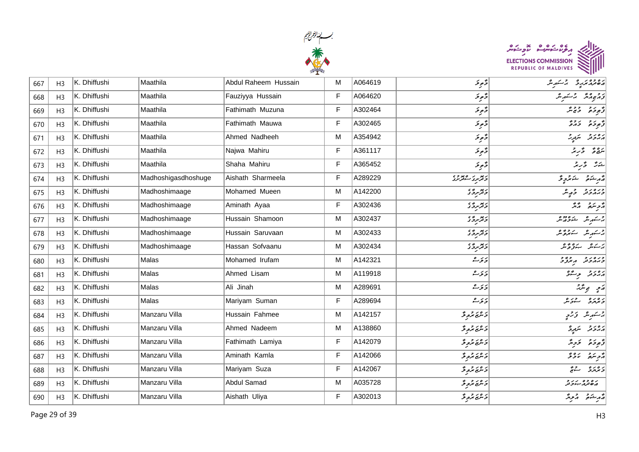



| 667 | H <sub>3</sub> | K. Dhiffushi | Maathila            | Abdul Raheem Hussain | м  | A064619 | ۇ ھ <sub>ۇ</sub> ئە                                             | رە دە بر دە بر مىر ش                              |
|-----|----------------|--------------|---------------------|----------------------|----|---------|-----------------------------------------------------------------|---------------------------------------------------|
| 668 | H <sub>3</sub> | K. Dhiffushi | Maathila            | Fauziyya Hussain     | F. | A064620 | ۇ بوخە                                                          | وقيم مشر من المستمر مشر                           |
| 669 | H <sub>3</sub> | K. Dhiffushi | Maathila            | Fathimath Muzuna     | F. | A302464 | ۇ ھ <sub>ۇ</sub> ئە                                             | ۇپرىز دېڭر                                        |
| 670 | H <sub>3</sub> | K. Dhiffushi | Maathila            | Fathimath Mauwa      | F. | A302465 | ۇ ھ <sub>ۇ</sub> ئە                                             | وتجوحه ودور                                       |
| 671 | H <sub>3</sub> | K. Dhiffushi | Maathila            | Ahmed Nadheeh        | м  | A354942 | وَّحْمِرَ                                                       | پروبرو شہرِر                                      |
| 672 | H <sub>3</sub> | K. Dhiffushi | Maathila            | Najwa Mahiru         | F. | A361117 | رُّحوِمَ                                                        | برة رُمْح رَبِّرُ                                 |
| 673 | H <sub>3</sub> | K. Dhiffushi | Maathila            | Shaha Mahiru         | F. | A365452 | ۇ ھې ئىقر                                                       | المشرش المحار بمر                                 |
| 674 | H <sub>3</sub> | K. Dhiffushi | Madhoshigasdhoshuge | Aishath Sharmeela    | F. | A289229 | پر پو <sub>ر</sub> په هغه و په<br>  په تعریف مسوفتر <i>پر پ</i> | ۇرمىئۇ مىگروگ                                     |
| 675 | H <sub>3</sub> | K. Dhiffushi | Madhoshimaage       | Mohamed Mueen        | м  | A142200 | ئەقترىردىگە ئ                                                   | ورەرو وړی                                         |
| 676 | H <sub>3</sub> | K. Dhiffushi | Madhoshimaage       | Aminath Ayaa         | F. | A302436 | ئەقترىرىگە ئ                                                    | أأدح الملتج أأأرهم                                |
| 677 | H <sub>3</sub> | K. Dhiffushi | Madhoshimaage       | Hussain Shamoon      | M  | A302437 | ئەقترىردىگە ئ                                                   | جر شهر شره ده و در محمد می                        |
| 678 | H <sub>3</sub> | K. Dhiffushi | Madhoshimaage       | Hussain Saruvaan     | М  | A302433 | ئەقترىرىچە ئ                                                    | <mark>جرسکوریش سکوری می</mark>                    |
| 679 | H <sub>3</sub> | K. Dhiffushi | Madhoshimaage       | Hassan Sofvaanu      | М  | A302434 | ئەقترىردىگە ئ                                                   | ئەسەھ سەۋۋىتر                                     |
| 680 | H <sub>3</sub> | K. Dhiffushi | Malas               | Mohamed Irufam       | м  | A142321 | ىر ئەر                                                          | כנסני היביב<br>כ <i>ג</i> הכנ <sub>י ה</sub> ינצי |
| 681 | H <sub>3</sub> | K. Dhiffushi | Malas               | Ahmed Lisam          | M  | A119918 | ىر ئەر                                                          | دەرە بەشۇ                                         |
| 682 | H <sub>3</sub> | K. Dhiffushi | Malas               | Ali Jinah            | м  | A289691 | ىز ئە                                                           | رَمِ مِیشَرٌ                                      |
| 683 | H <sub>3</sub> | K. Dhiffushi | Malas               | Mariyam Suman        | F. | A289694 | ىز ئە                                                           | ر ه ر ه<br>د بربرگ<br>سترخىشر                     |
| 684 | H <sub>3</sub> | K. Dhiffushi | Manzaru Villa       | Hussain Fahmee       | м  | A142157 | ئەشرى <i>م تەرى</i> گە                                          | برحسر تررمي                                       |
| 685 | H <sub>3</sub> | K. Dhiffushi | Manzaru Villa       | Ahmed Nadeem         | М  | A138860 | ئەندى ئىزەپە ئى                                                 | پروژنر - سرمرو                                    |
| 686 | H <sub>3</sub> | K. Dhiffushi | Manzaru Villa       | Fathimath Lamiya     | F  | A142079 | ئەندى ئرەپە ئە                                                  | وَجِدِحَاجَ حَرَبِيَّ                             |
| 687 | H <sub>3</sub> | K. Dhiffushi | Manzaru Villa       | Aminath Kamla        | F  | A142066 | ئەشرى ترەپە ئىگە                                                | ړ څخه شوې                                         |
| 688 | H <sub>3</sub> | K. Dhiffushi | Manzaru Villa       | Mariyam Suza         | F  | A142067 | ئەشرى ئىزەپە ئىگە                                               | ر ه ر ه<br><del>د</del> بربرد<br>ستهج             |
| 689 | H <sub>3</sub> | K. Dhiffushi | Manzaru Villa       | Abdul Samad          | M  | A035728 | ئەشتە ئرُە ئە                                                   | ر ه و ه پر پر و<br>پره توپر سنور تو               |
| 690 | H <sub>3</sub> | K. Dhiffushi | Manzaru Villa       | Aishath Uliya        | F  | A302013 | ئەنگە ئۆرگە                                                     | ومرشكم ومحر                                       |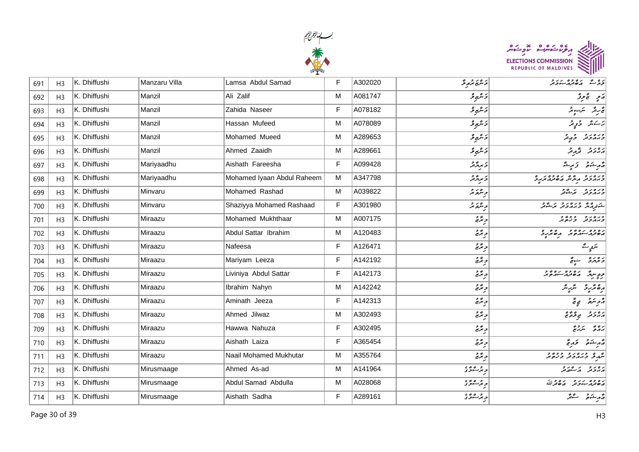



| 691 | H <sub>3</sub> | K. Dhiffushi | Manzaru Villa | Lamsa Abdul Samad          | F | A302020 | ئەشرى ترەپە ئى           | ر ٥ ٥ ٥ ٠ ر ۶<br>پره تر پر سنو تر<br>ىزدى              |
|-----|----------------|--------------|---------------|----------------------------|---|---------|--------------------------|--------------------------------------------------------|
| 692 | H <sub>3</sub> | K. Dhiffushi | Manzil        | Ali Zalif                  | M | A081747 | ئەشرىر ۋ                 | ړَ په پچ بور؟                                          |
| 693 | H <sub>3</sub> | K. Dhiffushi | Manzil        | Zahida Naseer              | F | A078182 | 5 يرىپو بۇ               | تج برقد - مترسو بتر                                    |
| 694 | H <sub>3</sub> | K. Dhiffushi | Manzil        | Hassan Mufeed              | М | A078089 | ئەمپر بۇ                 | أيرسك والمحموم                                         |
| 695 | H <sub>3</sub> | K. Dhiffushi | Manzil        | Mohamed Mueed              | Μ | A289653 | ۇ ئىرى پى                | ورەر د دېر                                             |
| 696 | H <sub>3</sub> | K. Dhiffushi | Manzil        | Ahmed Zaaidh               | М | A289661 | ئەشىر بۇ                 | د د د قرم قرم                                          |
| 697 | H <sub>3</sub> | K. Dhiffushi | Mariyaadhu    | Aishath Fareesha           | F | A099428 | ىز بىر بىر قىر           | رامر شکاهی کی مرسنگ                                    |
| 698 | H <sub>3</sub> | K. Dhiffushi | Mariyaadhu    | Mohamed Iyaan Abdul Raheem | Μ | A347798 | 5 مریز قر                | כמחכת תוצית הסתח הגם                                   |
| 699 | H <sub>3</sub> | K. Dhiffushi | Minvaru       | Mohamed Rashad             | Μ | A039822 | حەشرى تىر                | ورەر و پرېشتر                                          |
| 700 | H <sub>3</sub> | K. Dhiffushi | Minvaru       | Shaziyya Mohamed Rashaad   | F | A301980 | د عرد د                  | شغږ پره د ده د د د ور                                  |
| 701 | H <sub>3</sub> | K. Dhiffushi | Miraazu       | Mohamed Mukhthaar          | М | A007175 | حربمدحج                  | ورەر د دولاد                                           |
| 702 | H <sub>3</sub> | K. Dhiffushi | Miraazu       | Abdul Sattar Ibrahim       | М | A120483 | حربترج                   | נס כם נפש כ נפש, ם                                     |
| 703 | H <sub>3</sub> | K. Dhiffushi | Miraazu       | Nafeesa                    | F | A126471 | حريمتي                   | سَمَعٍ ک                                               |
| 704 | H <sub>3</sub> | K. Dhiffushi | Miraazu       | Mariyam Leeza              | F | A142192 | حربمتع                   | سنويج<br>  پر ه پر ه                                   |
| 705 | H <sub>3</sub> | K. Dhiffushi | Miraazu       | Liviniya Abdul Sattar      | F | A142173 | حريمتي                   | ره وه ره ۶۶<br>پره توپر سوړنو بر<br>اوه سردگر<br>په په |
| 706 | H <sub>3</sub> | K. Dhiffushi | Miraazu       | Ibrahim Nahyn              | M | A142242 | حربترج                   | ىئربەتىر<br>ەر ھەتئە پە <sup>9</sup>                   |
| 707 | H <sub>3</sub> | K. Dhiffushi | Miraazu       | Aminath Jeeza              | F | A142313 | حربترج                   | ترجه شرقه<br>ي گ                                       |
| 708 | H <sub>3</sub> | K. Dhiffushi | Miraazu       | Ahmed Jilwaz               | М | A302493 | حربترج                   | پر پر چر<br>و د ژگاه<br>مح                             |
| 709 | H <sub>3</sub> | K. Dhiffushi | Miraazu       | Hawwa Nahuza               | F | A302495 | حريمتي                   | بروء سرريح                                             |
| 710 | H <sub>3</sub> | K. Dhiffushi | Miraazu       | Aishath Laiza              | F | A365454 | حريميح                   | ويركون تحديثم                                          |
| 711 | H <sub>3</sub> | K. Dhiffushi | Miraazu       | Naail Mohamed Mukhutar     | М | A355764 | حربترج                   | شرو ورەرو وودو                                         |
| 712 | H <sub>3</sub> | K. Dhiffushi | Mirusmaage    | Ahmed As-ad                | М | A141964 | ا <sub>حە</sub> پر شەۋى  | גפיק גם גב                                             |
| 713 | H <sub>3</sub> | K. Dhiffushi | Mirusmaage    | Abdul Samad Abdulla        | M | A028068 | ادپر عقیقی               | ره وه بربر و ده دالله                                  |
| 714 | H <sub>3</sub> | K. Dhiffushi | Mirusmaage    | Aishath Sadha              | F | A289161 | ا <sub>حە</sub> پر شەھ ئ | أقرم شكوته كستقر                                       |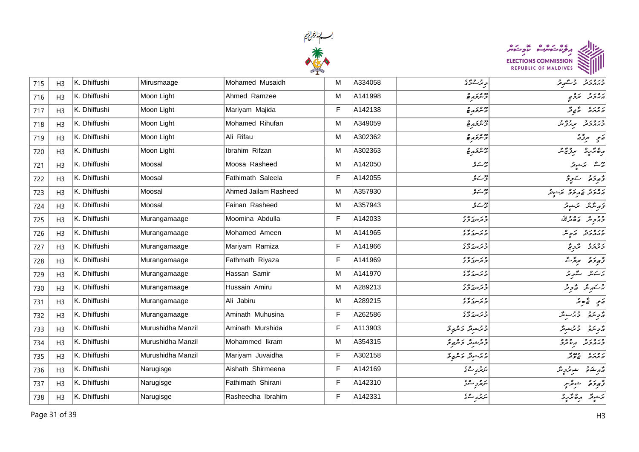



| 715 | H <sub>3</sub> | K. Dhiffushi | Mirusmaage        | Mohamed Musaidh      | M  | A334058 | <sub>حە</sub> تر ش <sub>ەڭ كە</sub>     | ورەرو وگەر                       |
|-----|----------------|--------------|-------------------|----------------------|----|---------|-----------------------------------------|----------------------------------|
| 716 | H <sub>3</sub> | K. Dhiffushi | Moon Light        | Ahmed Ramzee         | M  | A141998 | وده پر ه                                | برور والروام                     |
| 717 | H <sub>3</sub> | K. Dhiffushi | Moon Light        | Mariyam Majida       | F  | A142138 | رومربر مع                               | ترەرە گەيگ                       |
| 718 | H <sub>3</sub> | K. Dhiffushi | Moon Light        | Mohamed Rihufan      | M  | A349059 | ریویز مرغ                               | ورەرو بروۋو                      |
| 719 | H <sub>3</sub> | K. Dhiffushi | Moon Light        | Ali Rifau            | M  | A302362 | لتشعر وهجره                             | پَه پِه پُروژه                   |
| 720 | H <sub>3</sub> | K. Dhiffushi | Moon Light        | Ibrahim Rifzan       | M  | A302363 | رحمد عرضه                               | رەترىر ئىروتمىر                  |
| 721 | H <sub>3</sub> | K. Dhiffushi | Moosal            | Moosa Rasheed        | M  | A142050 | دويے محر                                | وقرنے کے <sub>مکشو</sub> ر       |
| 722 | H <sub>3</sub> | K. Dhiffushi | Moosal            | Fathimath Saleela    | F  | A142055 | لترسيقه                                 | رَّمِودَة سَيِرَة                |
| 723 | H <sub>3</sub> | K. Dhiffushi | Moosal            | Ahmed Jailam Rasheed | M  | A357930 | ىق ئەيمۇ                                | <i>ג و د د و د د و ه</i> پر شوند |
| 724 | H <sub>3</sub> | K. Dhiffushi | Moosal            | Fainan Rasheed       | M  | A357943 | دويے محر                                | أقرم يترشر مترسوقر               |
| 725 | H <sub>3</sub> | K. Dhiffushi | Murangamaage      | Moomina Abdulla      | F  | A142033 | و بر سر بر پر<br>تر سر پر تر بر         | 35مريئر   جدم الله               |
| 726 | H <sub>3</sub> | K. Dhiffushi | Murangamaage      | Mohamed Ameen        | м  | A141965 | و بر سر بر پر<br>تر سر پر تر بر         | ورەرو كەچىگ                      |
| 727 | H <sub>3</sub> | K. Dhiffushi | Murangamaage      | Mariyam Ramiza       | F  | A141966 | و بر سر بر پر<br>تر سر پر تر بر         | وبرور ومحرم                      |
| 728 | H <sub>3</sub> | K. Dhiffushi | Murangamaage      | Fathmath Riyaza      | F  | A141969 | و بر سر بر پر<br>تر سر پر تر بر         | ژُهِ دَهْ په برگتْ               |
| 729 | H <sub>3</sub> | K. Dhiffushi | Murangamaage      | Hassan Samir         | M  | A141970 | و بر سر پر پر<br>  <del>و</del> برس و د | يز ستهش ستهويز                   |
| 730 | H <sub>3</sub> | K. Dhiffushi | Murangamaage      | Hussain Amiru        | M  | A289213 | و ر ر ر د »<br>و برس و د د              | يز سكر شر الأحرار                |
| 731 | H <sub>3</sub> | K. Dhiffushi | Murangamaage      | Ali Jabiru           | M  | A289215 | و بر سر بر پر<br>تر سر پر تر بر         | پَنسِ قَوْمِرٌ                   |
| 732 | H <sub>3</sub> | K. Dhiffushi | Murangamaage      | Aminath Muhusina     | F  | A262586 | و بر سر پر پر<br>  <del>و</del> برس و د | ومحافظهم المحار والمراجي         |
| 733 | H <sub>3</sub> | K. Dhiffushi | Murushidha Manzil | Aminath Murshida     | F  | A113903 | وترجية وتريج                            | أأدوبتهم ومرشوش                  |
| 734 | H <sub>3</sub> | K. Dhiffushi | Murushidha Manzil | Mohammed Ikram       | M  | A354315 | 3 يُرْسُونَّدْ وَكَدْبُو وَ             | כממכת תימכ                       |
| 735 | H <sub>3</sub> | K. Dhiffushi | Murushidha Manzil | Mariyam Juvaidha     | F. | A302158 | 3 يزڪونگر 15 سرچ گ                      | ر ہ رہ دے۔<br>تر ہر سن تے م      |
| 736 | H <sub>3</sub> | K. Dhiffushi | Narugisge         | Aishath Shirmeena    | F. | A142169 | يتربر عصر عصر                           | ۇرمىقۇ ھېرچە                     |
| 737 | H <sub>3</sub> | K. Dhiffushi | Narugisge         | Fathimath Shirani    | F  | A142310 | لترجر بره بح                            | ۇچۇچۇ سېترىپ                     |
| 738 | H <sub>3</sub> | K. Dhiffushi | Narugisge         | Rasheedha Ibrahim    | F  | A142331 | يرچرىرىشى                               | پرَ یو شَر مِره پُرْبِردُ        |
|     |                |              |                   |                      |    |         |                                         |                                  |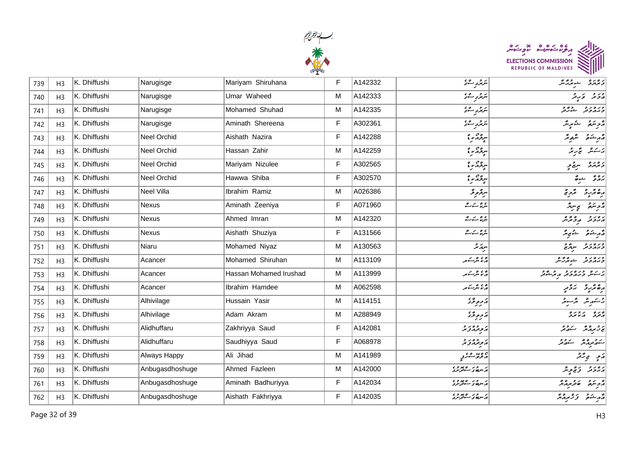



| 739 | H <sub>3</sub> | K. Dhiffushi | Narugisge       | Mariyam Shiruhana      | F | A142332 | يرچريە ھوتە                             | دەرە ھەرئەتگە                                 |
|-----|----------------|--------------|-----------------|------------------------|---|---------|-----------------------------------------|-----------------------------------------------|
| 740 | H <sub>3</sub> | K. Dhiffushi | Narugisge       | Umar Waheed            | M | A142333 | ىر چې ره پ                              | ورو کارو                                      |
| 741 | H <sub>3</sub> | K. Dhiffushi | Narugisge       | Mohamed Shuhad         | м | A142335 | يترتجر مصرفه                            | وره رو دروو<br><i>وبرو</i> وتر شو <i>ر</i> تر |
| 742 | H <sub>3</sub> | K. Dhiffushi | Narugisge       | Aminath Shereena       | F | A302361 | يرچرىرىشى                               | أدويتكم الحميش                                |
| 743 | H <sub>3</sub> | K. Dhiffushi | Neel Orchid     | Aishath Nazira         | F | A142288 | ەم دەرىپ<br>ئېرىدىكرىيە                 | أقهر مشكاته التتفويتما                        |
| 744 | H <sub>3</sub> | K. Dhiffushi | Neel Orchid     | Hassan Zahir           | M | A142259 | ەر ۋە<br>سرىۋە ئىر ي                    | يرسىقل ئجرىتى                                 |
| 745 | H <sub>3</sub> | K. Dhiffushi | Neel Orchid     | Mariyam Nizulee        | F | A302565 | ىبر پر مى<br>ئە                         | ر ه بر ه<br>د بربرگ<br>سرچ پو                 |
| 746 | H <sub>3</sub> | K. Dhiffushi | Neel Orchid     | Hawwa Shiba            | F | A302570 | ىرومۇر،<br>ئەبىر                        | بروء شرة                                      |
| 747 | H <sub>3</sub> | K. Dhiffushi | Neel Villa      | Ibrahim Ramiz          | M | A026386 | سرپۇرېتى                                | ىر ھەترىر <i>ۋ</i><br>برَّحِ لَج              |
| 748 | H <sub>3</sub> | K. Dhiffushi | <b>Nexus</b>    | Aminath Zeeniya        | F | A071960 | ير پر مەكەب                             | أزدبتهم<br>ىپىسىدىگە                          |
| 749 | H <sub>3</sub> | K. Dhiffushi | Nexus           | Ahmed Imran            | M | A142320 | يتربر مسكرك                             | رەرد مەمەر                                    |
| 750 | H <sub>3</sub> | K. Dhiffushi | Nexus           | Aishath Shuziya        | F | A131566 | ی میں کے کے                             | وكرمشكم مشير                                  |
| 751 | H <sub>3</sub> | K. Dhiffushi | Niaru           | Mohamed Niyaz          | M | A130563 | سرير                                    | ورەر د سرگرم                                  |
| 752 | H <sub>3</sub> | K. Dhiffushi | Acancer         | Mohamed Shiruhan       | M | A113109 | ۇ ئابىرىكىر                             | ورەرو جورگىر                                  |
| 753 | H <sub>3</sub> | K. Dhiffushi | Acancer         | Hassan Mohamed Irushad | M | A113999 | ە ئەشرىسىمىر                            |                                               |
| 754 | H <sub>3</sub> | K. Dhiffushi | Acancer         | Ibrahim Hamdee         | M | A062598 | ۇ ئابىرىكىر                             | رە ئرىر ئەۋىر                                 |
| 755 | H <sub>3</sub> | K. Dhiffushi | Alhivilage      | Hussain Yasir          | M | A114151 | پرورونژ د                               | يزسكريش الأسبط                                |
| 756 | H <sub>3</sub> | K. Dhiffushi | Alhivilage      | Adam Akram             | M | A288949 | <br> پروپونژی                           | وره پروره                                     |
| 757 | H <sub>3</sub> | K. Dhiffushi | Alidhuffaru     | Zakhriyya Saud         | F | A142081 | پر وژه د بر                             | בל מנה הבירה                                  |
| 758 | H <sub>3</sub> | K. Dhiffushi | Alidhuffaru     | Saudhiyya Saud         | F | A068978 | پر پرچمو تر پر                          | המנגיל החבר                                   |
| 759 | H <sub>3</sub> | K. Dhiffushi | Always Happy    | Ali Jihad              | м | A141989 | ە مەمەر مەي <sub>م</sub>                | ړکو وگړ                                       |
| 760 | H <sub>3</sub> | K. Dhiffushi | Anbugasdhoshuge | Ahmed Fazleen          | M | A142000 | بر سرح بر صحیح و بر<br>هرسرچه که مسافرس | برەرد زېږېد                                   |
| 761 | H <sub>3</sub> | K. Dhiffushi | Anbugasdhoshuge | Aminath Badhuriyya     | F | A142034 | ر سرچ که شود د و د                      | הבתה בתמה                                     |
| 762 | H <sub>3</sub> | K. Dhiffushi | Anbugasdhoshuge | Aishath Fakhriyya      | F | A142035 | تر سرچ ر صور و د<br>در سرچ که سوفرس     | ومرشوم ورمرمر                                 |
|     |                |              |                 |                        |   |         |                                         |                                               |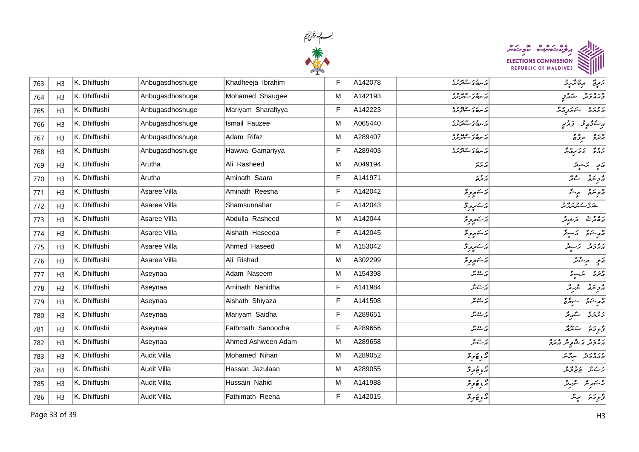



| 763 | H <sub>3</sub> | K. Dhiffushi | Anbugasdhoshuge    | Khadheeja Ibrahim  | F  | A142078 | ر سرچ ر صور و ۽<br>ترسي <i>ھ ي</i> سنڌ سربري | دَىرٍمَّ رەھزىرد               |
|-----|----------------|--------------|--------------------|--------------------|----|---------|----------------------------------------------|--------------------------------|
| 764 | H <sub>3</sub> | K. Dhiffushi | Anbugasdhoshuge    | Mohamed Shaugee    | м  | A142193 | پر سرچ پر صغر و ۽<br>پر سرچ کي ڪنگرس         | ورەرو شەر                      |
| 765 | H <sub>3</sub> | K. Dhiffushi | Anbugasdhoshuge    | Mariyam Sharafiyya | F  | A142223 | ر سرچ ر صور و د<br>پرسرچ که سورسری           | رەرە شەترومەر                  |
| 766 | H <sub>3</sub> | K. Dhiffushi | Anbugasdhoshuge    | Ismail Fauzee      | м  | A065440 | بر سرح بر صور و د<br>بر سرحه که مسافر سرک    | و شۇ ھۇر ئۇرىم                 |
| 767 | H <sub>3</sub> | K. Dhiffushi | Anbugasdhoshuge    | Adam Rifaz         | M  | A289407 | ر سرچ ر صور و د<br>در سرچ ر سانترس           | ړ ده پر دي                     |
| 768 | H <sub>3</sub> | K. Dhiffushi | Anbugasdhoshuge    | Hawwa Gamariyya    | F  | A289403 | ر سرچ ر صور و د<br>در سرچ که سوفرس           | גם " בבינה"                    |
| 769 | H <sub>3</sub> | K. Dhiffushi | Arutha             | Ali Rasheed        | M  | A049194 | ر ور<br>مرس                                  | أركمني التركيبيون              |
| 770 | H <sub>3</sub> | K. Dhiffushi | Arutha             | Aminath Saara      | F  | A141971 | ر در                                         | سترتز<br>أأترسكم               |
| 771 | H <sub>3</sub> | K. Dhiffushi | Asaree Villa       | Aminath Reesha     | F  | A142042 | رَ سَمَىپِ عِرْ مَحْرِ                       | ړٌ د سَره په سِنَّهُ           |
| 772 | H <sub>3</sub> | K. Dhiffushi | Asaree Villa       | Shamsunnahar       | F  | A142043 | رَسَى پِرِهِ وَّ                             | يە 2 مەھ بەر <i>بە</i> 2       |
| 773 | H <sub>3</sub> | K. Dhiffushi | Asaree Villa       | Abdulla Rasheed    | M  | A142044 | دَ سَمَىٍ عِرْقَرْ                           | رَصْحْرَاللّهُ تَمْرَسْدِقْر   |
| 774 | H <sub>3</sub> | K. Dhiffushi | Asaree Villa       | Aishath Haseeda    | F. | A142045 | پرستمبرعریڅه                                 | مەر ئىكتى ئەسىقە               |
| 775 | H <sub>3</sub> | K. Dhiffushi | Asaree Villa       | Ahmed Haseed       | M  | A153042 | پرستمبرعریڅه                                 | پروبرو برسید                   |
| 776 | H <sub>3</sub> | K. Dhiffushi | Asaree Villa       | Ali Rishad         | M  | A302299 | ئەسەئىيە بەرىجە<br>                          | كديج المرحنة قر                |
| 777 | H <sub>3</sub> | K. Dhiffushi | Aseynaa            | Adam Naseem        | M  | A154398 | ىرىيىتر                                      |                                |
| 778 | H <sub>3</sub> | K. Dhiffushi | Aseynaa            | Aminath Nahidha    | F  | A141984 | ىرىيىتىر                                     | ىتزىرىتر<br>ومحر يتمع          |
| 779 | H <sub>3</sub> | K. Dhiffushi | Aseynaa            | Aishath Shiyaza    | F. | A141598 | ىرىيىتىر                                     | شەدگرىگى<br>و مر شو د<br>مر    |
| 780 | H <sub>3</sub> | K. Dhiffushi | Aseynaa            | Mariyam Saidha     | F  | A289651 | ىرىيىتر                                      | ستهرقر<br>ر ه بر ه<br>د بربر د |
| 781 | H <sub>3</sub> | K. Dhiffushi | Aseynaa            | Fathmath Sanoodha  | F  | A289656 | ىرىيىتىر                                     | و محرم دور کے متعرفہ           |
| 782 | H <sub>3</sub> | K. Dhiffushi | Aseynaa            | Ahmed Ashween Adam | M  | A289658 | ىرىيىتر                                      | גפגב גىפ <sub>ו</sub> של הבקס  |
| 783 | H <sub>3</sub> | K. Dhiffushi | Audit Villa        | Mohamed Nihan      | м  | A289052 | ېر و ځورگه<br>مر                             | ورەرو سرگىر                    |
| 784 | H <sub>3</sub> | K. Dhiffushi | Audit Villa        | Hassan Jazulaan    | M  | A289055 | م.<br>وه و ځورځه                             | ىر كەش بىي تۇنىر               |
| 785 | H <sub>3</sub> | K. Dhiffushi | Audit Villa        | Hussain Nahid      | M  | A141988 | م د و غورځه<br> ر                            | 2سكەرىش مەرىپى                 |
| 786 | H <sub>3</sub> | K. Dhiffushi | <b>Audit Villa</b> | Fathimath Reena    | F  | A142015 | م د و عومر محمد<br> مربع عومر                | ۇۋۇۋۇ بېتر                     |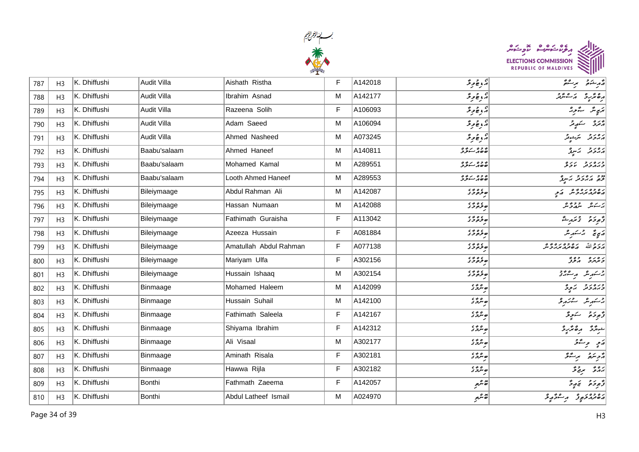



| H <sub>3</sub> | K. Dhiffushi | <b>Audit Villa</b> | Aishath Ristha         | F  | A142018 | ر<br>مړينمو پر                 | أقهر يشكونه المراسفة                                                                                               |
|----------------|--------------|--------------------|------------------------|----|---------|--------------------------------|--------------------------------------------------------------------------------------------------------------------|
| H <sub>3</sub> | K. Dhiffushi | Audit Villa        | Ibrahim Asnad          | м  | A142177 |                                | رەنۇر ئەسەت                                                                                                        |
| H <sub>3</sub> | K. Dhiffushi | Audit Villa        | Razeena Solih          | F. | A106093 |                                | ىمىم ئىگە سەمر                                                                                                     |
| H <sub>3</sub> | K. Dhiffushi | Audit Villa        | Adam Saeed             | м  | A106094 |                                | پر پر مستقریبر                                                                                                     |
| H <sub>3</sub> | K. Dhiffushi | Audit Villa        | Ahmed Nasheed          | М  | A073245 |                                | برەر بە سكەندىر                                                                                                    |
| H <sub>3</sub> | K. Dhiffushi | Baabu'salaam       | Ahmed Haneef           | М  | A140811 | پروه ريږه<br><i>ه ه</i> ر سنور | پروتر   پرسرو                                                                                                      |
| H <sub>3</sub> | K. Dhiffushi | Baabu'salaam       | Mohamed Kamal          | М  | A289551 | پ <sup>ر و</sup> ه به ده ه     | ورەرو رىرە                                                                                                         |
| H <sub>3</sub> | K. Dhiffushi | Baabu'salaam       | Looth Ahmed Haneef     | М  | A289553 | پ <sup>ر و</sup> ه به ده ه     | دوم د ده د د بر د بر د                                                                                             |
| H <sub>3</sub> | K. Dhiffushi | Bileiymaage        | Abdul Rahman Ali       | м  | A142087 | ړه د د ،<br>ح نومونو د         | ره وه ره ده مر                                                                                                     |
| H <sub>3</sub> | K. Dhiffushi | Bileiymaage        | Hassan Numaan          | М  | A142088 |                                | ىر كەش بىر ئەرگەر                                                                                                  |
| H <sub>3</sub> | K. Dhiffushi | Bileiymaage        | Fathimath Guraisha     | F  | A113042 |                                | ترودد تمكرية                                                                                                       |
| H <sub>3</sub> | K. Dhiffushi | Bileiymaage        | Azeeza Hussain         | F. | A081884 | ړه د د ،<br>ح نومونو د         | مَيِيحٌ بِرْسَهِ بِعْرِ                                                                                            |
| H <sub>3</sub> | K. Dhiffushi | Bileiymaage        | Amatullah Abdul Rahman | F  | A077138 | ړه د د ،<br>ح نومونو د         | ر ه د و ه ر ه د ه<br>پره تر بر بر تر س<br>ترترح الله                                                               |
| H <sub>3</sub> | K. Dhiffushi | Bileiymaage        | Mariyam Ulfa           | F. | A302156 | ړه د د ،<br>ح نومونو د         | ره ره وه و<br>د بربرد مروز                                                                                         |
| H <sub>3</sub> | K. Dhiffushi | Bileiymaage        | Hussain Ishaaq         | м  | A302154 |                                | برسكريمر الراهيج                                                                                                   |
| H <sub>3</sub> | K. Dhiffushi | Binmaage           | Mohamed Haleem         | м  | A142099 | ە شەترى<br>ھەشرىرى             | ورەرو پەيدە                                                                                                        |
| H <sub>3</sub> | K. Dhiffushi | <b>Binmaage</b>    | Hussain Suhail         | м  | A142100 | ە مەردى<br>م                   | سترىر بى<br>جر <u>س</u> تمبر مثر                                                                                   |
| H <sub>3</sub> | K. Dhiffushi | Binmaage           | Fathimath Saleela      | F. | A142167 | ھ شرچ ي                        | وتموذة التنوقر                                                                                                     |
| H <sub>3</sub> | K. Dhiffushi | Binmaage           | Shiyama Ibrahim        | F. | A142312 | ە ئەرىپى<br>مەسرىرى            | برە ئەربى<br>شەردىگە<br>م                                                                                          |
| H <sub>3</sub> | K. Dhiffushi | Binmaage           | Ali Visaal             | M  | A302177 | ە شەترى<br>ھەشرىرى             | ړی ویگو                                                                                                            |
| H <sub>3</sub> | K. Dhiffushi | <b>Binmaage</b>    | Aminath Risala         | F. | A302181 | ە ئىرگە ئ                      | أأرمز المراكبة وستكفر                                                                                              |
| H <sub>3</sub> | K. Dhiffushi | <b>Binmaage</b>    | Hawwa Rijla            | F. | A302182 | ه ۶ پر د<br>حامزد د            | رەۋ برقۇ                                                                                                           |
| H <sub>3</sub> | K. Dhiffushi | Bonthi             | Fathmath Zaeema        | F. | A142057 | ھىرى                           | توالجو فالمحامية                                                                                                   |
| H <sub>3</sub> | K. Dhiffushi | Bonthi             | Abdul Latheef Ismail   | M  | A024970 |                                | גפנפות משלתיל                                                                                                      |
|                |              |                    |                        |    |         |                                | لموجوعه<br>لموجوعه<br>م.<br>وه و ځورځه<br>م و ع حرمحه<br>م<br> <br> حوڅوڅو<br>  ئەۋەر ئە<br> <br> حوفروی<br>لقسمبر |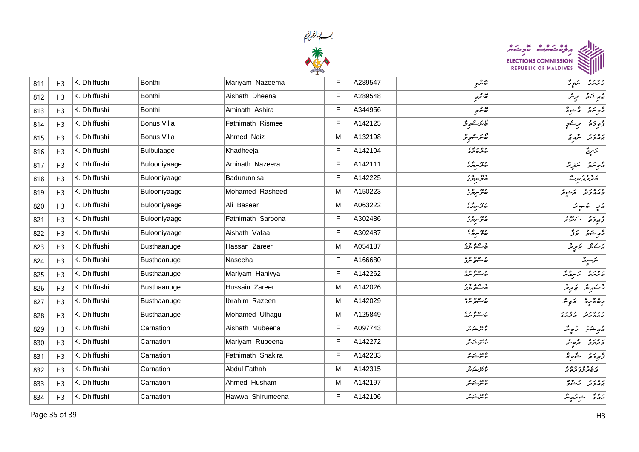



| 811 | H <sub>3</sub> | K. Dhiffushi | Bonthi             | Mariyam Nazeema     | F  | A289547 | قاسره                                               | ر ه بر ه<br>د بربرگ<br>سَوْرِيَّةَ             |
|-----|----------------|--------------|--------------------|---------------------|----|---------|-----------------------------------------------------|------------------------------------------------|
| 812 | H <sub>3</sub> | K. Dhiffushi | Bonthi             | Aishath Dheena      | F  | A289548 | بر ہ<br>صنرہ                                        | مەرىشىمى مېگە                                  |
| 813 | H <sub>3</sub> | K. Dhiffushi | Bonthi             | Aminath Ashira      | F  | A344956 | لقدمو                                               | أرمح يتمعى أرائس مرتجر                         |
| 814 | H <sub>3</sub> | K. Dhiffushi | <b>Bonus Villa</b> | Fathimath Rismee    | F  | A142125 | <i>ھىترىشوغ</i> ۇ                                   | وحجوحهم<br>ىرىشىر                              |
| 815 | H <sub>3</sub> | K. Dhiffushi | <b>Bonus Villa</b> | Ahmed Naiz          | M  | A132198 | @ ئىزىش <sub>ى</sub> مو ئۇ                          | سَّرمى<br>برور و                               |
| 816 | H <sub>3</sub> | K. Dhiffushi | <b>Bulbulaage</b>  | Khadheeja           | F  | A142104 | د ه د و و ،<br>م <i>ه نو ه</i> تر                   | ترَ ورِجَّ                                     |
| 817 | H <sub>3</sub> | K. Dhiffushi | Bulooniyaage       | Aminath Nazeera     | F  | A142111 | و دو به پرې<br><mark>ن ن</mark> و سربر <sub>ک</sub> | سَمَفِرِيمَّ<br>ومحر يتمده                     |
| 818 | H <sub>3</sub> | K. Dhiffushi | Bulooniyaage       | Badurunnisa         | F  | A142225 | 32 مرمر <sup>ي</sup>                                | ے وجوہ سرے<br>صحر مرمہ سرے                     |
| 819 | H <sub>3</sub> | K. Dhiffushi | Bulooniyaage       | Mohamed Rasheed     | M  | A150223 | دود سرچري<br>  جا څر سرچري                          | ورەرو بەيدۇ                                    |
| 820 | H <sub>3</sub> | K. Dhiffushi | Bulooniyaage       | Ali Baseer          | M  | A063222 | 32°سر پر محمد کا                                    | ړې ځېږ                                         |
| 821 | H <sub>3</sub> | K. Dhiffushi | Bulooniyaage       | Fathimath Saroona   | F  | A302486 | جوجو پريزي                                          | سە دەپىر<br>و څو څه د                          |
| 822 | H <sub>3</sub> | K. Dhiffushi | Bulooniyaage       | Aishath Vafaa       | F. | A302487 | و دو سرچ ۽<br><mark>ھڻ سرچ</mark> ي                 | قەرىشەھ قۇگ                                    |
| 823 | H <sub>3</sub> | K. Dhiffushi | Busthaanuge        | Hassan Zareer       | M  | A054187 | د ۱۵ ور،<br>حاسره مرد                               | يرسكس كالمرير                                  |
| 824 | H <sub>3</sub> | K. Dhiffushi | Busthaanuge        | Naseeha             | F  | A166680 | ه ۵ ۵ و ۷<br>په سرچ سر <sub>ک</sub>                 | سترسيد                                         |
| 825 | H <sub>3</sub> | K. Dhiffushi | Busthaanuge        | Mariyam Haniyya     | F  | A142262 | ه ۵۵ و ،<br>پېښتون                                  | ر ه ر ه<br>د بربرگ<br>ئەسەر بىر                |
| 826 | H <sub>3</sub> | K. Dhiffushi | Busthaanuge        | Hussain Zareer      | M  | A142026 | د ۱۵۵ و ،<br>حاسومبر                                | برستهرش تجيير                                  |
| 827 | H <sub>3</sub> | K. Dhiffushi | Busthaanuge        | Ibrahim Razeen      | м  | A142029 | د ۱۵۵ و ،<br>حاسومبر                                | ەر ھەتمەر 2<br>ر<br>ىمەي شر                    |
| 828 | H <sub>3</sub> | K. Dhiffushi | Busthaanuge        | Mohamed Ulhagu      | M  | A125849 | ه ۵۵ و <sup>ی</sup>                                 | و ر ه ر د<br>تربرگرفتر<br>ەر بەر چ             |
| 829 | H <sub>3</sub> | K. Dhiffushi | Carnation          | Aishath Mubeena     | F  | A097743 | پە ئەر يەر ھ                                        | أقرم شكوت وحافر                                |
| 830 | H <sub>3</sub> | K. Dhiffushi | Carnation          | Mariyam Rubeena     | F  | A142272 | پ <sup>ە ي</sup> ئىرىشە ئىر                         | ىزەپىر<br>ويحترون                              |
| 831 | H <sub>3</sub> | K. Dhiffushi | Carnation          | Fathimath Shakira   | F  | A142283 | پە ئەر ئەيەتە بەر<br>ما ئىترىشە مىر                 | رُّجِرْدَةُ شَرْبةُ                            |
| 832 | H <sub>3</sub> | K. Dhiffushi | Carnation          | <b>Abdul Fathah</b> | M  | A142315 | ە يى <sub>رىشىر</sub> ھ                             | ر ٥ و ٥ د ٥ د ٥<br>پره تر <del>ت</del> ر تر مر |
| 833 | H <sub>3</sub> | K. Dhiffushi | Carnation          | Ahmed Husham        | M  | A142197 | پە ئەرىيە ئەھ                                       | دەرو ئىشۇ                                      |
| 834 | H <sub>3</sub> | K. Dhiffushi | Carnation          | Hawwa Shirumeena    | F  | A142106 | پە يەر يەر<br>مائىرىشە مىر                          | بروژ جو پرچ                                    |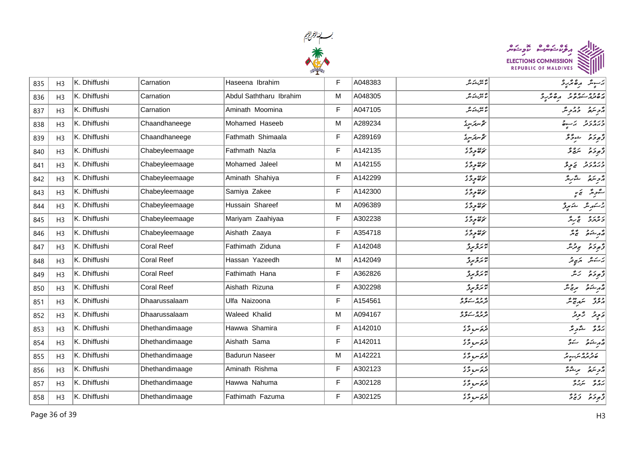



| 835 | H <sub>3</sub> | K. Dhiffushi | Carnation         | Haseena Ibrahim         | F. | A048383 | پە ئەرىيە ئەھ                           | ئەسەپىتىر<br>ئە                                |
|-----|----------------|--------------|-------------------|-------------------------|----|---------|-----------------------------------------|------------------------------------------------|
| 836 | H <sub>3</sub> | K. Dhiffushi | Carnation         | Abdul Saththaru Ibrahim | М  | A048305 | ە يى <sub>ش</sub> ىر ھ                  | ر ه ده ره ده د<br>پره تربر سهره بر<br>برە ئۆرۈ |
| 837 | H <sub>3</sub> | K. Dhiffushi | Carnation         | Aminath Moomina         | F  | A047105 | پە ئەر ئەيەتە بەر<br>ما ئىترىشە مىر     | أأوبتكم والموبار                               |
| 838 | H <sub>3</sub> | K. Dhiffushi | Chaandhaneege     | Mohamed Haseeb          | М  | A289234 | ڭۇس <sub>ل</sub> ىرىك <sub>ى</sub> رىگە | وره دو برسره                                   |
| 839 | H <sub>3</sub> | K. Dhiffushi | Chaandhaneege     | Fathmath Shimaala       | F  | A289169 | كۇسرىر سرىگە                            | وَجِرِحَةُ شَرَحَّةً                           |
| 840 | H <sub>3</sub> | K. Dhiffushi | Chabeyleemaage    | Fathmath Nazla          | F  | A142135 | ى ئەھمەر ئ <sup>ەس</sup> ك              | ۇي <sub>ر</sub> ىز ئىقى                        |
| 841 | H <sub>3</sub> | K. Dhiffushi | Chabeyleemaage    | Mohamed Jaleel          | М  | A142155 | ىرى بەر بەر<br>كۆ <b>ھ</b> بورگ         | ورەرو ئەيدۇ                                    |
| 842 | H <sub>3</sub> | K. Dhiffushi | Chabeyleemaage    | Aminath Shahiya         | F  | A142299 | ى ئەسىرىگە<br>ئەھمەرىگە                 | ستشررتش<br>و څخه سرچ                           |
| 843 | H <sub>3</sub> | K. Dhiffushi | Chabeyleemaage    | Samiya Zakee            | F  | A142300 | ى ئەھمەر ئ <sup>ەس</sup> ك              | ستمرش تمي                                      |
| 844 | H <sub>3</sub> | K. Dhiffushi | Chabeyleemaage    | Hussain Shareef         | м  | A096389 | كۇڭ م <sub>و</sub> دگى<br>كۆڭ مۇرگە     | چە سەر شەھرى                                   |
| 845 | H <sub>3</sub> | K. Dhiffushi | Chabeyleemaage    | Mariyam Zaahiyaa        | F  | A302238 | كۇڭ م <sub>و</sub> دگى<br>كۆڭ مۇرگە     | ويحترو<br>تج سر پڑ                             |
| 846 | H <sub>3</sub> | K. Dhiffushi | Chabeyleemaage    | Aishath Zaaya           | F  | A354718 | ى ئەھمەرىمى<br>كىمەھمەرىمى              | چ پڙ<br>لقمر يئموهم                            |
| 847 | H <sub>3</sub> | K. Dhiffushi | <b>Coral Reef</b> | Fathimath Ziduna        | F  | A142048 | #ئىر قرىبو تر                           | ىبې قرىتر<br>و څو ځه                           |
| 848 | H <sub>3</sub> | K. Dhiffushi | <b>Coral Reef</b> | Hassan Yazeedh          | M  | A142049 | ليوبر وبيرو                             | ېزىي <sub>چ</sub> ىتر<br>ټرسکرش                |
| 849 | H <sub>3</sub> | K. Dhiffushi | Coral Reef        | Fathimath Hana          | F  | A362826 | #ئىر فە بىر بۇ                          | ا توجه حقیقه میکند                             |
| 850 | H <sub>3</sub> | K. Dhiffushi | <b>Coral Reef</b> | Aishath Rizuna          | F  | A302298 | لتونىز عبيرثر                           | اړم کم شوه.<br>م<br>ىىرىتى يىگە                |
| 851 | H <sub>3</sub> | K. Dhiffushi | Dhaarussalaam     | Ulfa Naizoona           | F  | A154561 | پر وه ریده<br>تربر پر سکوچر             | ړوژ شرچينگ                                     |
| 852 | H <sub>3</sub> | K. Dhiffushi | Dhaarussalaam     | Waleed Khalid           | M  | A094167 | پر وه پر پره<br>تربر پر سکوگر           | وَمِعْ مِنْ رَّمْ وِمْرٌ                       |
| 853 | H <sub>3</sub> | K. Dhiffushi | Dhethandimaage    | Hawwa Shamira           | F  | A142010 | مرهر معروج د<br>  مرهر معروج د          | برە پە ئىقرىر                                  |
| 854 | H <sub>3</sub> | K. Dhiffushi | Dhethandimaage    | Aishath Sama            | F. | A142011 | قرەَ سو رَّ دَ                          | پھر مشتر <i>ہے</i><br>حداد مشتر ہی<br>سەبى     |
| 855 | H <sub>3</sub> | K. Dhiffushi | Dhethandimaage    | <b>Badurun Naseer</b>   | M  | A142221 | مر <sub>م</sub> ح سو څ <sup>ر</sup> که  | ر و و ۵ بر<br>حافز برد متر ب                   |
| 856 | H <sub>3</sub> | K. Dhiffushi | Dhethandimaage    | Aminath Rishma          | F  | A302123 | قرەَ سو رَّ دَ                          | ىرىشەگ<br>ومحر سرة                             |
| 857 | H <sub>3</sub> | K. Dhiffushi | Dhethandimaage    | Hawwa Nahuma            | F  | A302128 | قرەر سو ۋى                              | رەپ پردې                                       |
| 858 | H <sub>3</sub> | K. Dhiffushi | Dhethandimaage    | Fathimath Fazuma        | F  | A302125 | مَدىمَ سو حَرَ رَ                       | قەدىق زەۋ                                      |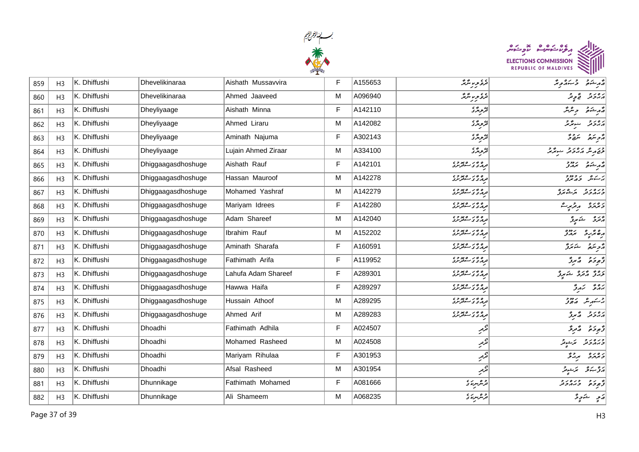



| H <sub>3</sub> | K. Dhiffushi | Dhevelikinaraa     | Aishath Mussayvira  | F           | A155653 | ۇ <sub>م</sub> ۇمەر ئ <sup>ى</sup> رىگە                           | أقهر منتفرة ومتورثة                               |
|----------------|--------------|--------------------|---------------------|-------------|---------|-------------------------------------------------------------------|---------------------------------------------------|
| H <sub>3</sub> | K. Dhiffushi | Dhevelikinaraa     | Ahmed Jaaveed       | М           | A096940 | قرءً مِر بِر سَّرَ بَرَّ                                          | أزرو ويحمد وتحافي وتر                             |
| H <sub>3</sub> | K. Dhiffushi | Dheyliyaage        | Aishath Minna       | F           | A142110 | در به د<br>توموبو د                                               | أقهر يشكاها المحر وينكر                           |
| H <sub>3</sub> | K. Dhiffushi | Dheyliyaage        | Ahmed Liraru        | М           | A142082 | در<br>ترم تر د                                                    | پروتر ہے پر پر                                    |
| H <sub>3</sub> | K. Dhiffushi | Dheyliyaage        | Aminath Najuma      | F           | A302143 | ی و پی م<br>تونوبو و                                              | أثر جر سرق المراجع                                |
| H <sub>3</sub> | K. Dhiffushi | Dheyliyaage        | Lujain Ahmed Ziraar | М           | A334100 | در<br>ترم پر د                                                    | دقيم مشاكر والمحافر المستوريخ المستحدث            |
| H <sub>3</sub> | K. Dhiffushi | Dhiggaagasdhoshuge | Aishath Rauf        | F           | A142101 | ہ پھر رہے و ء<br>توہری <sub>کی</sub> سوتو <i>ری</i>               | محمد شده محمد تردد و<br>  محمد محمد العراق        |
| H <sub>3</sub> | K. Dhiffushi | Dhiggaagasdhoshuge | Hassan Mauroof      | м           | A142278 | ہ بھ بر ہے پو و تا<br>توہری <sub>ک</sub> ے مسلومیں                | پرسکس ترودوو                                      |
| H <sub>3</sub> | K. Dhiffushi | Dhiggaagasdhoshuge | Mohamed Yashraf     | М           | A142279 | ہ پھر رہے و ء<br>توہری <sub>کی</sub> سوتو <i>ری</i>               | وره رو بره ره                                     |
| H <sub>3</sub> | K. Dhiffushi | Dhiggaagasdhoshuge | Mariyam Idrees      | F           | A142280 | ہ بھ بر ہے جو و بر<br>توہر <sub>ک</sub> ے ک <del>ے ت</del> وسری   | دیرود پروهید                                      |
| H <sub>3</sub> | K. Dhiffushi | Dhiggaagasdhoshuge | Adam Shareef        | М           | A142040 | ه ۶ بر ۲۵ و د د<br>تورگری سوتوروی                                 | أرتدو شكيرو                                       |
| H <sub>3</sub> | K. Dhiffushi | Dhiggaagasdhoshuge | Ibrahim Rauf        | м           | A152202 | ہ پھر رہے و ء<br>توہری <sub>کی</sub> سوتو <i>ری</i>               | ە ھەترىر <sup>ە</sup><br>ر دد ه<br>بو د تو        |
| H <sub>3</sub> | K. Dhiffushi | Dhiggaagasdhoshuge | Aminath Sharafa     | F           | A160591 | ہ بھ بر ہے بو و تا<br>توہری <sub>ک</sub> ے مسونوری                | أثرحر بئرة<br>شە ئىرتى                            |
| H <sub>3</sub> | K. Dhiffushi | Dhiggaagasdhoshuge | Fathimath Arifa     | F           | A119952 | ہ پہ رے پو و ،<br>توہری کی سستم <i>رمو</i> ی                      | قەم قىرق                                          |
| H <sub>3</sub> | K. Dhiffushi | Dhiggaagasdhoshuge | Lahufa Adam Shareef | F           | A289301 | ہ بھ بر ۔ ہے یو و ی<br>توہر <sub>ک</sub> ے ک <del>ی سوتو</del> ری | لرووٌ المعرف الشميرو                              |
| H <sub>3</sub> | K. Dhiffushi | Dhiggaagasdhoshuge | Hawwa Haifa         | $\mathsf F$ | A289297 | ہ بھ بر ہے بو و تا<br>توہری <sub>ک</sub> ے مسونوری                | رەپ زېرۇ                                          |
| H <sub>3</sub> | K. Dhiffushi | Dhiggaagasdhoshuge | Hussain Athoof      | М           | A289295 | ہ بھ بر ہے پو و تا<br>توہری <sub>ک</sub> ے مسلومیں                | 2001 متر مردد و 194                               |
| H <sub>3</sub> | K. Dhiffushi | Dhiggaagasdhoshuge | Ahmed Arif          | М           | A289283 | ہ بھ بر ۔ ہے یو و ی<br>توہر <sub>ک</sub> ے ک <del>ی سوتو</del> ری | پروتر گھری                                        |
| H <sub>3</sub> | K. Dhiffushi | Dhoadhi            | Fathimath Adhila    | F           | A024507 | م<br>تومر                                                         | قُهْ وَجَعْرَ الْمُرْجَّرِ                        |
| H <sub>3</sub> | K. Dhiffushi | Dhoadhi            | Mohamed Rasheed     | М           | A024508 |                                                                   | و پر و پر و<br>د بر بر <del>و</del> تر<br>بمرشوقر |
| H <sub>3</sub> | K. Dhiffushi | Dhoadhi            | Mariyam Rihulaa     | F           | A301953 | چ<br>مرمر                                                         | د ه ده مدرگ                                       |
| H <sub>3</sub> | K. Dhiffushi | Dhoadhi            | Afsal Rasheed       | М           | A301954 | اچر                                                               | أروم يكوها التماشية فمر                           |
| H <sub>3</sub> | K. Dhiffushi | Dhunnikage         | Fathimath Mohamed   | F           | A081666 | و م <sub>ی</sub> پیدا دی<br>فرنگرینزیو <sub>ک</sub>               | و رە ر د<br><i>د ب</i> رگرىز<br>  د څو څخه        |
| H <sub>3</sub> | K. Dhiffushi | Dhunnikage         | Ali Shameem         | M           | A068235 | قريرسريري                                                         | ړَ په شَوَدٍ د                                    |
|                |              |                    |                     |             |         |                                                                   | اچ                                                |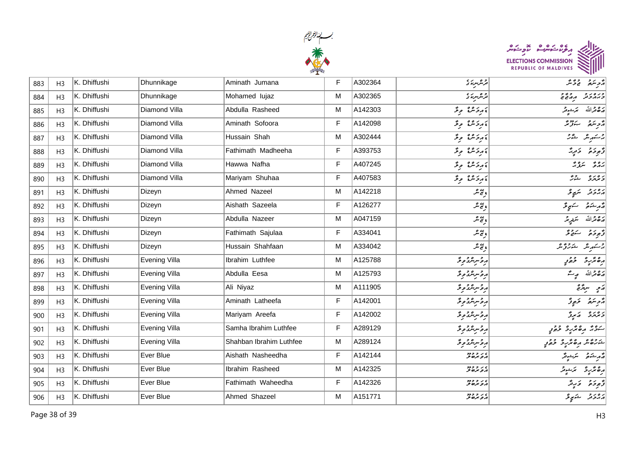



| H <sub>3</sub> | K. Dhiffushi | Dhunnikage           | Aminath Jumana          | F  | A302364 | و مرسر پر <sup>ج</sup>                              | و پر میں<br>مع <del>م</del> ر<br>و څخه شره |
|----------------|--------------|----------------------|-------------------------|----|---------|-----------------------------------------------------|--------------------------------------------|
| H <sub>3</sub> | K. Dhiffushi | Dhunnikage           | Mohamed lujaz           | M  | A302365 | و م <sub>ی</sub> پیدا دی<br>فرنگرینزیو <sub>ک</sub> | כנסנכ הבבש                                 |
| H <sub>3</sub> | K. Dhiffushi | Diamond Villa        | Abdulla Rasheed         | М  | A142303 | }ربرځشا وقه                                         | مَدْهُ مَرْ مَرْسُومَرْ                    |
| H <sub>3</sub> | K. Dhiffushi | Diamond Villa        | Aminath Sofoora         | F. | A142098 | ئەر <i>ەڭ م</i> ۇ                                   | ړې سره په دره پر                           |
| H <sub>3</sub> | K. Dhiffushi | Diamond Villa        | Hussain Shah            | М  | A302444 | ائەر ئەشقا موقە                                     | ير ستهر شر شر شر                           |
| H <sub>3</sub> | K. Dhiffushi | Diamond Villa        | Fathimath Madheeha      | F. | A393753 | لأربر شرقا وقر                                      | ۇيودۇ دېر                                  |
| H <sub>3</sub> | K. Dhiffushi | Diamond Villa        | Hawwa Nafha             | F. | A407245 | } رِدَ مَنْ مِعْ                                    | رەء برەپ                                   |
| H <sub>3</sub> | K. Dhiffushi | Diamond Villa        | Mariyam Shuhaa          | F. | A407583 | ئەر <i>ەڭ</i> ئۇ ھ                                  | سنذرج<br>ر ه ر ه<br>د بربرگ                |
| H <sub>3</sub> | K. Dhiffushi | Dizeyn               | Ahmed Nazeel            | M  | A142218 | وتنج مثر                                            | پروژو کریم و                               |
| H <sub>3</sub> | K. Dhiffushi | Dizeyn               | Aishath Sazeela         | F. | A126277 | وتنج مثر                                            | ۇرىشقى سىپۇ                                |
| H <sub>3</sub> | K. Dhiffushi | Dizeyn               | Abdulla Nazeer          | М  | A047159 | وتنج مثر                                            | وكحقرالله                                  |
| H <sub>3</sub> | K. Dhiffushi | Dizeyn               | Fathimath Sajulaa       | F  | A334041 | وتنج مثر                                            | ژ <sub>بو</sub> دَمْ سَنْ دَ               |
| H <sub>3</sub> | K. Dhiffushi | Dizeyn               | Hussain Shahfaan        | М  | A334042 | وتنج مثر                                            | برسكريش كمشروش                             |
| H <sub>3</sub> | K. Dhiffushi | Evening Villa        | Ibrahim Luthfee         | M  | A125788 | ىر قەسرىكى <sub>گ</sub> و ئ <sup>ۇ</sup>            | أرە ئۆر ئىس ئىس ئىستىم                     |
| H <sub>3</sub> | K. Dhiffushi | <b>Evening Villa</b> | Abdulla Eesa            | M  | A125793 | ىر قەسرىكرى <sub>قو</sub> ڭر                        | صصرالله<br>ريسته                           |
| H <sub>3</sub> | K. Dhiffushi | Evening Villa        | Ali Niyaz               | м  | A111905 | ىر قەسرىكرى <sub>قو</sub> ڭر                        | ړې سرگرنځ                                  |
| H <sub>3</sub> | K. Dhiffushi | Evening Villa        | Aminath Latheefa        | F. | A142001 | ىر قەسرىكى <sub>گ</sub> و ئ <sup>ۇ</sup>            | ړٌ پر سَرَ ۽ سَ                            |
| H <sub>3</sub> | K. Dhiffushi | Evening Villa        | Mariyam Areefa          | F  | A142002 | ىر قەسرىكرى <sub>قو</sub> ڭر                        | كالمحامله والمحمدة المحمدة وتحرير          |
| H <sub>3</sub> | K. Dhiffushi | Evening Villa        | Samha Ibrahim Luthfee   | F. | A289129 | ىر قەسرىكى <sub>گ</sub> و ئ <sup>ۇ</sup>            | سوي رەپرىي چېر                             |
| H <sub>3</sub> | K. Dhiffushi | Evening Villa        | Shahban Ibrahim Luthfee | M  | A289124 | ىر قەسرىكى <sub>گ</sub> و ئ <sup>ۇ</sup>            | أشرحته ره مرد و و و                        |
| H <sub>3</sub> | K. Dhiffushi | Ever Blue            | Aishath Nasheedha       | F. | A142144 | ې ر د د دد<br>د د بره نړ                            | مەر ئىككى ئىسكىرىگر                        |
| H <sub>3</sub> | K. Dhiffushi | Ever Blue            | Ibrahim Rasheed         | M  | A142325 | ی ر و ووو<br>پرې مرحا پ                             | رە ئرىر ئىن ئىشىر                          |
| H <sub>3</sub> | K. Dhiffushi | Ever Blue            | Fathimath Waheedha      | F. | A142326 | ی ر و وود<br>پرې مرحا مخ                            | وٌمودَهُ وَرِمَّرُ                         |
| H <sub>3</sub> | K. Dhiffushi | Ever Blue            | Ahmed Shazeel           | м  | A151771 | ג ג ב בבב<br>ג פ הניסיב                             | <i>ړور چې</i> شوی                          |
|                |              |                      |                         |    |         |                                                     |                                            |